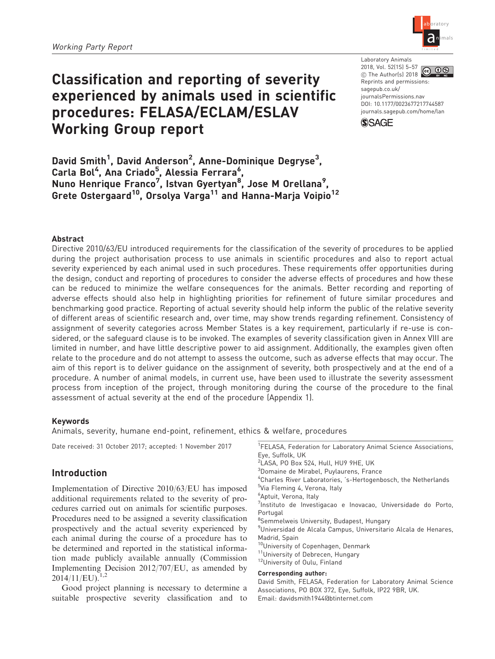# Classification and reporting of severity experienced by animals used in scientific procedures: FELASA/ECLAM/ESLAV Working Group report

ab oratory limited l an imals

Laboratory Animals 2018, Vol. 52(1S) 5–57  $\overline{60}$   $\overline{0}$   $\overline{\circ}$  $©$  The Author(s) 2018 Reprints and permissions: [sagepub.co.uk/](https://uk.sagepub.com/en-gb/journals-permissions) [journalsPermissions.nav](https://uk.sagepub.com/en-gb/journals-permissions) DOI: [10.1177/0023677217744587](https://doi.org/10.1177/0023677217744587) <journals.sagepub.com/home/lan>



David Smith<sup>1</sup>, David Anderson<sup>2</sup>, Anne-Dominique Degryse<sup>3</sup>, Carla Bol<sup>4</sup>, Ana Criado<sup>5</sup>, Alessia Ferrara<sup>6</sup>, Nuno Henrique Franco<sup>7</sup>, Istvan Gyertyan<sup>8</sup>, Jose M Orellana<sup>9</sup>, Grete Ostergaard<sup>10</sup>, Orsolya Varga<sup>11</sup> and Hanna-Marja Voipio<sup>12</sup>

### Abstract

Directive 2010/63/EU introduced requirements for the classification of the severity of procedures to be applied during the project authorisation process to use animals in scientific procedures and also to report actual severity experienced by each animal used in such procedures. These requirements offer opportunities during the design, conduct and reporting of procedures to consider the adverse effects of procedures and how these can be reduced to minimize the welfare consequences for the animals. Better recording and reporting of adverse effects should also help in highlighting priorities for refinement of future similar procedures and benchmarking good practice. Reporting of actual severity should help inform the public of the relative severity of different areas of scientific research and, over time, may show trends regarding refinement. Consistency of assignment of severity categories across Member States is a key requirement, particularly if re-use is considered, or the safeguard clause is to be invoked. The examples of severity classification given in Annex VIII are limited in number, and have little descriptive power to aid assignment. Additionally, the examples given often relate to the procedure and do not attempt to assess the outcome, such as adverse effects that may occur. The aim of this report is to deliver guidance on the assignment of severity, both prospectively and at the end of a procedure. A number of animal models, in current use, have been used to illustrate the severity assessment process from inception of the project, through monitoring during the course of the procedure to the final assessment of actual severity at the end of the procedure (Appendix 1).

### Keywords

Animals, severity, humane end-point, refinement, ethics & welfare, procedures

Date received: 31 October 2017; accepted: 1 November 2017

### Introduction

Implementation of Directive 2010/63/EU has imposed additional requirements related to the severity of procedures carried out on animals for scientific purposes. Procedures need to be assigned a severity classification prospectively and the actual severity experienced by each animal during the course of a procedure has to be determined and reported in the statistical information made publicly available annually (Commission Implementing Decision 2012/707/EU, as amended by  $2014/11/EU$ <sub>1,2</sub>

Good project planning is necessary to determine a suitable prospective severity classification and to

- <sup>1</sup>FELASA, Federation for Laboratory Animal Science Associations, Eye, Suffolk, UK
- <sup>2</sup>LASA, PO Box 524, Hull, HU9 9HE, UK
- <sup>3</sup>Domaine de Mirabel, Puylaurens, France
- 4 Charles River Laboratories, 's-Hertogenbosch, the Netherlands
- <sup>5</sup>Via Fleming 4, Verona, Italy
- 6 Aptuit, Verona, Italy
- <sup>7</sup>Instituto de Investigacao e Inovacao, Universidade do Porto, Portugal
- <sup>8</sup>Semmelweis University, Budapest, Hungary
- <sup>9</sup>Universidad de Alcala Campus, Universitario Alcala de Henares, Madrid, Spain
- <sup>10</sup>University of Copenhagen, Denmark
- 11University of Debrecen, Hungary
- 12University of Oulu, Finland

#### Corresponding author:

David Smith, FELASA, Federation for Laboratory Animal Science Associations, PO BOX 372, Eye, Suffolk, IP22 9BR, UK. Email: davidsmith1944@btinternet.com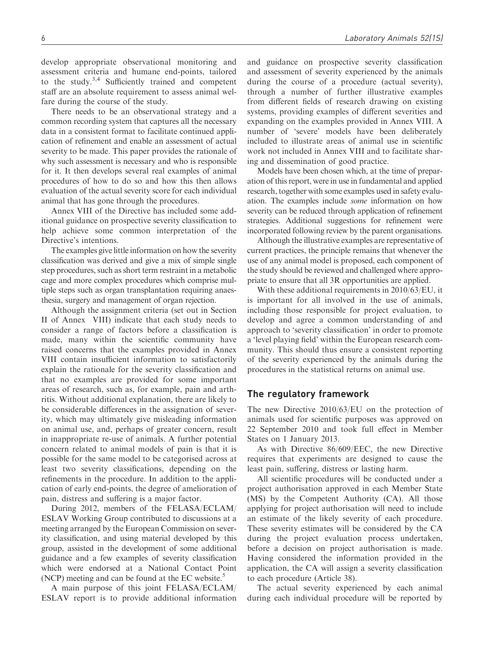develop appropriate observational monitoring and assessment criteria and humane end-points, tailored to the study. $3,4$  Sufficiently trained and competent staff are an absolute requirement to assess animal welfare during the course of the study.

There needs to be an observational strategy and a common recording system that captures all the necessary data in a consistent format to facilitate continued application of refinement and enable an assessment of actual severity to be made. This paper provides the rationale of why such assessment is necessary and who is responsible for it. It then develops several real examples of animal procedures of how to do so and how this then allows evaluation of the actual severity score for each individual animal that has gone through the procedures.

Annex VIII of the Directive has included some additional guidance on prospective severity classification to help achieve some common interpretation of the Directive's intentions.

The examples give little information on how the severity classification was derived and give a mix of simple single step procedures, such as short term restraint in a metabolic cage and more complex procedures which comprise multiple steps such as organ transplantation requiring anaesthesia, surgery and management of organ rejection.

Although the assignment criteria (set out in Section II of Annex VIII) indicate that each study needs to consider a range of factors before a classification is made, many within the scientific community have raised concerns that the examples provided in Annex VIII contain insufficient information to satisfactorily explain the rationale for the severity classification and that no examples are provided for some important areas of research, such as, for example, pain and arthritis. Without additional explanation, there are likely to be considerable differences in the assignation of severity, which may ultimately give misleading information on animal use, and, perhaps of greater concern, result in inappropriate re-use of animals. A further potential concern related to animal models of pain is that it is possible for the same model to be categorised across at least two severity classifications, depending on the refinements in the procedure. In addition to the application of early end-points, the degree of amelioration of pain, distress and suffering is a major factor.

During 2012, members of the FELASA/ECLAM/ ESLAV Working Group contributed to discussions at a meeting arranged by the European Commission on severity classification, and using material developed by this group, assisted in the development of some additional guidance and a few examples of severity classification which were endorsed at a National Contact Point (NCP) meeting and can be found at the EC website.<sup>5</sup>

A main purpose of this joint FELASA/ECLAM/ ESLAV report is to provide additional information and guidance on prospective severity classification and assessment of severity experienced by the animals during the course of a procedure (actual severity), through a number of further illustrative examples from different fields of research drawing on existing systems, providing examples of different severities and expanding on the examples provided in Annex VIII. A number of 'severe' models have been deliberately included to illustrate areas of animal use in scientific work not included in Annex VIII and to facilitate sharing and dissemination of good practice.

Models have been chosen which, at the time of preparation of this report, were in use in fundamental and applied research, together with some examples used in safety evaluation. The examples include some information on how severity can be reduced through application of refinement strategies. Additional suggestions for refinement were incorporated following review by the parent organisations.

Although the illustrative examples are representative of current practices, the principle remains that whenever the use of any animal model is proposed, each component of the study should be reviewed and challenged where appropriate to ensure that all 3R opportunities are applied.

With these additional requirements in 2010/63/EU, it is important for all involved in the use of animals, including those responsible for project evaluation, to develop and agree a common understanding of and approach to 'severity classification' in order to promote a 'level playing field' within the European research community. This should thus ensure a consistent reporting of the severity experienced by the animals during the procedures in the statistical returns on animal use.

### The regulatory framework

The new Directive 2010/63/EU on the protection of animals used for scientific purposes was approved on 22 September 2010 and took full effect in Member States on 1 January 2013.

As with Directive 86/609/EEC, the new Directive requires that experiments are designed to cause the least pain, suffering, distress or lasting harm.

All scientific procedures will be conducted under a project authorisation approved in each Member State (MS) by the Competent Authority (CA). All those applying for project authorisation will need to include an estimate of the likely severity of each procedure. These severity estimates will be considered by the CA during the project evaluation process undertaken, before a decision on project authorisation is made. Having considered the information provided in the application, the CA will assign a severity classification to each procedure (Article 38).

The actual severity experienced by each animal during each individual procedure will be reported by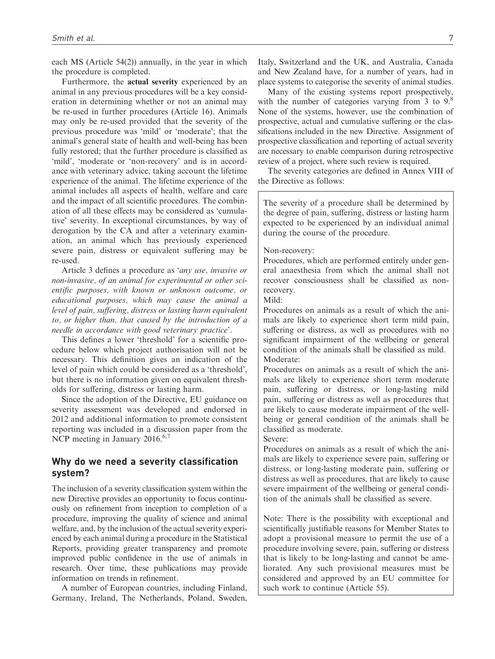each MS (Article 54(2)) annually, in the year in which the procedure is completed.

Furthermore, the actual severity experienced by an animal in any previous procedures will be a key consideration in determining whether or not an animal may be re-used in further procedures (Article 16). Animals may only be re-used provided that the severity of the previous procedure was 'mild' or 'moderate'; that the animal's general state of health and well-being has been fully restored; that the further procedure is classified as 'mild', 'moderate or 'non-recovery' and is in accordance with veterinary advice, taking account the lifetime experience of the animal. The lifetime experience of the animal includes all aspects of health, welfare and care and the impact of all scientific procedures. The combination of all these effects may be considered as 'cumulative' severity. In exceptional circumstances, by way of derogation by the CA and after a veterinary examination, an animal which has previously experienced severe pain, distress or equivalent suffering may be re-used.

Article 3 defines a procedure as 'any use, invasive or non-invasive, of an animal for experimental or other scientific purposes, with known or unknown outcome, or educational purposes, which may cause the animal a level of pain, suffering, distress or lasting harm equivalent to, or higher than, that caused by the introduction of a needle in accordance with good veterinary practice'.

This defines a lower 'threshold' for a scientific procedure below which project authorisation will not be necessary. This definition gives an indication of the level of pain which could be considered as a 'threshold', but there is no information given on equivalent thresholds for suffering, distress or lasting harm.

Since the adoption of the Directive, EU guidance on severity assessment was developed and endorsed in 2012 and additional information to promote consistent reporting was included in a discussion paper from the NCP meeting in January 2016.<sup>6,7</sup>

### Why do we need a severity classification system?

The inclusion of a severity classification system within the new Directive provides an opportunity to focus continuously on refinement from inception to completion of a procedure, improving the quality of science and animal welfare, and, by the inclusion of the actual severity experienced by each animal during a procedure in the Statistical Reports, providing greater transparency and promote improved public confidence in the use of animals in research. Over time, these publications may provide information on trends in refinement.

A number of European countries, including Finland, Germany, Ireland, The Netherlands, Poland, Sweden, Italy, Switzerland and the UK, and Australia, Canada and New Zealand have, for a number of years, had in place systems to categorise the severity of animal studies.

Many of the existing systems report prospectively, with the number of categories varying from 3 to 9.<sup>8</sup> None of the systems, however, use the combination of prospective, actual and cumulative suffering or the classifications included in the new Directive. Assignment of prospective classification and reporting of actual severity are necessary to enable comparison during retrospective review of a project, where such review is required.

The severity categories are defined in Annex VIII of the Directive as follows:

The severity of a procedure shall be determined by the degree of pain, suffering, distress or lasting harm expected to be experienced by an individual animal during the course of the procedure.

#### Non-recovery:

Procedures, which are performed entirely under general anaesthesia from which the animal shall not recover consciousness shall be classified as nonrecovery.

Mild:

Procedures on animals as a result of which the animals are likely to experience short term mild pain, suffering or distress, as well as procedures with no significant impairment of the wellbeing or general condition of the animals shall be classified as mild. Moderate:

Procedures on animals as a result of which the animals are likely to experience short term moderate pain, suffering or distress, or long-lasting mild pain, suffering or distress as well as procedures that are likely to cause moderate impairment of the wellbeing or general condition of the animals shall be classified as moderate.

Severe:

Procedures on animals as a result of which the animals are likely to experience severe pain, suffering or distress, or long-lasting moderate pain, suffering or distress as well as procedures, that are likely to cause severe impairment of the wellbeing or general condition of the animals shall be classified as severe.

Note: There is the possibility with exceptional and scientifically justifiable reasons for Member States to adopt a provisional measure to permit the use of a procedure involving severe, pain, suffering or distress that is likely to be long-lasting and cannot be ameliorated. Any such provisional measures must be considered and approved by an EU committee for such work to continue (Article 55).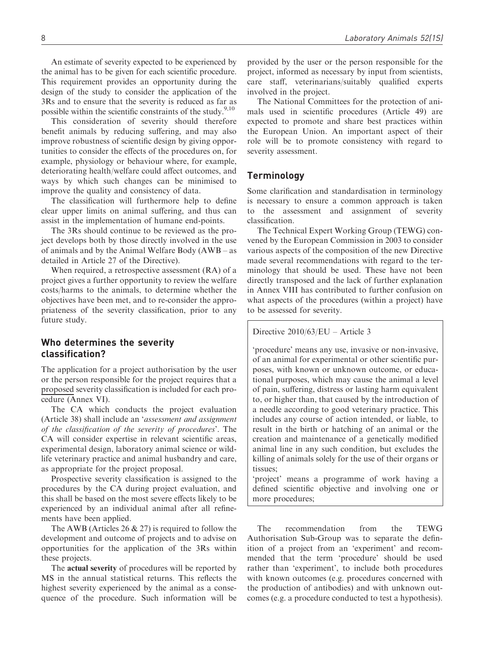An estimate of severity expected to be experienced by the animal has to be given for each scientific procedure. This requirement provides an opportunity during the design of the study to consider the application of the 3Rs and to ensure that the severity is reduced as far as possible within the scientific constraints of the study.<sup>9,10</sup>

This consideration of severity should therefore benefit animals by reducing suffering, and may also improve robustness of scientific design by giving opportunities to consider the effects of the procedures on, for example, physiology or behaviour where, for example, deteriorating health/welfare could affect outcomes, and ways by which such changes can be minimised to improve the quality and consistency of data.

The classification will furthermore help to define clear upper limits on animal suffering, and thus can assist in the implementation of humane end-points.

The 3Rs should continue to be reviewed as the project develops both by those directly involved in the use of animals and by the Animal Welfare Body (AWB – as detailed in Article 27 of the Directive).

When required, a retrospective assessment (RA) of a project gives a further opportunity to review the welfare costs/harms to the animals, to determine whether the objectives have been met, and to re-consider the appropriateness of the severity classification, prior to any future study.

# Who determines the severity classification?

The application for a project authorisation by the user or the person responsible for the project requires that a proposed severity classification is included for each procedure (Annex VI).

The CA which conducts the project evaluation (Article 38) shall include an 'assessment and assignment of the classification of the severity of procedures'. The CA will consider expertise in relevant scientific areas, experimental design, laboratory animal science or wildlife veterinary practice and animal husbandry and care, as appropriate for the project proposal.

Prospective severity classification is assigned to the procedures by the CA during project evaluation, and this shall be based on the most severe effects likely to be experienced by an individual animal after all refinements have been applied.

The AWB (Articles 26  $\&$  27) is required to follow the development and outcome of projects and to advise on opportunities for the application of the 3Rs within these projects.

The actual severity of procedures will be reported by MS in the annual statistical returns. This reflects the highest severity experienced by the animal as a consequence of the procedure. Such information will be provided by the user or the person responsible for the project, informed as necessary by input from scientists, care staff, veterinarians/suitably qualified experts involved in the project.

The National Committees for the protection of animals used in scientific procedures (Article 49) are expected to promote and share best practices within the European Union. An important aspect of their role will be to promote consistency with regard to severity assessment.

### **Terminology**

Some clarification and standardisation in terminology is necessary to ensure a common approach is taken to the assessment and assignment of severity classification.

The Technical Expert Working Group (TEWG) convened by the European Commission in 2003 to consider various aspects of the composition of the new Directive made several recommendations with regard to the terminology that should be used. These have not been directly transposed and the lack of further explanation in Annex VIII has contributed to further confusion on what aspects of the procedures (within a project) have to be assessed for severity.

Directive 2010/63/EU – Article 3

'procedure' means any use, invasive or non-invasive, of an animal for experimental or other scientific purposes, with known or unknown outcome, or educational purposes, which may cause the animal a level of pain, suffering, distress or lasting harm equivalent to, or higher than, that caused by the introduction of a needle according to good veterinary practice. This includes any course of action intended, or liable, to result in the birth or hatching of an animal or the creation and maintenance of a genetically modified animal line in any such condition, but excludes the killing of animals solely for the use of their organs or tissues;

'project' means a programme of work having a defined scientific objective and involving one or more procedures;

The recommendation from the TEWG Authorisation Sub-Group was to separate the definition of a project from an 'experiment' and recommended that the term 'procedure' should be used rather than 'experiment', to include both procedures with known outcomes (e.g. procedures concerned with the production of antibodies) and with unknown outcomes (e.g. a procedure conducted to test a hypothesis).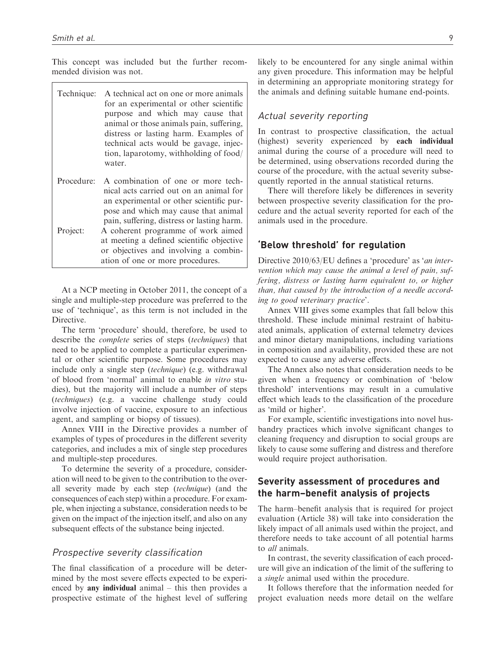This concept was included but the further recommended division was not.

| Technique: | A technical act on one or more animals<br>for an experimental or other scientific<br>purpose and which may cause that<br>animal or those animals pain, suffering,<br>distress or lasting harm. Examples of<br>technical acts would be gavage, injec-<br>tion, laparotomy, withholding of food/<br>water. |
|------------|----------------------------------------------------------------------------------------------------------------------------------------------------------------------------------------------------------------------------------------------------------------------------------------------------------|
| Procedure: | A combination of one or more tech-<br>nical acts carried out on an animal for<br>an experimental or other scientific pur-<br>pose and which may cause that animal<br>pain, suffering, distress or lasting harm.                                                                                          |
| Project:   | A coherent programme of work aimed<br>at meeting a defined scientific objective                                                                                                                                                                                                                          |

At a NCP meeting in October 2011, the concept of a single and multiple-step procedure was preferred to the use of 'technique', as this term is not included in the Directive.

or objectives and involving a combination of one or more procedures.

The term 'procedure' should, therefore, be used to describe the complete series of steps (techniques) that need to be applied to complete a particular experimental or other scientific purpose. Some procedures may include only a single step (technique) (e.g. withdrawal of blood from 'normal' animal to enable in vitro studies), but the majority will include a number of steps (techniques) (e.g. a vaccine challenge study could involve injection of vaccine, exposure to an infectious agent, and sampling or biopsy of tissues).

Annex VIII in the Directive provides a number of examples of types of procedures in the different severity categories, and includes a mix of single step procedures and multiple-step procedures.

To determine the severity of a procedure, consideration will need to be given to the contribution to the overall severity made by each step (technique) (and the consequences of each step) within a procedure. For example, when injecting a substance, consideration needs to be given on the impact of the injection itself, and also on any subsequent effects of the substance being injected.

### Prospective severity classification

The final classification of a procedure will be determined by the most severe effects expected to be experienced by any individual animal – this then provides a prospective estimate of the highest level of suffering likely to be encountered for any single animal within any given procedure. This information may be helpful in determining an appropriate monitoring strategy for the animals and defining suitable humane end-points.

### Actual severity reporting

In contrast to prospective classification, the actual (highest) severity experienced by each individual animal during the course of a procedure will need to be determined, using observations recorded during the course of the procedure, with the actual severity subsequently reported in the annual statistical returns.

There will therefore likely be differences in severity between prospective severity classification for the procedure and the actual severity reported for each of the animals used in the procedure.

### 'Below threshold' for regulation

Directive 2010/63/EU defines a 'procedure' as 'an intervention which may cause the animal a level of pain, suffering, distress or lasting harm equivalent to, or higher than, that caused by the introduction of a needle according to good veterinary practice'.

Annex VIII gives some examples that fall below this threshold. These include minimal restraint of habituated animals, application of external telemetry devices and minor dietary manipulations, including variations in composition and availability, provided these are not expected to cause any adverse effects.

The Annex also notes that consideration needs to be given when a frequency or combination of 'below threshold' interventions may result in a cumulative effect which leads to the classification of the procedure as 'mild or higher'.

For example, scientific investigations into novel husbandry practices which involve significant changes to cleaning frequency and disruption to social groups are likely to cause some suffering and distress and therefore would require project authorisation.

# Severity assessment of procedures and the harm–benefit analysis of projects

The harm–benefit analysis that is required for project evaluation (Article 38) will take into consideration the likely impact of all animals used within the project, and therefore needs to take account of all potential harms to all animals.

In contrast, the severity classification of each procedure will give an indication of the limit of the suffering to a single animal used within the procedure.

It follows therefore that the information needed for project evaluation needs more detail on the welfare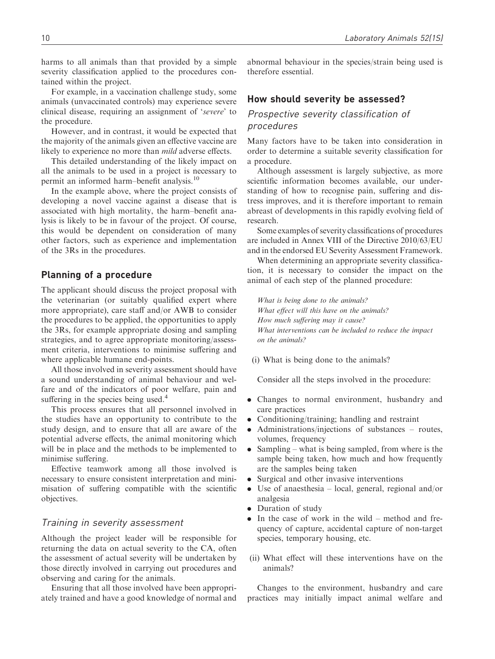harms to all animals than that provided by a simple severity classification applied to the procedures contained within the project.

For example, in a vaccination challenge study, some animals (unvaccinated controls) may experience severe clinical disease, requiring an assignment of 'severe' to the procedure.

However, and in contrast, it would be expected that the majority of the animals given an effective vaccine are likely to experience no more than *mild* adverse effects.

This detailed understanding of the likely impact on all the animals to be used in a project is necessary to permit an informed harm–benefit analysis.<sup>10</sup>

In the example above, where the project consists of developing a novel vaccine against a disease that is associated with high mortality, the harm–benefit analysis is likely to be in favour of the project. Of course, this would be dependent on consideration of many other factors, such as experience and implementation of the 3Rs in the procedures.

### Planning of a procedure

The applicant should discuss the project proposal with the veterinarian (or suitably qualified expert where more appropriate), care staff and/or AWB to consider the procedures to be applied, the opportunities to apply the 3Rs, for example appropriate dosing and sampling strategies, and to agree appropriate monitoring/assessment criteria, interventions to minimise suffering and where applicable humane end-points.

All those involved in severity assessment should have a sound understanding of animal behaviour and welfare and of the indicators of poor welfare, pain and suffering in the species being used.<sup>4</sup>

This process ensures that all personnel involved in the studies have an opportunity to contribute to the study design, and to ensure that all are aware of the potential adverse effects, the animal monitoring which will be in place and the methods to be implemented to minimise suffering.

Effective teamwork among all those involved is necessary to ensure consistent interpretation and minimisation of suffering compatible with the scientific objectives.

### Training in severity assessment

Although the project leader will be responsible for returning the data on actual severity to the CA, often the assessment of actual severity will be undertaken by those directly involved in carrying out procedures and observing and caring for the animals.

Ensuring that all those involved have been appropriately trained and have a good knowledge of normal and abnormal behaviour in the species/strain being used is therefore essential.

### How should severity be assessed?

### Prospective severity classification of procedures

Many factors have to be taken into consideration in order to determine a suitable severity classification for a procedure.

Although assessment is largely subjective, as more scientific information becomes available, our understanding of how to recognise pain, suffering and distress improves, and it is therefore important to remain abreast of developments in this rapidly evolving field of research.

Some examples of severity classifications of procedures are included in Annex VIII of the Directive 2010/63/EU and in the endorsed EU Severity Assessment Framework.

When determining an appropriate severity classification, it is necessary to consider the impact on the animal of each step of the planned procedure:

What is being done to the animals? What effect will this have on the animals? How much suffering may it cause? What interventions can be included to reduce the impact on the animals?

(i) What is being done to the animals?

Consider all the steps involved in the procedure:

- . Changes to normal environment, husbandry and care practices
- Conditioning/training; handling and restraint
- . Administrations/injections of substances routes, volumes, frequency
- Sampling what is being sampled, from where is the sample being taken, how much and how frequently are the samples being taken
- . Surgical and other invasive interventions
- . Use of anaesthesia local, general, regional and/or analgesia
- . Duration of study
- . In the case of work in the wild method and frequency of capture, accidental capture of non-target species, temporary housing, etc.
- (ii) What effect will these interventions have on the animals?

Changes to the environment, husbandry and care practices may initially impact animal welfare and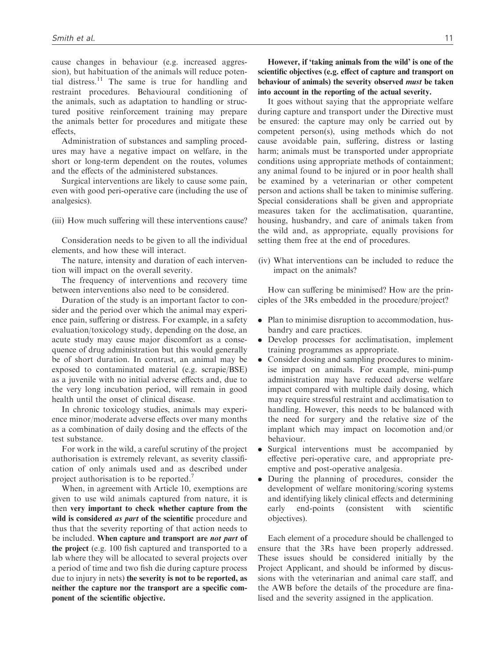cause changes in behaviour (e.g. increased aggression), but habituation of the animals will reduce potential distress.<sup>11</sup> The same is true for handling and restraint procedures. Behavioural conditioning of the animals, such as adaptation to handling or structured positive reinforcement training may prepare the animals better for procedures and mitigate these effects,

Administration of substances and sampling procedures may have a negative impact on welfare, in the short or long-term dependent on the routes, volumes and the effects of the administered substances.

Surgical interventions are likely to cause some pain, even with good peri-operative care (including the use of analgesics).

(iii) How much suffering will these interventions cause?

Consideration needs to be given to all the individual elements, and how these will interact.

The nature, intensity and duration of each intervention will impact on the overall severity.

The frequency of interventions and recovery time between interventions also need to be considered.

Duration of the study is an important factor to consider and the period over which the animal may experience pain, suffering or distress. For example, in a safety evaluation/toxicology study, depending on the dose, an acute study may cause major discomfort as a consequence of drug administration but this would generally be of short duration. In contrast, an animal may be exposed to contaminated material (e.g. scrapie/BSE) as a juvenile with no initial adverse effects and, due to the very long incubation period, will remain in good health until the onset of clinical disease.

In chronic toxicology studies, animals may experience minor/moderate adverse effects over many months as a combination of daily dosing and the effects of the test substance.

For work in the wild, a careful scrutiny of the project authorisation is extremely relevant, as severity classification of only animals used and as described under project authorisation is to be reported.<sup>7</sup>

When, in agreement with Article 10, exemptions are given to use wild animals captured from nature, it is then very important to check whether capture from the wild is considered *as part* of the scientific procedure and thus that the severity reporting of that action needs to be included. When capture and transport are *not part* of the project (e.g. 100 fish captured and transported to a lab where they will be allocated to several projects over a period of time and two fish die during capture process due to injury in nets) the severity is not to be reported, as neither the capture nor the transport are a specific component of the scientific objective.

However, if 'taking animals from the wild' is one of the scientific objectives (e.g. effect of capture and transport on behaviour of animals) the severity observed must be taken into account in the reporting of the actual severity.

It goes without saying that the appropriate welfare during capture and transport under the Directive must be ensured: the capture may only be carried out by competent person(s), using methods which do not cause avoidable pain, suffering, distress or lasting harm; animals must be transported under appropriate conditions using appropriate methods of containment; any animal found to be injured or in poor health shall be examined by a veterinarian or other competent person and actions shall be taken to minimise suffering. Special considerations shall be given and appropriate measures taken for the acclimatisation, quarantine, housing, husbandry, and care of animals taken from the wild and, as appropriate, equally provisions for setting them free at the end of procedures.

(iv) What interventions can be included to reduce the impact on the animals?

How can suffering be minimised? How are the principles of the 3Rs embedded in the procedure/project?

- . Plan to minimise disruption to accommodation, husbandry and care practices.
- . Develop processes for acclimatisation, implement training programmes as appropriate.
- . Consider dosing and sampling procedures to minimise impact on animals. For example, mini-pump administration may have reduced adverse welfare impact compared with multiple daily dosing, which may require stressful restraint and acclimatisation to handling. However, this needs to be balanced with the need for surgery and the relative size of the implant which may impact on locomotion and/or behaviour.
- . Surgical interventions must be accompanied by effective peri-operative care, and appropriate preemptive and post-operative analgesia.
- . During the planning of procedures, consider the development of welfare monitoring/scoring systems and identifying likely clinical effects and determining early end-points (consistent with scientific objectives).

Each element of a procedure should be challenged to ensure that the 3Rs have been properly addressed. These issues should be considered initially by the Project Applicant, and should be informed by discussions with the veterinarian and animal care staff, and the AWB before the details of the procedure are finalised and the severity assigned in the application.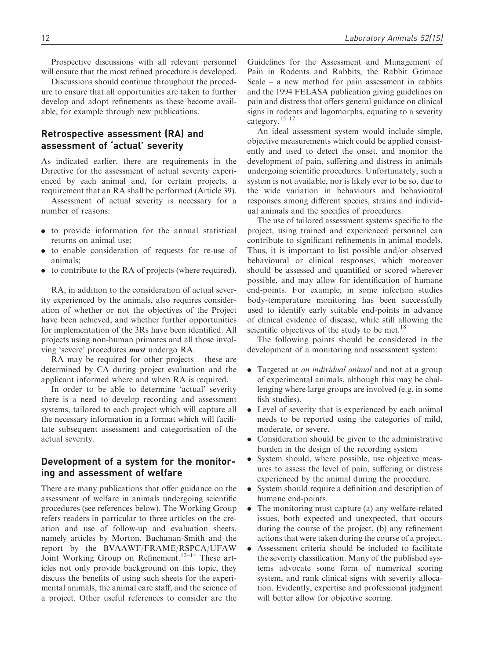Prospective discussions with all relevant personnel will ensure that the most refined procedure is developed.

Discussions should continue throughout the procedure to ensure that all opportunities are taken to further develop and adopt refinements as these become available, for example through new publications.

# Retrospective assessment (RA) and assessment of 'actual' severity

As indicated earlier, there are requirements in the Directive for the assessment of actual severity experienced by each animal and, for certain projects, a requirement that an RA shall be performed (Article 39).

Assessment of actual severity is necessary for a number of reasons:

- . to provide information for the annual statistical returns on animal use;
- . to enable consideration of requests for re-use of animals;
- . to contribute to the RA of projects (where required).

RA, in addition to the consideration of actual severity experienced by the animals, also requires consideration of whether or not the objectives of the Project have been achieved, and whether further opportunities for implementation of the 3Rs have been identified. All projects using non-human primates and all those involving 'severe' procedures must undergo RA.

RA may be required for other projects – these are determined by CA during project evaluation and the applicant informed where and when RA is required.

In order to be able to determine 'actual' severity there is a need to develop recording and assessment systems, tailored to each project which will capture all the necessary information in a format which will facilitate subsequent assessment and categorisation of the actual severity.

# Development of a system for the monitoring and assessment of welfare

There are many publications that offer guidance on the assessment of welfare in animals undergoing scientific procedures (see references below). The Working Group refers readers in particular to three articles on the creation and use of follow-up and evaluation sheets, namely articles by Morton, Buchanan-Smith and the report by the BVAAWF/FRAME/RSPCA/UFAW Joint Working Group on Refinement.<sup>12–14</sup> These articles not only provide background on this topic, they discuss the benefits of using such sheets for the experimental animals, the animal care staff, and the science of a project. Other useful references to consider are the Guidelines for the Assessment and Management of Pain in Rodents and Rabbits, the Rabbit Grimace Scale – a new method for pain assessment in rabbits and the 1994 FELASA publication giving guidelines on pain and distress that offers general guidance on clinical signs in rodents and lagomorphs, equating to a severity category.15–17

An ideal assessment system would include simple, objective measurements which could be applied consistently and used to detect the onset, and monitor the development of pain, suffering and distress in animals undergoing scientific procedures. Unfortunately, such a system is not available, nor is likely ever to be so, due to the wide variation in behaviours and behavioural responses among different species, strains and individual animals and the specifics of procedures.

The use of tailored assessment systems specific to the project, using trained and experienced personnel can contribute to significant refinements in animal models. Thus, it is important to list possible and/or observed behavioural or clinical responses, which moreover should be assessed and quantified or scored wherever possible, and may allow for identification of humane end-points. For example, in some infection studies body-temperature monitoring has been successfully used to identify early suitable end-points in advance of clinical evidence of disease, while still allowing the scientific objectives of the study to be met.<sup>18</sup>

The following points should be considered in the development of a monitoring and assessment system:

- Targeted at *an individual animal* and not at a group of experimental animals, although this may be challenging where large groups are involved (e.g. in some fish studies).
- . Level of severity that is experienced by each animal needs to be reported using the categories of mild, moderate, or severe.
- . Consideration should be given to the administrative burden in the design of the recording system
- . System should, where possible, use objective measures to assess the level of pain, suffering or distress experienced by the animal during the procedure.
- . System should require a definition and description of humane end-points.
- . The monitoring must capture (a) any welfare-related issues, both expected and unexpected, that occurs during the course of the project, (b) any refinement actions that were taken during the course of a project.
- . Assessment criteria should be included to facilitate the severity classification. Many of the published systems advocate some form of numerical scoring system, and rank clinical signs with severity allocation. Evidently, expertise and professional judgment will better allow for objective scoring.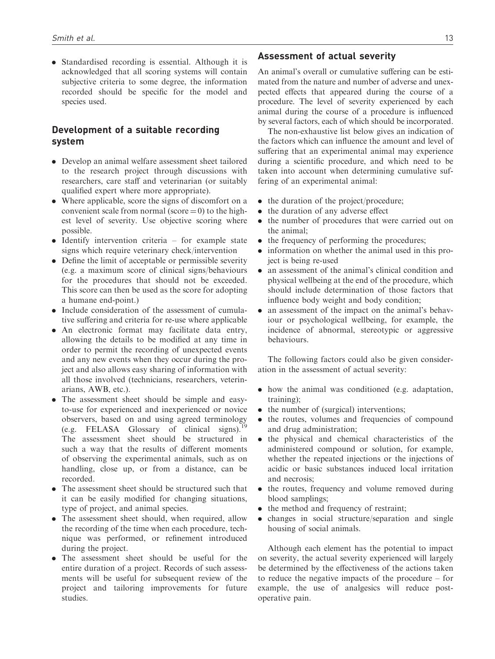. Standardised recording is essential. Although it is acknowledged that all scoring systems will contain subjective criteria to some degree, the information recorded should be specific for the model and species used.

# Development of a suitable recording system

- . Develop an animal welfare assessment sheet tailored to the research project through discussions with researchers, care staff and veterinarian (or suitably qualified expert where more appropriate).
- . Where applicable, score the signs of discomfort on a convenient scale from normal (score  $= 0$ ) to the highest level of severity. Use objective scoring where possible.
- . Identify intervention criteria for example state signs which require veterinary check/intervention
- . Define the limit of acceptable or permissible severity (e.g. a maximum score of clinical signs/behaviours for the procedures that should not be exceeded. This score can then be used as the score for adopting a humane end-point.)
- . Include consideration of the assessment of cumulative suffering and criteria for re-use where applicable
- . An electronic format may facilitate data entry, allowing the details to be modified at any time in order to permit the recording of unexpected events and any new events when they occur during the project and also allows easy sharing of information with all those involved (technicians, researchers, veterinarians, AWB, etc.).
- . The assessment sheet should be simple and easyto-use for experienced and inexperienced or novice observers, based on and using agreed terminology (e.g. FELASA Glossary of clinical signs).<sup>19</sup> The assessment sheet should be structured in such a way that the results of different moments of observing the experimental animals, such as on handling, close up, or from a distance, can be recorded.
- . The assessment sheet should be structured such that it can be easily modified for changing situations, type of project, and animal species.
- . The assessment sheet should, when required, allow the recording of the time when each procedure, technique was performed, or refinement introduced during the project.
- . The assessment sheet should be useful for the entire duration of a project. Records of such assessments will be useful for subsequent review of the project and tailoring improvements for future studies.

### Assessment of actual severity

An animal's overall or cumulative suffering can be estimated from the nature and number of adverse and unexpected effects that appeared during the course of a procedure. The level of severity experienced by each animal during the course of a procedure is influenced by several factors, each of which should be incorporated.

The non-exhaustive list below gives an indication of the factors which can influence the amount and level of suffering that an experimental animal may experience during a scientific procedure, and which need to be taken into account when determining cumulative suffering of an experimental animal:

- the duration of the project/procedure;
- the duration of any adverse effect
- . the number of procedures that were carried out on the animal;
- the frequency of performing the procedures;
- . information on whether the animal used in this project is being re-used
- . an assessment of the animal's clinical condition and physical wellbeing at the end of the procedure, which should include determination of those factors that influence body weight and body condition;
- . an assessment of the impact on the animal's behaviour or psychological wellbeing, for example, the incidence of abnormal, stereotypic or aggressive behaviours.

The following factors could also be given consideration in the assessment of actual severity:

- . how the animal was conditioned (e.g. adaptation, training);
- the number of (surgical) interventions;
- the routes, volumes and frequencies of compound and drug administration;
- . the physical and chemical characteristics of the administered compound or solution, for example, whether the repeated injections or the injections of acidic or basic substances induced local irritation and necrosis;
- the routes, frequency and volume removed during blood samplings;
- the method and frequency of restraint;
- . changes in social structure/separation and single housing of social animals.

Although each element has the potential to impact on severity, the actual severity experienced will largely be determined by the effectiveness of the actions taken to reduce the negative impacts of the procedure – for example, the use of analgesics will reduce postoperative pain.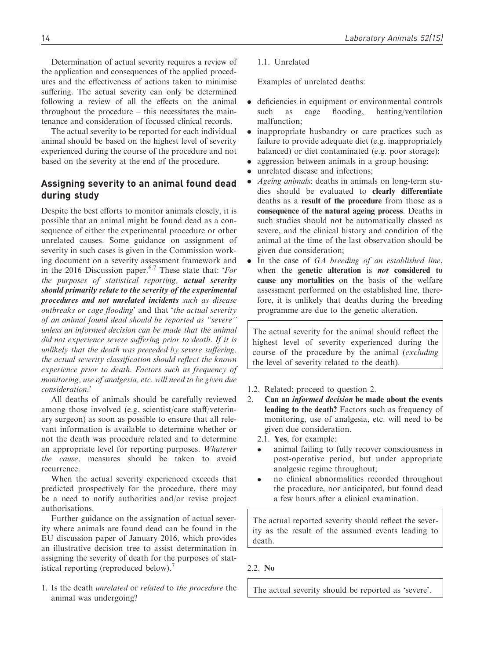Determination of actual severity requires a review of the application and consequences of the applied procedures and the effectiveness of actions taken to minimise suffering. The actual severity can only be determined following a review of all the effects on the animal throughout the procedure – this necessitates the maintenance and consideration of focussed clinical records.

The actual severity to be reported for each individual animal should be based on the highest level of severity experienced during the course of the procedure and not based on the severity at the end of the procedure.

# Assigning severity to an animal found dead during study

Despite the best efforts to monitor animals closely, it is possible that an animal might be found dead as a consequence of either the experimental procedure or other unrelated causes. Some guidance on assignment of severity in such cases is given in the Commission working document on a severity assessment framework and in the 2016 Discussion paper.<sup>6,7</sup> These state that: 'For the purposes of statistical reporting, actual severity should primarily relate to the severity of the experimental procedures and not unrelated incidents such as disease outbreaks or cage flooding' and that 'the actual severity of an animal found dead should be reported as ''severe'' unless an informed decision can be made that the animal did not experience severe suffering prior to death. If it is unlikely that the death was preceded by severe suffering, the actual severity classification should reflect the known experience prior to death. Factors such as frequency of monitoring, use of analgesia, etc. will need to be given due consideration.'

All deaths of animals should be carefully reviewed among those involved (e.g. scientist/care staff/veterinary surgeon) as soon as possible to ensure that all relevant information is available to determine whether or not the death was procedure related and to determine an appropriate level for reporting purposes. Whatever the cause, measures should be taken to avoid recurrence.

When the actual severity experienced exceeds that predicted prospectively for the procedure, there may be a need to notify authorities and/or revise project authorisations.

Further guidance on the assignation of actual severity where animals are found dead can be found in the EU discussion paper of January 2016, which provides an illustrative decision tree to assist determination in assigning the severity of death for the purposes of statistical reporting (reproduced below).

1. Is the death unrelated or related to the procedure the animal was undergoing?

### 1.1. Unrelated

Examples of unrelated deaths:

- . deficiencies in equipment or environmental controls such as cage flooding, heating/ventilation malfunction;
- . inappropriate husbandry or care practices such as failure to provide adequate diet (e.g. inappropriately balanced) or diet contaminated (e.g. poor storage);
- . aggression between animals in a group housing;
- unrelated disease and infections:
- . Ageing animals: deaths in animals on long-term studies should be evaluated to clearly differentiate deaths as a result of the procedure from those as a consequence of the natural ageing process. Deaths in such studies should not be automatically classed as severe, and the clinical history and condition of the animal at the time of the last observation should be given due consideration;
- In the case of GA breeding of an established line, when the genetic alteration is *not* considered to cause any mortalities on the basis of the welfare assessment performed on the established line, therefore, it is unlikely that deaths during the breeding programme are due to the genetic alteration.

The actual severity for the animal should reflect the highest level of severity experienced during the course of the procedure by the animal (excluding the level of severity related to the death).

- 1.2. Related: proceed to question 2.
- 2. Can an informed decision be made about the events leading to the death? Factors such as frequency of monitoring, use of analgesia, etc. will need to be given due consideration.
	- 2.1. Yes, for example:
	- $\bullet$  animal failing to fully recover consciousness in post-operative period, but under appropriate analgesic regime throughout;
	- $\bullet$  no clinical abnormalities recorded throughout the procedure, nor anticipated, but found dead a few hours after a clinical examination.

The actual reported severity should reflect the severity as the result of the assumed events leading to death.

#### 2.2. No

The actual severity should be reported as 'severe'.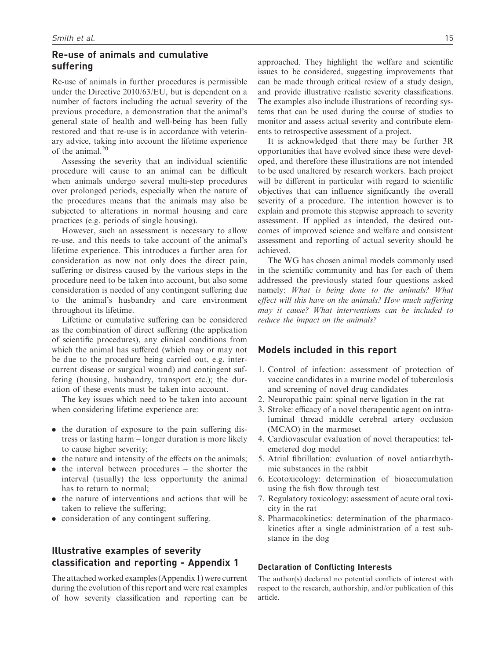### Re-use of animals and cumulative suffering

Re-use of animals in further procedures is permissible under the Directive 2010/63/EU, but is dependent on a number of factors including the actual severity of the previous procedure, a demonstration that the animal's general state of health and well-being has been fully restored and that re-use is in accordance with veterinary advice, taking into account the lifetime experience of the animal. $20$ 

Assessing the severity that an individual scientific procedure will cause to an animal can be difficult when animals undergo several multi-step procedures over prolonged periods, especially when the nature of the procedures means that the animals may also be subjected to alterations in normal housing and care practices (e.g. periods of single housing).

However, such an assessment is necessary to allow re-use, and this needs to take account of the animal's lifetime experience. This introduces a further area for consideration as now not only does the direct pain, suffering or distress caused by the various steps in the procedure need to be taken into account, but also some consideration is needed of any contingent suffering due to the animal's husbandry and care environment throughout its lifetime.

Lifetime or cumulative suffering can be considered as the combination of direct suffering (the application of scientific procedures), any clinical conditions from which the animal has suffered (which may or may not be due to the procedure being carried out, e.g. intercurrent disease or surgical wound) and contingent suffering (housing, husbandry, transport etc.); the duration of these events must be taken into account.

The key issues which need to be taken into account when considering lifetime experience are:

- . the duration of exposure to the pain suffering distress or lasting harm – longer duration is more likely to cause higher severity;
- the nature and intensity of the effects on the animals;
- the interval between procedures the shorter the interval (usually) the less opportunity the animal has to return to normal;
- . the nature of interventions and actions that will be taken to relieve the suffering;
- . consideration of any contingent suffering.

# Illustrative examples of severity classification and reporting - Appendix 1

The attached worked examples (Appendix 1) were current during the evolution of this report and were real examples of how severity classification and reporting can be approached. They highlight the welfare and scientific issues to be considered, suggesting improvements that can be made through critical review of a study design, and provide illustrative realistic severity classifications. The examples also include illustrations of recording systems that can be used during the course of studies to monitor and assess actual severity and contribute elements to retrospective assessment of a project.

It is acknowledged that there may be further 3R opportunities that have evolved since these were developed, and therefore these illustrations are not intended to be used unaltered by research workers. Each project will be different in particular with regard to scientific objectives that can influence significantly the overall severity of a procedure. The intention however is to explain and promote this stepwise approach to severity assessment. If applied as intended, the desired outcomes of improved science and welfare and consistent assessment and reporting of actual severity should be achieved.

The WG has chosen animal models commonly used in the scientific community and has for each of them addressed the previously stated four questions asked namely: What is being done to the animals? What effect will this have on the animals? How much suffering may it cause? What interventions can be included to reduce the impact on the animals?

### Models included in this report

- 1. Control of infection: assessment of protection of vaccine candidates in a murine model of tuberculosis and screening of novel drug candidates
- 2. Neuropathic pain: spinal nerve ligation in the rat
- 3. Stroke: efficacy of a novel therapeutic agent on intraluminal thread middle cerebral artery occlusion (MCAO) in the marmoset
- 4. Cardiovascular evaluation of novel therapeutics: telemetered dog model
- 5. Atrial fibrillation: evaluation of novel antiarrhythmic substances in the rabbit
- 6. Ecotoxicology: determination of bioaccumulation using the fish flow through test
- 7. Regulatory toxicology: assessment of acute oral toxicity in the rat
- 8. Pharmacokinetics: determination of the pharmacokinetics after a single administration of a test substance in the dog

#### Declaration of Conflicting Interests

The author(s) declared no potential conflicts of interest with respect to the research, authorship, and/or publication of this article.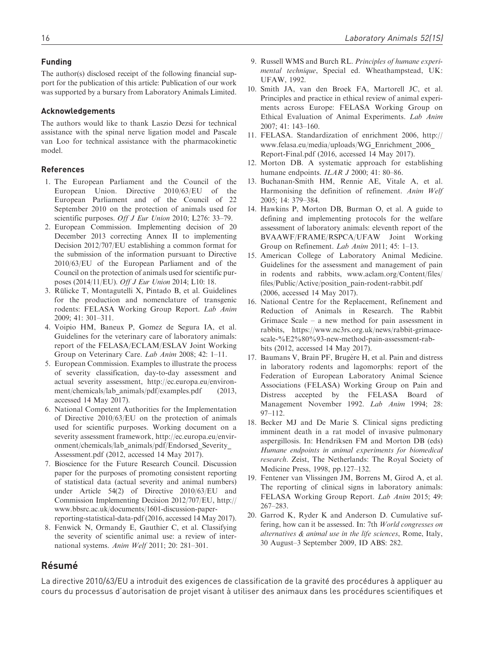### Funding

The author(s) disclosed receipt of the following financial support for the publication of this article: Publication of our work was supported by a bursary from Laboratory Animals Limited.

#### Acknowledgements

The authors would like to thank Laszio Dezsi for technical assistance with the spinal nerve ligation model and Pascale van Loo for technical assistance with the pharmacokinetic model.

#### References

- 1. The European Parliament and the Council of the European Union. Directive 2010/63/EU of the European Parliament and of the Council of 22 September 2010 on the protection of animals used for scientific purposes. Off J Eur Union 2010; L276: 33-79.
- 2. European Commission. Implementing decision of 20 December 2013 correcting Annex II to implementing Decision 2012/707/EU establishing a common format for the submission of the information pursuant to Directive 2010/63/EU of the European Parliament and of the Council on the protection of animals used for scientific purposes (2014/11/EU). Off J Eur Union 2014; L10: 18.
- 3. Rülicke T, Montagutelli X, Pintado B, et al. Guidelines for the production and nomenclature of transgenic rodents: FELASA Working Group Report. Lab Anim 2009; 41: 301–311.
- 4. Voipio HM, Baneux P, Gomez de Segura IA, et al. Guidelines for the veterinary care of laboratory animals: report of the FELASA/ECLAM/ESLAV Joint Working Group on Veterinary Care. Lab Anim 2008; 42: 1–11.
- 5. European Commission. Examples to illustrate the process of severity classification, day-to-day assessment and actual severity assessment, [http://ec.europa.eu/environ](http://ec.europa.eu/environment/chemicals/lab_animals/pdf/examples.pdf)[ment/chemicals/lab\\_animals/pdf/examples.pdf](http://ec.europa.eu/environment/chemicals/lab_animals/pdf/examples.pdf) (2013, accessed 14 May 2017).
- 6. National Competent Authorities for the Implementation of Directive 2010/63/EU on the protection of animals used for scientific purposes. Working document on a severity assessment framework, [http://ec.europa.eu/envir](http://ec.europa.eu/environment/chemicals/lab_animals/pdf/Endorsed_Severity_Assessment.pdf)[onment/chemicals/lab\\_animals/pdf/Endorsed\\_Severity\\_](http://ec.europa.eu/environment/chemicals/lab_animals/pdf/Endorsed_Severity_Assessment.pdf) [Assessment.pdf](http://ec.europa.eu/environment/chemicals/lab_animals/pdf/Endorsed_Severity_Assessment.pdf) (2012, accessed 14 May 2017).
- 7. Bioscience for the Future Research Council. Discussion paper for the purposes of promoting consistent reporting of statistical data (actual severity and animal numbers) under Article 54(2) of Directive 2010/63/EU and Commission Implementing Decision 2012/707/EU, [http://](http://www.bbsrc.ac.uk/documents/1601-discussion-paper-reporting-statistical-data-pdf) [www.bbsrc.ac.uk/documents/1601-discussion-paper](http://www.bbsrc.ac.uk/documents/1601-discussion-paper-reporting-statistical-data-pdf)[reporting-statistical-data-pdf](http://www.bbsrc.ac.uk/documents/1601-discussion-paper-reporting-statistical-data-pdf) (2016, accessed 14 May 2017).
- 8. Fenwick N, Ormandy E, Gauthier C, et al. Classifying the severity of scientific animal use: a review of international systems. Anim Welf 2011; 20: 281–301.
- 9. Russell WMS and Burch RL. Principles of humane experimental technique, Special ed. Wheathampstead, UK: UFAW, 1992.
- 10. Smith JA, van den Broek FA, Martorell JC, et al. Principles and practice in ethical review of animal experiments across Europe: FELASA Working Group on Ethical Evaluation of Animal Experiments. Lab Anim 2007; 41: 143–160.
- 11. FELASA. Standardization of enrichment 2006, [http://](http://www.felasa.eu/media/uploads/WG_Enrichment_2006_Report-Final.pdf) [www.felasa.eu/media/uploads/WG\\_Enrichment\\_2006\\_](http://www.felasa.eu/media/uploads/WG_Enrichment_2006_Report-Final.pdf) [Report-Final.pdf](http://www.felasa.eu/media/uploads/WG_Enrichment_2006_Report-Final.pdf) (2016, accessed 14 May 2017).
- 12. Morton DB. A systematic approach for establishing humane endpoints. ILAR J 2000; 41: 80-86.
- 13. Buchanan-Smith HM, Rennie AE, Vitale A, et al. Harmonising the definition of refinement. Anim Welf 2005; 14: 379–384.
- 14. Hawkins P, Morton DB, Burman O, et al. A guide to defining and implementing protocols for the welfare assessment of laboratory animals: eleventh report of the BVAAWF/FRAME/RSPCA/UFAW Joint Working Group on Refinement. Lab Anim 2011; 45: 1–13.
- 15. American College of Laboratory Animal Medicine. Guidelines for the assessment and management of pain in rodents and rabbits, [www.aclam.org/Content/files/](www.aclam.org/Content/files/files/Public/Active/position_pain-rodent-rabbit.pdf) [files/Public/Active/position\\_pain-rodent-rabbit.pdf](www.aclam.org/Content/files/files/Public/Active/position_pain-rodent-rabbit.pdf) (2006, accessed 14 May 2017).
- 16. National Centre for the Replacement, Refinement and Reduction of Animals in Research. The Rabbit Grimace Scale – a new method for pain assessment in rabbits, [https://www.nc3rs.org.uk/news/rabbit-grimace](https://www.nc3rs.org.uk/news/rabbit-grimace-scale-E28093-new-method-pain-assessment-rabbits)[scale-%E2%80%93-new-method-pain-assessment-rab](https://www.nc3rs.org.uk/news/rabbit-grimace-scale-E28093-new-method-pain-assessment-rabbits)[bits](https://www.nc3rs.org.uk/news/rabbit-grimace-scale-E28093-new-method-pain-assessment-rabbits) (2012, accessed 14 May 2017).
- 17. Baumans V, Brain PF, Brugére H, et al. Pain and distress in laboratory rodents and lagomorphs: report of the Federation of European Laboratory Animal Science Associations (FELASA) Working Group on Pain and Distress accepted by the FELASA Board of Management November 1992. Lab Anim 1994; 28: 97–112.
- 18. Becker MJ and De Marie S. Clinical signs predicting imminent death in a rat model of invasive pulmonary aspergillosis. In: Hendriksen FM and Morton DB (eds) Humane endpoints in animal experiments for biomedical research. Zeist, The Netherlands: The Royal Society of Medicine Press, 1998, pp.127–132.
- 19. Fentener van Vlissingen JM, Borrens M, Girod A, et al. The reporting of clinical signs in laboratory animals: FELASA Working Group Report. Lab Anim 2015; 49: 267–283.
- 20. Garrod K, Ryder K and Anderson D. Cumulative suffering, how can it be assessed. In: 7th World congresses on alternatives & animal use in the life sciences, Rome, Italy, 30 August–3 September 2009, ID ABS: 282.

# **Résumé**

La directive 2010/63/EU a introduit des exigences de classification de la gravité des procédures à appliquer au cours du processus d'autorisation de projet visant à utiliser des animaux dans les procédures scientifiques et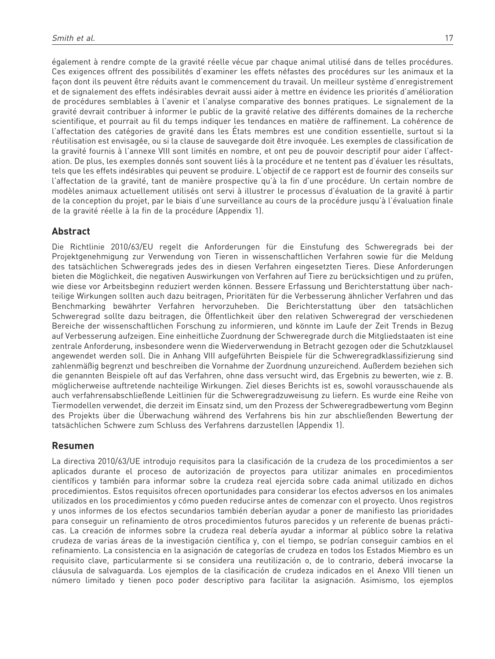également à rendre compte de la gravité réelle vécue par chaque animal utilisé dans de telles procédures. Ces exigences offrent des possibilités d'examiner les effets néfastes des procédures sur les animaux et la façon dont ils peuvent être réduits avant le commencement du travail. Un meilleur système d'enregistrement et de signalement des effets indésirables devrait aussi aider à mettre en évidence les priorités d'amélioration de procédures semblables à l'avenir et l'analyse comparative des bonnes pratiques. Le signalement de la gravité devrait contribuer à informer le public de la gravité relative des différents domaines de la recherche scientifique, et pourrait au fil du temps indiquer les tendances en matière de raffinement. La cohérence de l'affectation des catégories de gravité dans les États membres est une condition essentielle, surtout si la réutilisation est envisagée, ou si la clause de sauvegarde doit être invoquée. Les exemples de classification de la gravité fournis à l'annexe VIII sont limités en nombre, et ont peu de pouvoir descriptif pour aider l'affectation. De plus, les exemples donnés sont souvent liés à la procédure et ne tentent pas d'évaluer les résultats, tels que les effets indésirables qui peuvent se produire. L'objectif de ce rapport est de fournir des conseils sur l'affectation de la gravité, tant de manière prospective qu'à la fin d'une procédure. Un certain nombre de modèles animaux actuellement utilisés ont servi à illustrer le processus d'évaluation de la gravité à partir de la conception du projet, par le biais d'une surveillance au cours de la procédure jusqu'à l'évaluation finale de la gravité réelle à la fin de la procédure (Appendix 1).

# Abstract

Die Richtlinie 2010/63/EU regelt die Anforderungen für die Einstufung des Schweregrads bei der Projektgenehmigung zur Verwendung von Tieren in wissenschaftlichen Verfahren sowie für die Meldung des tatsächlichen Schweregrads jedes des in diesen Verfahren eingesetzten Tieres. Diese Anforderungen bieten die Möglichkeit, die negativen Auswirkungen von Verfahren auf Tiere zu berücksichtigen und zu prüfen, wie diese vor Arbeitsbeginn reduziert werden können. Bessere Erfassung und Berichterstattung über nachteilige Wirkungen sollten auch dazu beitragen, Prioritäten für die Verbesserung ähnlicher Verfahren und das Benchmarking bewährter Verfahren hervorzuheben. Die Berichterstattung über den tatsächlichen Schweregrad sollte dazu beitragen, die Offentlichkeit über den relativen Schweregrad der verschiedenen Bereiche der wissenschaftlichen Forschung zu informieren, und könnte im Laufe der Zeit Trends in Bezug auf Verbesserung aufzeigen. Eine einheitliche Zuordnung der Schweregrade durch die Mitgliedstaaten ist eine zentrale Anforderung, insbesondere wenn die Wiederverwendung in Betracht gezogen oder die Schutzklausel angewendet werden soll. Die in Anhang VIII aufgeführten Beispiele für die Schweregradklassifizierung sind zahlenmäßig begrenzt und beschreiben die Vornahme der Zuordnung unzureichend. Außerdem beziehen sich die genannten Beispiele oft auf das Verfahren, ohne dass versucht wird, das Ergebnis zu bewerten, wie z. B. möglicherweise auftretende nachteilige Wirkungen. Ziel dieses Berichts ist es, sowohl vorausschauende als auch verfahrensabschließende Leitlinien für die Schweregradzuweisung zu liefern. Es wurde eine Reihe von Tiermodellen verwendet, die derzeit im Einsatz sind, um den Prozess der Schweregradbewertung vom Beginn des Projekts über die Überwachung während des Verfahrens bis hin zur abschließenden Bewertung der tatsächlichen Schwere zum Schluss des Verfahrens darzustellen (Appendix 1).

# Resumen

La directiva 2010/63/UE introdujo requisitos para la clasificación de la crudeza de los procedimientos a ser aplicados durante el proceso de autorización de proyectos para utilizar animales en procedimientos científicos y también para informar sobre la crudeza real ejercida sobre cada animal utilizado en dichos procedimientos. Estos requisitos ofrecen oportunidades para considerar los efectos adversos en los animales utilizados en los procedimientos y cómo pueden reducirse antes de comenzar con el proyecto. Unos registros y unos informes de los efectos secundarios también deberían ayudar a poner de manifiesto las prioridades para conseguir un refinamiento de otros procedimientos futuros parecidos y un referente de buenas prácticas. La creación de informes sobre la crudeza real debería ayudar a informar al público sobre la relativa crudeza de varias áreas de la investigación científica y, con el tiempo, se podrían conseguir cambios en el refinamiento. La consistencia en la asignación de categorías de crudeza en todos los Estados Miembro es un requisito clave, particularmente si se considera una reutilización o, de lo contrario, deberá invocarse la cláusula de salvaguarda. Los ejemplos de la clasificación de crudeza indicados en el Anexo VIII tienen un número limitado y tienen poco poder descriptivo para facilitar la asignación. Asimismo, los ejemplos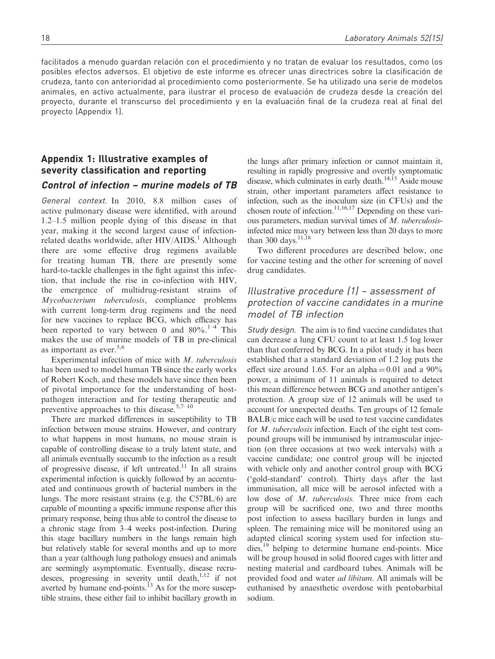facilitados a menudo guardan relación con el procedimiento y no tratan de evaluar los resultados, como los posibles efectos adversos. El objetivo de este informe es ofrecer unas directrices sobre la clasificación de crudeza, tanto con anterioridad al procedimiento como posteriormente. Se ha utilizado una serie de modelos animales, en activo actualmente, para ilustrar el proceso de evaluación de crudeza desde la creación del proyecto, durante el transcurso del procedimiento y en la evaluación final de la crudeza real al final del proyecto (Appendix 1).

# Appendix 1: Illustrative examples of severity classification and reporting

# Control of infection – murine models of TB

General context. In 2010, 8.8 million cases of active pulmonary disease were identified, with around 1.2–1.5 million people dying of this disease in that year, making it the second largest cause of infectionrelated deaths worldwide, after  $HIV/AIDS$ <sup>1</sup> Although there are some effective drug regimens available for treating human TB, there are presently some hard-to-tackle challenges in the fight against this infection, that include the rise in co-infection with HIV, the emergence of multidrug-resistant strains of Mycobacterium tuberculosis, compliance problems with current long-term drug regimens and the need for new vaccines to replace BCG, which efficacy has been reported to vary between 0 and  $80\%$ .<sup>1–4</sup> This makes the use of murine models of TB in pre-clinical as important as ever.<sup>5,6</sup>

Experimental infection of mice with M. tuberculosis has been used to model human TB since the early works of Robert Koch, and these models have since then been of pivotal importance for the understanding of hostpathogen interaction and for testing therapeutic and preventive approaches to this disease.<sup>5,7–10</sup>

There are marked differences in susceptibility to TB infection between mouse strains. However, and contrary to what happens in most humans, no mouse strain is capable of controlling disease to a truly latent state, and all animals eventually succumb to the infection as a result of progressive disease, if left untreated.<sup>11</sup> In all strains experimental infection is quickly followed by an accentuated and continuous growth of bacterial numbers in the lungs. The more resistant strains (e.g. the C57BL/6) are capable of mounting a specific immune response after this primary response, being thus able to control the disease to a chronic stage from 3–4 weeks post-infection. During this stage bacillary numbers in the lungs remain high but relatively stable for several months and up to more than a year (although lung pathology ensues) and animals are seemingly asymptomatic. Eventually, disease recrudesces, progressing in severity until death, $1,12$  if not averted by humane end-points.<sup>13</sup> As for the more susceptible strains, these either fail to inhibit bacillary growth in

the lungs after primary infection or cannot maintain it, resulting in rapidly progressive and overtly symptomatic disease, which culminates in early death.<sup>14,15</sup> Aside mouse strain, other important parameters affect resistance to infection, such as the inoculum size (in CFUs) and the chosen route of infection.<sup>11,16,17</sup> Depending on these various parameters, median survival times of M. tuberculosisinfected mice may vary between less than 20 days to more than 300 days.  $^{11,18}$ 

Two different procedures are described below, one for vaccine testing and the other for screening of novel drug candidates.

# Illustrative procedure (1) – assessment of protection of vaccine candidates in a murine model of TB infection

Study design. The aim is to find vaccine candidates that can decrease a lung CFU count to at least 1.5 log lower than that conferred by BCG. In a pilot study it has been established that a standard deviation of 1.2 log puts the effect size around 1.65. For an alpha  $= 0.01$  and a 90% power, a minimum of 11 animals is required to detect this mean difference between BCG and another antigen's protection. A group size of 12 animals will be used to account for unexpected deaths. Ten groups of 12 female BALB/c mice each will be used to test vaccine candidates for M. tuberculosis infection. Each of the eight test compound groups will be immunised by intramuscular injection (on three occasions at two week intervals) with a vaccine candidate; one control group will be injected with vehicle only and another control group with BCG ('gold-standard' control). Thirty days after the last immunisation, all mice will be aerosol infected with a low dose of M. tuberculosis. Three mice from each group will be sacrificed one, two and three months post infection to assess bacillary burden in lungs and spleen. The remaining mice will be monitored using an adapted clinical scoring system used for infection studies,<sup>19</sup> helping to determine humane end-points. Mice will be group housed in solid floored cages with litter and nesting material and cardboard tubes. Animals will be provided food and water ad libitum. All animals will be euthanised by anaesthetic overdose with pentobarbital sodium.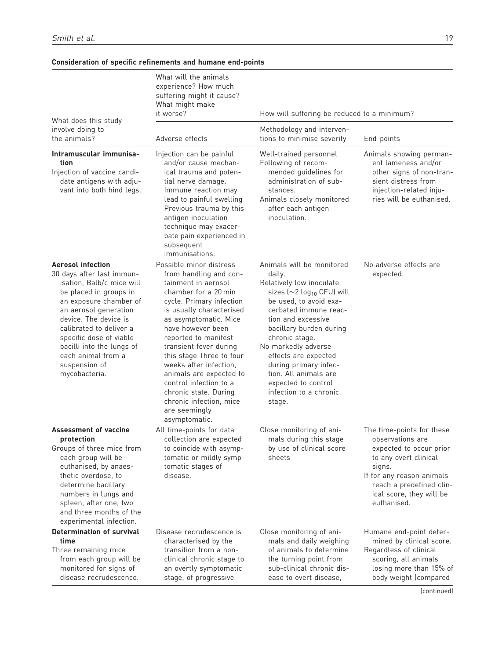|                                                                                                                                                                                                                                                                                                                                     | What will the animals<br>experience? How much<br>suffering might it cause?<br>What might make<br>it worse?                                                                                                                                                                                                                                                                                                                                                | How will suffering be reduced to a minimum?                                                                                                                                                                                                                                                                                                                                                       |                                                                                                                                                                                                                 |
|-------------------------------------------------------------------------------------------------------------------------------------------------------------------------------------------------------------------------------------------------------------------------------------------------------------------------------------|-----------------------------------------------------------------------------------------------------------------------------------------------------------------------------------------------------------------------------------------------------------------------------------------------------------------------------------------------------------------------------------------------------------------------------------------------------------|---------------------------------------------------------------------------------------------------------------------------------------------------------------------------------------------------------------------------------------------------------------------------------------------------------------------------------------------------------------------------------------------------|-----------------------------------------------------------------------------------------------------------------------------------------------------------------------------------------------------------------|
| What does this study<br>involve doing to<br>the animals?                                                                                                                                                                                                                                                                            | Adverse effects                                                                                                                                                                                                                                                                                                                                                                                                                                           | Methodology and interven-<br>tions to minimise severity                                                                                                                                                                                                                                                                                                                                           | End-points                                                                                                                                                                                                      |
| Intramuscular immunisa-<br>tion<br>Injection of vaccine candi-<br>date antigens with adju-<br>vant into both hind legs.                                                                                                                                                                                                             | Injection can be painful<br>and/or cause mechan-<br>ical trauma and poten-<br>tial nerve damage.<br>Immune reaction may<br>lead to painful swelling<br>Previous trauma by this<br>antigen inoculation<br>technique may exacer-<br>bate pain experienced in<br>subsequent<br>immunisations.                                                                                                                                                                | Well-trained personnel<br>Following of recom-<br>mended guidelines for<br>administration of sub-<br>stances.<br>Animals closely monitored<br>after each antigen<br>inoculation.                                                                                                                                                                                                                   | Animals showing perman-<br>ent lameness and/or<br>other signs of non-tran-<br>sient distress from<br>injection-related inju-<br>ries will be euthanised.                                                        |
| <b>Aerosol infection</b><br>30 days after last immun-<br>isation, Balb/c mice will<br>be placed in groups in<br>an exposure chamber of<br>an aerosol generation<br>device. The device is<br>calibrated to deliver a<br>specific dose of viable<br>bacilli into the lungs of<br>each animal from a<br>suspension of<br>mycobacteria. | Possible minor distress<br>from handling and con-<br>tainment in aerosol<br>chamber for a 20 min<br>cycle. Primary infection<br>is usually characterised<br>as asymptomatic. Mice<br>have however been<br>reported to manifest<br>transient fever during<br>this stage Three to four<br>weeks after infection.<br>animals are expected to<br>control infection to a<br>chronic state. During<br>chronic infection, mice<br>are seemingly<br>asymptomatic. | Animals will be monitored<br>daily.<br>Relatively low inoculate<br>sizes ( $\sim$ 2 log <sub>10</sub> CFU) will<br>be used, to avoid exa-<br>cerbated immune reac-<br>tion and excessive<br>bacillary burden during<br>chronic stage.<br>No markedly adverse<br>effects are expected<br>during primary infec-<br>tion. All animals are<br>expected to control<br>infection to a chronic<br>stage. | No adverse effects are<br>expected.                                                                                                                                                                             |
| Assessment of vaccine<br>protection<br>Groups of three mice from<br>each group will be<br>euthanised, by anaes-<br>thetic overdose, to<br>determine bacillary<br>numbers in lungs and<br>spleen, after one, two<br>and three months of the<br>experimental infection.                                                               | All time-points for data<br>collection are expected<br>to coincide with asymp-<br>tomatic or mildly symp-<br>tomatic stages of<br>disease.                                                                                                                                                                                                                                                                                                                | Close monitoring of ani-<br>mals during this stage<br>by use of clinical score<br>sheets                                                                                                                                                                                                                                                                                                          | The time-points for these<br>observations are<br>expected to occur prior<br>to any overt clinical<br>signs.<br>If for any reason animals<br>reach a predefined clin-<br>ical score, they will be<br>euthanised. |
| <b>Determination of survival</b><br>time<br>Three remaining mice<br>from each group will be<br>monitored for signs of<br>disease recrudescence.                                                                                                                                                                                     | Disease recrudescence is<br>characterised by the<br>transition from a non-<br>clinical chronic stage to<br>an overtly symptomatic<br>stage, of progressive                                                                                                                                                                                                                                                                                                | Close monitoring of ani-<br>mals and daily weighing<br>of animals to determine<br>the turning point from<br>sub-clinical chronic dis-<br>ease to overt disease,                                                                                                                                                                                                                                   | Humane end-point deter-<br>mined by clinical score.<br>Regardless of clinical<br>scoring, all animals<br>losing more than 15% of<br>body weight (compared<br>[confinuod]                                        |

### Consideration of specific refinements and humane end-points

(continued)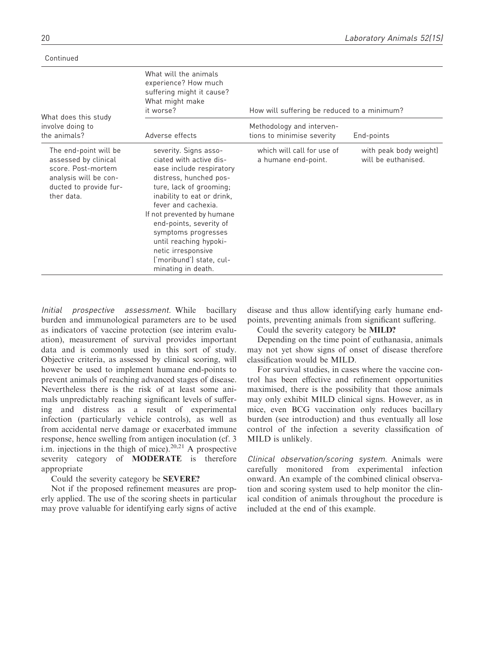Continued

| What does this study                                                                                                                 | What will the animals<br>experience? How much<br>suffering might it cause?<br>What might make<br>it worse?                                                                                                                                                                                                                                                               | How will suffering be reduced to a minimum?             |                                               |  |  |
|--------------------------------------------------------------------------------------------------------------------------------------|--------------------------------------------------------------------------------------------------------------------------------------------------------------------------------------------------------------------------------------------------------------------------------------------------------------------------------------------------------------------------|---------------------------------------------------------|-----------------------------------------------|--|--|
| involve doing to<br>the animals?                                                                                                     | Adverse effects                                                                                                                                                                                                                                                                                                                                                          | Methodology and interven-<br>tions to minimise severity | End-points                                    |  |  |
| The end-point will be<br>assessed by clinical<br>score. Post-mortem<br>analysis will be con-<br>ducted to provide fur-<br>ther data. | severity. Signs asso-<br>ciated with active dis-<br>ease include respiratory<br>distress, hunched pos-<br>ture, lack of grooming;<br>inability to eat or drink,<br>fever and cachexia.<br>If not prevented by humane<br>end-points, severity of<br>symptoms progresses<br>until reaching hypoki-<br>netic irresponsive<br>('moribund') state, cul-<br>minating in death. | which will call for use of<br>a humane end-point.       | with peak body weight)<br>will be euthanised. |  |  |

Initial prospective assessment. While bacillary burden and immunological parameters are to be used as indicators of vaccine protection (see interim evaluation), measurement of survival provides important data and is commonly used in this sort of study. Objective criteria, as assessed by clinical scoring, will however be used to implement humane end-points to prevent animals of reaching advanced stages of disease. Nevertheless there is the risk of at least some animals unpredictably reaching significant levels of suffering and distress as a result of experimental infection (particularly vehicle controls), as well as from accidental nerve damage or exacerbated immune response, hence swelling from antigen inoculation (cf. 3 i.m. injections in the thigh of mice).<sup>20,21</sup> A prospective severity category of MODERATE is therefore appropriate

### Could the severity category be SEVERE?

Not if the proposed refinement measures are properly applied. The use of the scoring sheets in particular may prove valuable for identifying early signs of active

disease and thus allow identifying early humane endpoints, preventing animals from significant suffering.

Could the severity category be MILD?

Depending on the time point of euthanasia, animals may not yet show signs of onset of disease therefore classification would be MILD.

For survival studies, in cases where the vaccine control has been effective and refinement opportunities maximised, there is the possibility that those animals may only exhibit MILD clinical signs. However, as in mice, even BCG vaccination only reduces bacillary burden (see introduction) and thus eventually all lose control of the infection a severity classification of MILD is unlikely.

Clinical observation/scoring system. Animals were carefully monitored from experimental infection onward. An example of the combined clinical observation and scoring system used to help monitor the clinical condition of animals throughout the procedure is included at the end of this example.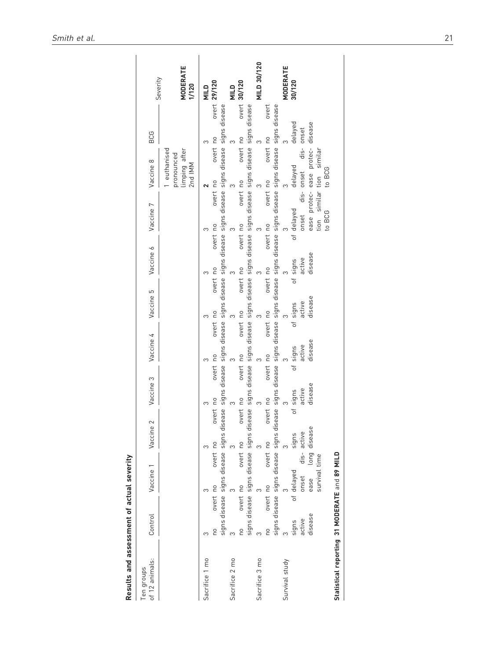| MILD 30/120<br>MODERATE<br>MODERATE<br>overt 30/120<br>30/120<br>overt 29/120<br>1/120<br>NILD<br>NIILD<br>and a series of the state of the state of signs of signs active to the signs disease signs disease signs disease and overt no overt no overt no overt no overt no overt no overt no overt no overt no signs disease signs dise<br>ease protec- ease protec- disease<br>overt no overt no overt no overt no overt no overt no<br>overt no overt no<br>limping after<br>2nd IMM<br>tion similar tion similar<br>euthanised<br>pronounced<br>to BCG<br>to BCG<br>overt no overt no overt no overt no<br>S<br>disease<br>disease<br>disease<br>disease<br>overt no<br>overt no<br>S<br>ease long disease<br>3 $\frac{3}{10}$ 3 $\frac{3}{10}$ 13<br>no overt no overt no<br>survival time<br>disease | of 12 animals: | Control Vaccine 1 Vaccine |  | Vaccine 3 Vaccine 5 Vaccine 6 Vaccine 7 Vaccine 7 Vaccine 8 |  |  |  |  | BCG | Severity |
|-------------------------------------------------------------------------------------------------------------------------------------------------------------------------------------------------------------------------------------------------------------------------------------------------------------------------------------------------------------------------------------------------------------------------------------------------------------------------------------------------------------------------------------------------------------------------------------------------------------------------------------------------------------------------------------------------------------------------------------------------------------------------------------------------------------|----------------|---------------------------|--|-------------------------------------------------------------|--|--|--|--|-----|----------|
|                                                                                                                                                                                                                                                                                                                                                                                                                                                                                                                                                                                                                                                                                                                                                                                                             |                |                           |  |                                                             |  |  |  |  |     |          |
|                                                                                                                                                                                                                                                                                                                                                                                                                                                                                                                                                                                                                                                                                                                                                                                                             |                |                           |  |                                                             |  |  |  |  |     |          |
| Sacrifice 2 mo<br>Sacrifice 3 mo<br>Survival study                                                                                                                                                                                                                                                                                                                                                                                                                                                                                                                                                                                                                                                                                                                                                          | Sacrifice 1 mo |                           |  |                                                             |  |  |  |  |     |          |
|                                                                                                                                                                                                                                                                                                                                                                                                                                                                                                                                                                                                                                                                                                                                                                                                             |                |                           |  |                                                             |  |  |  |  |     |          |
|                                                                                                                                                                                                                                                                                                                                                                                                                                                                                                                                                                                                                                                                                                                                                                                                             |                |                           |  |                                                             |  |  |  |  |     |          |
|                                                                                                                                                                                                                                                                                                                                                                                                                                                                                                                                                                                                                                                                                                                                                                                                             |                |                           |  |                                                             |  |  |  |  |     |          |
|                                                                                                                                                                                                                                                                                                                                                                                                                                                                                                                                                                                                                                                                                                                                                                                                             |                |                           |  |                                                             |  |  |  |  |     |          |
|                                                                                                                                                                                                                                                                                                                                                                                                                                                                                                                                                                                                                                                                                                                                                                                                             |                |                           |  |                                                             |  |  |  |  |     |          |
|                                                                                                                                                                                                                                                                                                                                                                                                                                                                                                                                                                                                                                                                                                                                                                                                             |                |                           |  |                                                             |  |  |  |  |     |          |
|                                                                                                                                                                                                                                                                                                                                                                                                                                                                                                                                                                                                                                                                                                                                                                                                             |                |                           |  |                                                             |  |  |  |  |     |          |
|                                                                                                                                                                                                                                                                                                                                                                                                                                                                                                                                                                                                                                                                                                                                                                                                             |                |                           |  |                                                             |  |  |  |  |     |          |
|                                                                                                                                                                                                                                                                                                                                                                                                                                                                                                                                                                                                                                                                                                                                                                                                             |                |                           |  |                                                             |  |  |  |  |     |          |
|                                                                                                                                                                                                                                                                                                                                                                                                                                                                                                                                                                                                                                                                                                                                                                                                             |                |                           |  |                                                             |  |  |  |  |     |          |
|                                                                                                                                                                                                                                                                                                                                                                                                                                                                                                                                                                                                                                                                                                                                                                                                             |                |                           |  |                                                             |  |  |  |  |     |          |
|                                                                                                                                                                                                                                                                                                                                                                                                                                                                                                                                                                                                                                                                                                                                                                                                             |                |                           |  |                                                             |  |  |  |  |     |          |
|                                                                                                                                                                                                                                                                                                                                                                                                                                                                                                                                                                                                                                                                                                                                                                                                             |                |                           |  |                                                             |  |  |  |  |     |          |
|                                                                                                                                                                                                                                                                                                                                                                                                                                                                                                                                                                                                                                                                                                                                                                                                             |                |                           |  |                                                             |  |  |  |  |     |          |

Statistical reporting 31 MODERATE and 89 MILD

Statistical reporting 31 MODERATE and 89 MILD

**Results and assessment of actual severity**<br>Ten groups Results and assessment of actual severity

Ten groups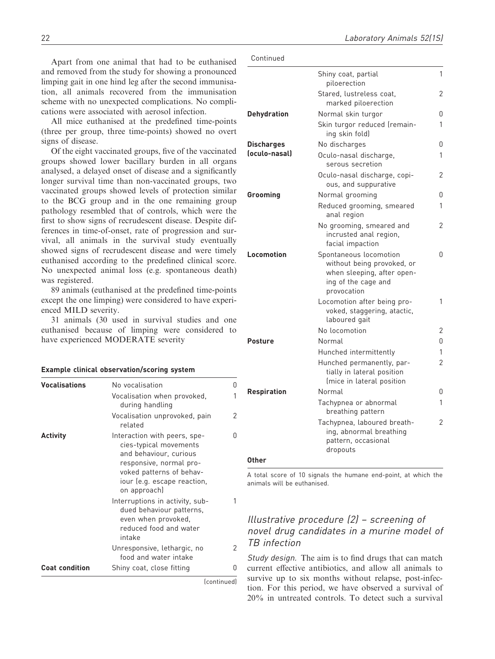Apart from one animal that had to be euthanised and removed from the study for showing a pronounced limping gait in one hind leg after the second immunisation, all animals recovered from the immunisation scheme with no unexpected complications. No complications were associated with aerosol infection.

All mice euthanised at the predefined time-points (three per group, three time-points) showed no overt signs of disease.

Of the eight vaccinated groups, five of the vaccinated groups showed lower bacillary burden in all organs analysed, a delayed onset of disease and a significantly longer survival time than non-vaccinated groups, two vaccinated groups showed levels of protection similar to the BCG group and in the one remaining group pathology resembled that of controls, which were the first to show signs of recrudescent disease. Despite differences in time-of-onset, rate of progression and survival, all animals in the survival study eventually showed signs of recrudescent disease and were timely euthanised according to the predefined clinical score. No unexpected animal loss (e.g. spontaneous death) was registered.

89 animals (euthanised at the predefined time-points except the one limping) were considered to have experienced MILD severity.

31 animals (30 used in survival studies and one euthanised because of limping were considered to have experienced MODERATE severity

#### Example clinical observation/scoring system

| <b>Vocalisations</b>  | No vocalisation                                                                                                                                                                        | 0 |
|-----------------------|----------------------------------------------------------------------------------------------------------------------------------------------------------------------------------------|---|
|                       | Vocalisation when provoked,<br>during handling                                                                                                                                         | 1 |
|                       | Vocalisation unprovoked, pain<br>related                                                                                                                                               | 2 |
| <b>Activity</b>       | Interaction with peers, spe-<br>cies-typical movements<br>and behaviour, curious<br>responsive, normal pro-<br>voked patterns of behav-<br>iour (e.g. escape reaction,<br>on approach) | 0 |
|                       | Interruptions in activity, sub-<br>dued behaviour patterns.<br>even when provoked,<br>reduced food and water<br>intake                                                                 | 1 |
|                       | Unresponsive, lethargic, no<br>food and water intake                                                                                                                                   | 2 |
| <b>Coat condition</b> | Shiny coat, close fitting                                                                                                                                                              | 0 |

(continued)

|                    | Shiny coat, partial<br>piloerection                                                                                      | 1 |
|--------------------|--------------------------------------------------------------------------------------------------------------------------|---|
|                    | Stared, lustreless coat,<br>marked piloerection                                                                          | 2 |
| <b>Dehydration</b> | Normal skin turgor                                                                                                       | O |
|                    | Skin turgor reduced (remain-<br>ing skin fold)                                                                           | 1 |
| <b>Discharges</b>  | No discharges                                                                                                            | 0 |
| (oculo-nasal)      | Oculo-nasal discharge,<br>serous secretion                                                                               | 1 |
|                    | Oculo-nasal discharge, copi-<br>ous, and suppurative                                                                     | 2 |
| Grooming           | Normal grooming                                                                                                          | 0 |
|                    | Reduced grooming, smeared<br>anal region                                                                                 | 1 |
|                    | No grooming, smeared and<br>incrusted anal region,<br>facial impaction                                                   | 2 |
| Locomotion         | Spontaneous locomotion<br>without being provoked, or<br>when sleeping, after open-<br>ing of the cage and<br>provocation | O |
|                    | Locomotion after being pro-<br>voked, staggering, atactic,<br>laboured gait                                              | 1 |
|                    | No locomotion                                                                                                            | 2 |
| <b>Posture</b>     | Normal                                                                                                                   | O |
|                    | Hunched intermittently                                                                                                   | 1 |
|                    | Hunched permanently, par-<br>tially in lateral position<br>(mice in lateral position                                     | 2 |
| <b>Respiration</b> | Normal                                                                                                                   | 0 |
|                    | Tachypnea or abnormal<br>breathing pattern                                                                               | 1 |
|                    | Tachypnea, laboured breath-<br>ing, abnormal breathing<br>pattern, occasional<br>dropouts                                | 2 |
|                    |                                                                                                                          |   |

**Other** 

A total score of 10 signals the humane end-point, at which the animals will be euthanised.

# Illustrative procedure (2) – screening of novel drug candidates in a murine model of TB infection

Study design. The aim is to find drugs that can match current effective antibiotics, and allow all animals to survive up to six months without relapse, post-infection. For this period, we have observed a survival of 20% in untreated controls. To detect such a survival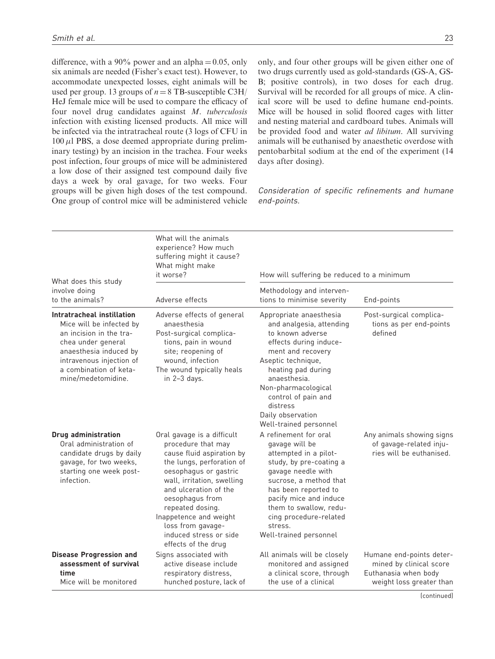difference, with a 90% power and an alpha  $= 0.05$ , only six animals are needed (Fisher's exact test). However, to accommodate unexpected losses, eight animals will be used per group. 13 groups of  $n = 8$  TB-susceptible C3H/ HeJ female mice will be used to compare the efficacy of four novel drug candidates against M. tuberculosis infection with existing licensed products. All mice will be infected via the intratracheal route (3 logs of CFU in  $100 \mu$ l PBS, a dose deemed appropriate during preliminary testing) by an incision in the trachea. Four weeks post infection, four groups of mice will be administered a low dose of their assigned test compound daily five days a week by oral gavage, for two weeks. Four groups will be given high doses of the test compound. One group of control mice will be administered vehicle only, and four other groups will be given either one of two drugs currently used as gold-standards (GS-A, GS-B; positive controls), in two doses for each drug. Survival will be recorded for all groups of mice. A clinical score will be used to define humane end-points. Mice will be housed in solid floored cages with litter and nesting material and cardboard tubes. Animals will be provided food and water *ad libitum*. All surviving animals will be euthanised by anaesthetic overdose with pentobarbital sodium at the end of the experiment (14 days after dosing).

Consideration of specific refinements and humane end-points.

| What does this study                                                                                                                                                                                          | What will the animals<br>experience? How much<br>suffering might it cause?<br>What might make<br>it worse?                                                                                                                                                                                                                        | How will suffering be reduced to a minimum                                                                                                                                                                                                                                                  |                                                                                                         |
|---------------------------------------------------------------------------------------------------------------------------------------------------------------------------------------------------------------|-----------------------------------------------------------------------------------------------------------------------------------------------------------------------------------------------------------------------------------------------------------------------------------------------------------------------------------|---------------------------------------------------------------------------------------------------------------------------------------------------------------------------------------------------------------------------------------------------------------------------------------------|---------------------------------------------------------------------------------------------------------|
| involve doing<br>to the animals?                                                                                                                                                                              | Adverse effects                                                                                                                                                                                                                                                                                                                   | Methodology and interven-<br>tions to minimise severity                                                                                                                                                                                                                                     | End-points                                                                                              |
| Intratracheal instillation<br>Mice will be infected by<br>an incision in the tra-<br>chea under general<br>anaesthesia induced by<br>intravenous injection of<br>a combination of keta-<br>mine/medetomidine. | Adverse effects of general<br>anaesthesia<br>Post-surgical complica-<br>tions, pain in wound<br>site; reopening of<br>wound, infection<br>The wound typically heals<br>in $2-3$ days.                                                                                                                                             | Appropriate anaesthesia<br>and analgesia, attending<br>to known adverse<br>effects during induce-<br>ment and recovery<br>Aseptic technique,<br>heating pad during<br>anaesthesia.<br>Non-pharmacological<br>control of pain and<br>distress<br>Daily observation<br>Well-trained personnel | Post-surgical complica-<br>tions as per end-points<br>defined                                           |
| <b>Drug administration</b><br>Oral administration of<br>candidate drugs by daily<br>gavage, for two weeks,<br>starting one week post-<br>infection.                                                           | Oral gavage is a difficult<br>procedure that may<br>cause fluid aspiration by<br>the lungs, perforation of<br>oesophagus or gastric<br>wall, irritation, swelling<br>and ulceration of the<br>oesophagus from<br>repeated dosing.<br>Inappetence and weight<br>loss from gavage-<br>induced stress or side<br>effects of the drug | A refinement for oral<br>gavage will be<br>attempted in a pilot-<br>study, by pre-coating a<br>gavage needle with<br>sucrose, a method that<br>has been reported to<br>pacify mice and induce<br>them to swallow, redu-<br>cing procedure-related<br>stress.<br>Well-trained personnel      | Any animals showing signs<br>of gavage-related inju-<br>ries will be euthanised.                        |
| <b>Disease Progression and</b><br>assessment of survival<br>time<br>Mice will be monitored                                                                                                                    | Signs associated with<br>active disease include<br>respiratory distress,<br>hunched posture, lack of                                                                                                                                                                                                                              | All animals will be closely<br>monitored and assigned<br>a clinical score, through<br>the use of a clinical                                                                                                                                                                                 | Humane end-points deter-<br>mined by clinical score<br>Euthanasia when body<br>weight loss greater than |

(continued)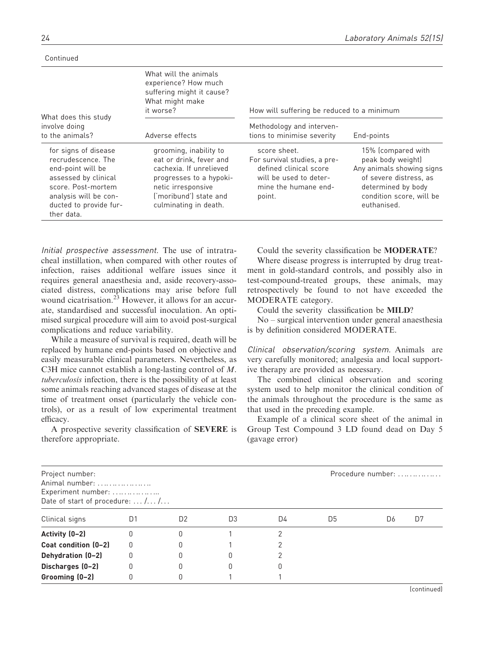Continued

| What does this study                                                                                                                                                           | What will the animals<br>experience? How much<br>suffering might it cause?<br>What might make<br>it worse?                                                                       | How will suffering be reduced to a minimum                                                                                         |                                                                                                                                                                 |
|--------------------------------------------------------------------------------------------------------------------------------------------------------------------------------|----------------------------------------------------------------------------------------------------------------------------------------------------------------------------------|------------------------------------------------------------------------------------------------------------------------------------|-----------------------------------------------------------------------------------------------------------------------------------------------------------------|
| involve doing<br>to the animals?                                                                                                                                               | Adverse effects                                                                                                                                                                  | Methodology and interven-<br>tions to minimise severity                                                                            | End-points                                                                                                                                                      |
| for signs of disease<br>recrudescence. The<br>end-point will be<br>assessed by clinical<br>score. Post-mortem<br>analysis will be con-<br>ducted to provide fur-<br>ther data. | grooming, inability to<br>eat or drink, fever and<br>cachexia. If unrelieved<br>progresses to a hypoki-<br>netic irresponsive<br>('moribund') state and<br>culminating in death. | score sheet.<br>For survival studies, a pre-<br>defined clinical score<br>will be used to deter-<br>mine the humane end-<br>point. | 15% (compared with<br>peak body weight)<br>Any animals showing signs<br>of severe distress, as<br>determined by body<br>condition score, will be<br>euthanised. |

Initial prospective assessment. The use of intratracheal instillation, when compared with other routes of infection, raises additional welfare issues since it requires general anaesthesia and, aside recovery-associated distress, complications may arise before full wound cicatrisation.<sup>23</sup> However, it allows for an accurate, standardised and successful inoculation. An optimised surgical procedure will aim to avoid post-surgical complications and reduce variability.

While a measure of survival is required, death will be replaced by humane end-points based on objective and easily measurable clinical parameters. Nevertheless, as C3H mice cannot establish a long-lasting control of M. tuberculosis infection, there is the possibility of at least some animals reaching advanced stages of disease at the time of treatment onset (particularly the vehicle controls), or as a result of low experimental treatment efficacy.

A prospective severity classification of SEVERE is therefore appropriate.

Could the severity classification be MODERATE?

Where disease progress is interrupted by drug treatment in gold-standard controls, and possibly also in test-compound-treated groups, these animals, may retrospectively be found to not have exceeded the MODERATE category.

Could the severity classification be MILD?

No – surgical intervention under general anaesthesia is by definition considered MODERATE.

Clinical observation/scoring system. Animals are very carefully monitored; analgesia and local supportive therapy are provided as necessary.

The combined clinical observation and scoring system used to help monitor the clinical condition of the animals throughout the procedure is the same as that used in the preceding example.

Example of a clinical score sheet of the animal in Group Test Compound 3 LD found dead on Day 5 (gavage error)

| Project number:<br>Animal number:<br>Experiment number:<br>Date of start of procedure: $\dots$ / $\dots$ / |    |                |    |    |    | Procedure number: |    |
|------------------------------------------------------------------------------------------------------------|----|----------------|----|----|----|-------------------|----|
| Clinical signs                                                                                             | D1 | D <sub>2</sub> | D3 | D4 | D5 | D6                | D7 |
| Activity (0-2)                                                                                             | O  |                |    |    |    |                   |    |
| Coat condition (0-2)                                                                                       | 0  |                |    |    |    |                   |    |
| Dehydration (0-2)                                                                                          | 0  |                |    |    |    |                   |    |
| Discharges (0-2)                                                                                           | 0  |                |    |    |    |                   |    |
| Grooming (0-2)                                                                                             | 0  |                |    |    |    |                   |    |

(continued)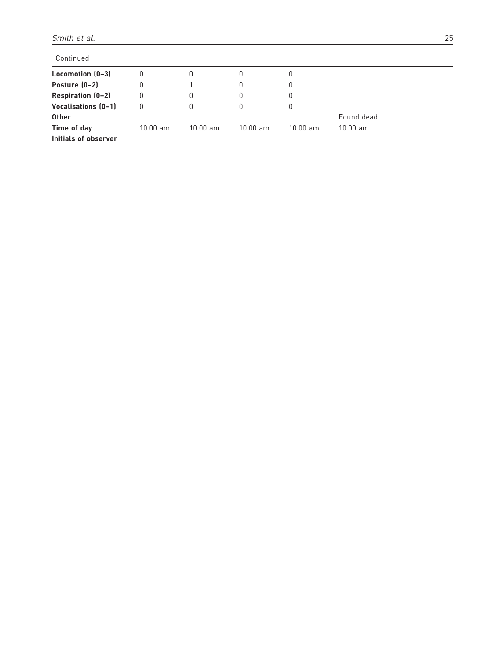| Continued            |                    |            |                    |            |            |  |
|----------------------|--------------------|------------|--------------------|------------|------------|--|
| Locomotion (0-3)     | 0                  | U          | 0                  | U          |            |  |
| Posture (0-2)        | 0                  |            | 0                  | 0          |            |  |
| Respiration (0-2)    | 0                  | 0          | 0                  |            |            |  |
| Vocalisations (0-1)  | 0                  | U          | 0                  | 0          |            |  |
| <b>Other</b>         |                    |            |                    |            | Found dead |  |
| Time of day          | $10.00 \text{ am}$ | $10.00$ am | $10.00 \text{ am}$ | $10.00$ am | $10.00$ am |  |
| Initials of observer |                    |            |                    |            |            |  |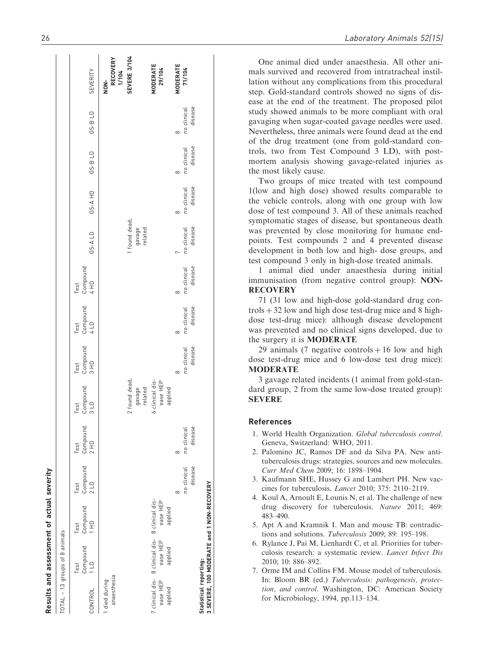|                            | TOTAL - 13 groups of 8 animals                                         |                                                   |                                    |                                    |                                        |                                    |                                    |                                    |                                    |                                    |                                    |                                    |                                         |
|----------------------------|------------------------------------------------------------------------|---------------------------------------------------|------------------------------------|------------------------------------|----------------------------------------|------------------------------------|------------------------------------|------------------------------------|------------------------------------|------------------------------------|------------------------------------|------------------------------------|-----------------------------------------|
| CONTROL                    | 11D<br>Test                                                            | Compound Compound Compound<br>$rac{4}{1}$<br>Test | 2LD<br>Test                        | Compound<br>2 HD<br>Test           | Compound<br>3L <sub>D</sub><br>Test    | Compound<br>3 HD<br>Test           | Compound<br>4 LD<br>Test           | Compound<br>4 HD<br>Test           | GS-ALD                             | GS-A HD                            | GS-B LD                            | GS-B LD                            | SEVERITY                                |
| anaesthesia<br>died during |                                                                        |                                                   |                                    |                                    |                                        |                                    |                                    |                                    |                                    |                                    |                                    |                                    | <b>RECOVERY</b><br>1/104<br>$rac{1}{2}$ |
|                            |                                                                        |                                                   |                                    |                                    | 2 found dead;<br>related<br>gavage     |                                    |                                    |                                    | 1 found dead;<br>gavage<br>related |                                    |                                    |                                    | SEVERE 3/104                            |
| ease HEP<br>applied        | 7 clinical dis- 8 clinical dis- 8 clinical dis-<br>ease HEP<br>applied | ease HEP<br>applied                               |                                    |                                    | 6 clinical dis-<br>ease HEP<br>applied |                                    |                                    |                                    |                                    |                                    |                                    |                                    | MODERATE<br>29/104                      |
|                            |                                                                        |                                                   | disease<br>no clinical<br>$\infty$ | disease<br>no clinical<br>$\infty$ |                                        | disease<br>no clinical<br>$\infty$ | disease<br>no clinical<br>$\infty$ | disease<br>no clinical<br>$\infty$ | disease<br>no clinical             | disease<br>no clinical<br>$\infty$ | disease<br>no clinical<br>$\infty$ | disease<br>no clinical<br>$\infty$ | <b>MODERATE</b><br>71/104               |
| Statistical reporting:     | 3 SEVERE, 100 MODERATE and 1 NON-RECOVERY                              |                                                   |                                    |                                    |                                        |                                    |                                    |                                    |                                    |                                    |                                    |                                    |                                         |

One animal died under anaesthesia. All other animals survived and recovered from intratracheal instillation without any complications from this procedural step. Gold-standard controls showed no signs of disease at the end of the treatment. The proposed pilot study showed animals to be more compliant with oral gavaging when sugar-coated gavage needles were used. Nevertheless, three animals were found dead at the end of the drug treatment (one from gold-standard controls, two from Test Compound 3 LD), with postmortem analysis showing gavage-related injuries as the most likely cause.

Two groups of mice treated with test compound 1(low and high dose) showed results comparable to the vehicle controls, along with one group with low dose of test compound 3. All of these animals reached symptomatic stages of disease, but spontaneous death was prevented by close monitoring for humane endpoints. Test compounds 2 and 4 prevented disease development in both low and high- dose groups, and test compound 3 only in high-dose treated animals.

1 animal died under anaesthesia during initial immunisation (from negative control group): NON-**RECOVERY** 

71 (31 low and high-dose gold-standard drug con $trols + 32$  low and high dose test-drug mice and 8 highdose test-drug mice): although disease development was prevented and no clinical signs developed, due to the surgery it is MODERATE

29 animals (7 negative controls  $+16$  low and high dose test-drug mice and 6 low-dose test drug mice): **MODERATE** 

3 gavage related incidents (1 animal from gold-standard group, 2 from the same low-dose treated group): **SEVERE** 

#### References

- 1. World Health Organization. Global tuberculosis control . Geneva, Switzerland: WHO, 2011.
- 2. Palomino JC, Ramos DF and da Silva PA. New antituberculosis drugs: strategies, sources and new molecules. Curr Med Chem 2009; 16: 1898–1904.
- 3. Kaufmann SHE, Hussey G and Lambert PH. New vaccines for tuberculosis. Lancet 2010; 375: 2110–2119.
- 4. Koul A, Arnoult E, Lounis N, et al. The challenge of new drug discovery for tuberculosis. Nature 2011; 469: 483–490.
- 5. Apt A and Kramnik I. Man and mouse TB: contradictions and solutions. Tuberculosis 2009; 89: 195–198.
- 6. Rylance J, Pai M, Lienhardt C, et al. Priorities for tuberculosis research: a systematic review. Lancet Infect Dis 2010; 10: 886–892.
- 7. Orme IM and Collins FM. Mouse model of tuberculosis. In: Bloom BR (ed.) Tuberculosis: pathogenesis, protection, and control. Washington, DC: American Society for Microbiology, 1994, pp.113–134.

Results and assessment of actual severity

Results and assessment of actual severity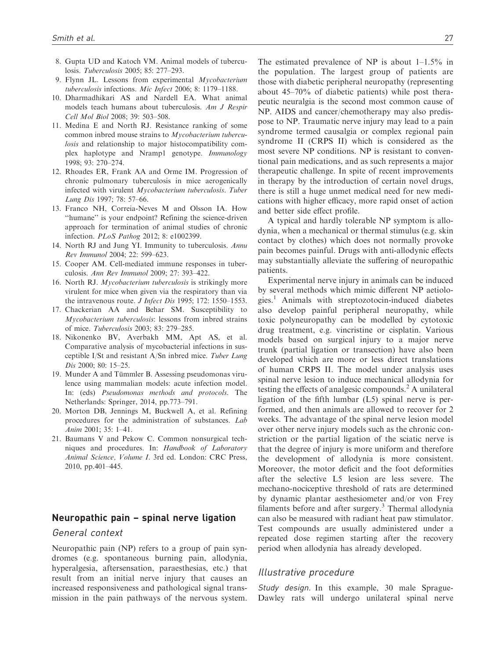- 8. Gupta UD and Katoch VM. Animal models of tuberculosis. Tuberculosis 2005; 85: 277–293.
- 9. Flynn JL. Lessons from experimental Mycobacterium tuberculosis infections. Mic Infect 2006; 8: 1179–1188.
- 10. Dharmadhikari AS and Nardell EA. What animal models teach humans about tuberculosis. Am J Respir Cell Mol Biol 2008; 39: 503–508.
- 11. Medina E and North RJ. Resistance ranking of some common inbred mouse strains to Mycobacterium tuberculosis and relationship to major histocompatibility complex haplotype and Nramp1 genotype. Immunology 1998; 93: 270–274.
- 12. Rhoades ER, Frank AA and Orme IM. Progression of chronic pulmonary tuberculosis in mice aerogenically infected with virulent Mycobacterium tuberculosis. Tuber Lung Dis 1997; 78: 57–66.
- 13. Franco NH, Correia-Neves M and Olsson IA. How ''humane'' is your endpoint? Refining the science-driven approach for termination of animal studies of chronic infection. PLoS Pathog 2012; 8: e1002399.
- 14. North RJ and Jung YI. Immunity to tuberculosis. Annu Rev Immunol 2004; 22: 599–623.
- 15. Cooper AM. Cell-mediated immune responses in tuberculosis. Ann Rev Immunol 2009; 27: 393–422.
- 16. North RJ. Mycobacterium tuberculosis is strikingly more virulent for mice when given via the respiratory than via the intravenous route. J Infect Dis 1995; 172: 1550–1553.
- 17. Chackerian AA and Behar SM. Susceptibility to Mycobacterium tuberculosis: lessons from inbred strains of mice. Tuberculosis 2003; 83: 279–285.
- 18. Nikonenko BV, Averbakh MM, Apt AS, et al. Comparative analysis of mycobacterial infections in susceptible I/St and resistant A/Sn inbred mice. Tuber Lung Dis 2000; 80: 15–25.
- 19. Munder A and Tümmler B. Assessing pseudomonas virulence using mammalian models: acute infection model. In: (eds) Pseudomonas methods and protocols. The Netherlands: Springer, 2014, pp.773–791.
- 20. Morton DB, Jennings M, Buckwell A, et al. Refining procedures for the administration of substances. Lab Anim 2001; 35: 1–41.
- 21. Baumans V and Pekow C. Common nonsurgical techniques and procedures. In: Handbook of Laboratory Animal Science, Volume I. 3rd ed. London: CRC Press, 2010, pp.401–445.

# Neuropathic pain – spinal nerve ligation

### General context

Neuropathic pain (NP) refers to a group of pain syndromes (e.g. spontaneous burning pain, allodynia, hyperalgesia, aftersensation, paraesthesias, etc.) that result from an initial nerve injury that causes an increased responsiveness and pathological signal transmission in the pain pathways of the nervous system. The estimated prevalence of NP is about 1–1.5% in the population. The largest group of patients are those with diabetic peripheral neuropathy (representing about 45–70% of diabetic patients) while post therapeutic neuralgia is the second most common cause of NP. AIDS and cancer/chemotherapy may also predispose to NP. Traumatic nerve injury may lead to a pain syndrome termed causalgia or complex regional pain syndrome II (CRPS II) which is considered as the most severe NP conditions. NP is resistant to conventional pain medications, and as such represents a major therapeutic challenge. In spite of recent improvements in therapy by the introduction of certain novel drugs, there is still a huge unmet medical need for new medications with higher efficacy, more rapid onset of action and better side effect profile.

A typical and hardly tolerable NP symptom is allodynia, when a mechanical or thermal stimulus (e.g. skin contact by clothes) which does not normally provoke pain becomes painful. Drugs with anti-allodynic effects may substantially alleviate the suffering of neuropathic patients.

Experimental nerve injury in animals can be induced by several methods which mimic different NP aetiologies.<sup>1</sup> Animals with streptozotocin-induced diabetes also develop painful peripheral neuropathy, while toxic polyneuropathy can be modelled by cytotoxic drug treatment, e.g. vincristine or cisplatin. Various models based on surgical injury to a major nerve trunk (partial ligation or transection) have also been developed which are more or less direct translations of human CRPS II. The model under analysis uses spinal nerve lesion to induce mechanical allodynia for testing the effects of analgesic compounds.<sup>2</sup> A unilateral ligation of the fifth lumbar (L5) spinal nerve is performed, and then animals are allowed to recover for 2 weeks. The advantage of the spinal nerve lesion model over other nerve injury models such as the chronic constriction or the partial ligation of the sciatic nerve is that the degree of injury is more uniform and therefore the development of allodynia is more consistent. Moreover, the motor deficit and the foot deformities after the selective L5 lesion are less severe. The mechano-nociceptive threshold of rats are determined by dynamic plantar aesthesiometer and/or von Frey filaments before and after surgery. $3$  Thermal allodynia can also be measured with radiant heat paw stimulator. Test compounds are usually administered under a repeated dose regimen starting after the recovery period when allodynia has already developed.

#### Illustrative procedure

Study design. In this example, 30 male Sprague-Dawley rats will undergo unilateral spinal nerve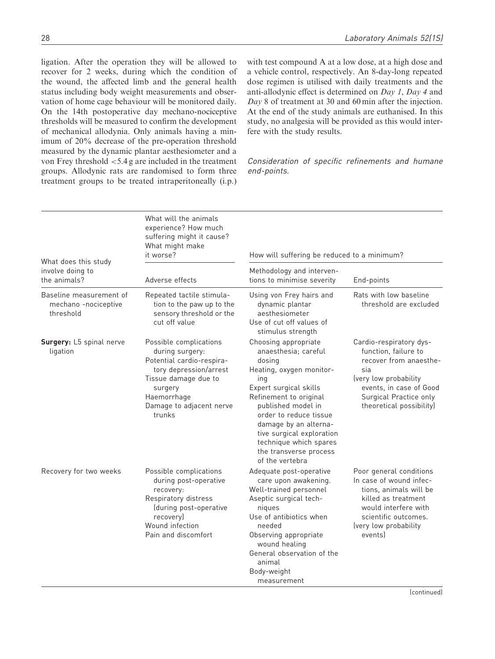ligation. After the operation they will be allowed to recover for 2 weeks, during which the condition of the wound, the affected limb and the general health status including body weight measurements and observation of home cage behaviour will be monitored daily. On the 14th postoperative day mechano-nociceptive thresholds will be measured to confirm the development of mechanical allodynia. Only animals having a minimum of 20% decrease of the pre-operation threshold measured by the dynamic plantar aesthesiometer and a von Frey threshold <5.4 g are included in the treatment groups. Allodynic rats are randomised to form three treatment groups to be treated intraperitoneally (i.p.) with test compound A at a low dose, at a high dose and a vehicle control, respectively. An 8-day-long repeated dose regimen is utilised with daily treatments and the anti-allodynic effect is determined on Day 1, Day 4 and Day 8 of treatment at 30 and 60 min after the injection. At the end of the study animals are euthanised. In this study, no analgesia will be provided as this would interfere with the study results.

Consideration of specific refinements and humane end-points.

|                                                              | What will the animals<br>experience? How much<br>suffering might it cause?<br>What might make<br>it worse?                                                                               | How will suffering be reduced to a minimum?                                                                                                                                                                                                                                                                                |                                                                                                                                                                                            |
|--------------------------------------------------------------|------------------------------------------------------------------------------------------------------------------------------------------------------------------------------------------|----------------------------------------------------------------------------------------------------------------------------------------------------------------------------------------------------------------------------------------------------------------------------------------------------------------------------|--------------------------------------------------------------------------------------------------------------------------------------------------------------------------------------------|
| What does this study<br>involve doing to<br>the animals?     | Adverse effects                                                                                                                                                                          | Methodology and interven-<br>tions to minimise severity                                                                                                                                                                                                                                                                    | End-points                                                                                                                                                                                 |
| Baseline measurement of<br>mechano -nociceptive<br>threshold | Repeated tactile stimula-<br>tion to the paw up to the<br>sensory threshold or the<br>cut off value                                                                                      | Using von Frey hairs and<br>dynamic plantar<br>aesthesiometer<br>Use of cut off values of<br>stimulus strength                                                                                                                                                                                                             | Rats with low baseline<br>threshold are excluded                                                                                                                                           |
| Surgery: L5 spinal nerve<br>ligation                         | Possible complications<br>during surgery:<br>Potential cardio-respira-<br>tory depression/arrest<br>Tissue damage due to<br>surgery<br>Haemorrhage<br>Damage to adjacent nerve<br>trunks | Choosing appropriate<br>anaesthesia; careful<br>dosing<br>Heating, oxygen monitor-<br>ing<br>Expert surgical skills<br>Refinement to original<br>published model in<br>order to reduce tissue<br>damage by an alterna-<br>tive surgical exploration<br>technique which spares<br>the transverse process<br>of the vertebra | Cardio-respiratory dys-<br>function, failure to<br>recover from anaesthe-<br>sia<br>(very low probability<br>events, in case of Good<br>Surgical Practice only<br>theoretical possibility) |
| Recovery for two weeks                                       | Possible complications<br>during post-operative<br>recovery:<br>Respiratory distress<br>(during post-operative<br>recovery)<br>Wound infection<br>Pain and discomfort                    | Adequate post-operative<br>care upon awakening.<br>Well-trained personnel<br>Aseptic surgical tech-<br>niques<br>Use of antibiotics when<br>needed<br>Observing appropriate<br>wound healing<br>General observation of the<br>animal<br>Body-weight<br>measurement                                                         | Poor general conditions<br>In case of wound infec-<br>tions, animals will be<br>killed as treatment<br>would interfere with<br>scientific outcomes.<br>(very low probability<br>eventsl    |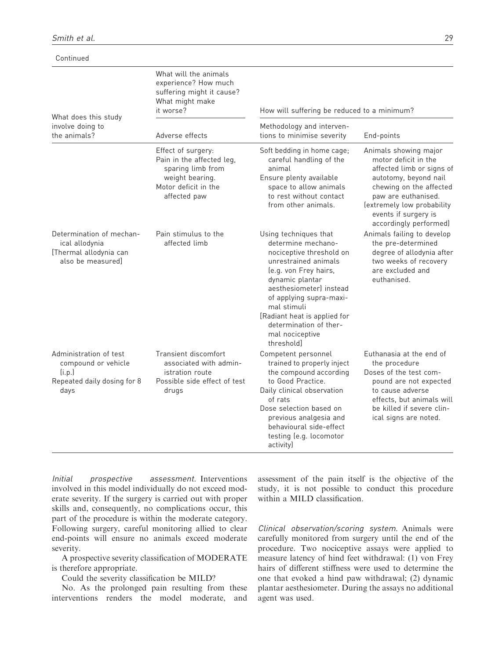| Continued                                                                                      |                                                                                                                                 |                                                                                                                                                                                                                                                                                                            |                                                                                                                                                                                                                                       |
|------------------------------------------------------------------------------------------------|---------------------------------------------------------------------------------------------------------------------------------|------------------------------------------------------------------------------------------------------------------------------------------------------------------------------------------------------------------------------------------------------------------------------------------------------------|---------------------------------------------------------------------------------------------------------------------------------------------------------------------------------------------------------------------------------------|
| What does this study                                                                           | What will the animals<br>experience? How much<br>suffering might it cause?<br>What might make<br>it worse?                      | How will suffering be reduced to a minimum?                                                                                                                                                                                                                                                                |                                                                                                                                                                                                                                       |
| involve doing to<br>the animals?                                                               | Adverse effects                                                                                                                 | Methodology and interven-<br>tions to minimise severity                                                                                                                                                                                                                                                    | End-points                                                                                                                                                                                                                            |
|                                                                                                | Effect of surgery:<br>Pain in the affected leg,<br>sparing limb from<br>weight bearing.<br>Motor deficit in the<br>affected paw | Soft bedding in home cage;<br>careful handling of the<br>animal<br>Ensure plenty available<br>space to allow animals<br>to rest without contact<br>from other animals.                                                                                                                                     | Animals showing major<br>motor deficit in the<br>affected limb or signs of<br>autotomy, beyond nail<br>chewing on the affected<br>paw are euthanised.<br>(extremely low probability<br>events if surgery is<br>accordingly performed) |
| Determination of mechan-<br>ical allodynia<br>[Thermal allodynia can<br>also be measured]      | Pain stimulus to the<br>affected limb                                                                                           | Using techniques that<br>determine mechano-<br>nociceptive threshold on<br>unrestrained animals<br>(e.g. von Frey hairs,<br>dynamic plantar<br>aesthesiometerl instead<br>of applying supra-maxi-<br>mal stimuli<br>[Radiant heat is applied for<br>determination of ther-<br>mal nociceptive<br>threshold | Animals failing to develop<br>the pre-determined<br>degree of allodynia after<br>two weeks of recovery<br>are excluded and<br>euthanised.                                                                                             |
| Administration of test<br>compound or vehicle<br>(i.p.)<br>Repeated daily dosing for 8<br>days | Transient discomfort<br>associated with admin-<br>istration route<br>Possible side effect of test<br>drugs                      | Competent personnel<br>trained to properly inject<br>the compound according<br>to Good Practice.<br>Daily clinical observation<br>of rats<br>Dose selection based on<br>previous analgesia and<br>behavioural side-effect<br>testing (e.g. locomotor<br>activity)                                          | Euthanasia at the end of<br>the procedure<br>Doses of the test com-<br>pound are not expected<br>to cause adverse<br>effects, but animals will<br>be killed if severe clin-<br>ical signs are noted.                                  |

Initial prospective assessment. Interventions involved in this model individually do not exceed moderate severity. If the surgery is carried out with proper skills and, consequently, no complications occur, this part of the procedure is within the moderate category. Following surgery, careful monitoring allied to clear end-points will ensure no animals exceed moderate severity.

A prospective severity classification of MODERATE is therefore appropriate.

Could the severity classification be MILD?

No. As the prolonged pain resulting from these interventions renders the model moderate, and assessment of the pain itself is the objective of the study, it is not possible to conduct this procedure within a MILD classification.

Clinical observation/scoring system. Animals were carefully monitored from surgery until the end of the procedure. Two nociceptive assays were applied to measure latency of hind feet withdrawal: (1) von Frey hairs of different stiffness were used to determine the one that evoked a hind paw withdrawal; (2) dynamic plantar aesthesiometer. During the assays no additional agent was used.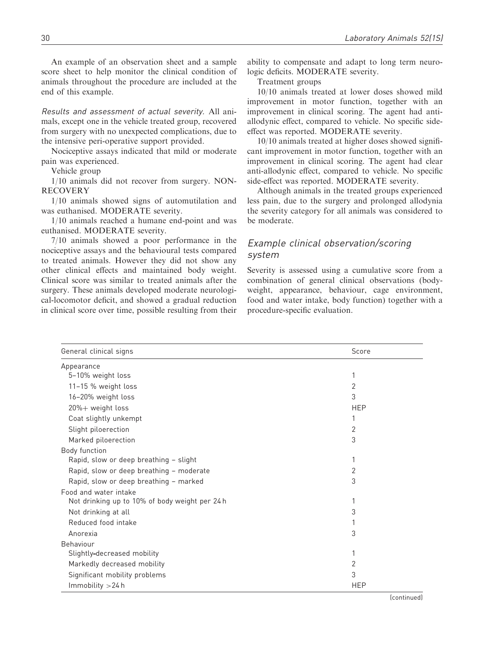An example of an observation sheet and a sample score sheet to help monitor the clinical condition of animals throughout the procedure are included at the end of this example.

Results and assessment of actual severity. All animals, except one in the vehicle treated group, recovered from surgery with no unexpected complications, due to the intensive peri-operative support provided.

Nociceptive assays indicated that mild or moderate pain was experienced.

Vehicle group

1/10 animals did not recover from surgery. NON-RECOVERY

1/10 animals showed signs of automutilation and was euthanised. MODERATE severity.

1/10 animals reached a humane end-point and was euthanised. MODERATE severity.

7/10 animals showed a poor performance in the nociceptive assays and the behavioural tests compared to treated animals. However they did not show any other clinical effects and maintained body weight. Clinical score was similar to treated animals after the surgery. These animals developed moderate neurological-locomotor deficit, and showed a gradual reduction in clinical score over time, possible resulting from their ability to compensate and adapt to long term neurologic deficits. MODERATE severity.

Treatment groups

10/10 animals treated at lower doses showed mild improvement in motor function, together with an improvement in clinical scoring. The agent had antiallodynic effect, compared to vehicle. No specific sideeffect was reported. MODERATE severity.

10/10 animals treated at higher doses showed significant improvement in motor function, together with an improvement in clinical scoring. The agent had clear anti-allodynic effect, compared to vehicle. No specific side-effect was reported. MODERATE severity.

Although animals in the treated groups experienced less pain, due to the surgery and prolonged allodynia the severity category for all animals was considered to be moderate.

# Example clinical observation/scoring system

Severity is assessed using a cumulative score from a combination of general clinical observations (bodyweight, appearance, behaviour, cage environment, food and water intake, body function) together with a procedure-specific evaluation.

| General clinical signs                         | Score      |
|------------------------------------------------|------------|
| Appearance                                     |            |
| 5-10% weight loss                              | 1          |
| 11-15 % weight loss                            | 2          |
| 16-20% weight loss                             | 3          |
| 20%+ weight loss                               | <b>HEP</b> |
| Coat slightly unkempt                          | 1          |
| Slight piloerection                            | 2          |
| Marked piloerection                            | 3          |
| Body function                                  |            |
| Rapid, slow or deep breathing - slight         | 1          |
| Rapid, slow or deep breathing - moderate       | 2          |
| Rapid, slow or deep breathing - marked         | 3          |
| Food and water intake                          |            |
| Not drinking up to 10% of body weight per 24 h | 1          |
| Not drinking at all                            | 3          |
| Reduced food intake                            |            |
| Anorexia                                       | 3          |
| Behaviour                                      |            |
| Slightly-decreased mobility                    | 1          |
| Markedly decreased mobility                    | 2          |
| Significant mobility problems                  | 3          |
| Immobility > 24 h                              | <b>HEP</b> |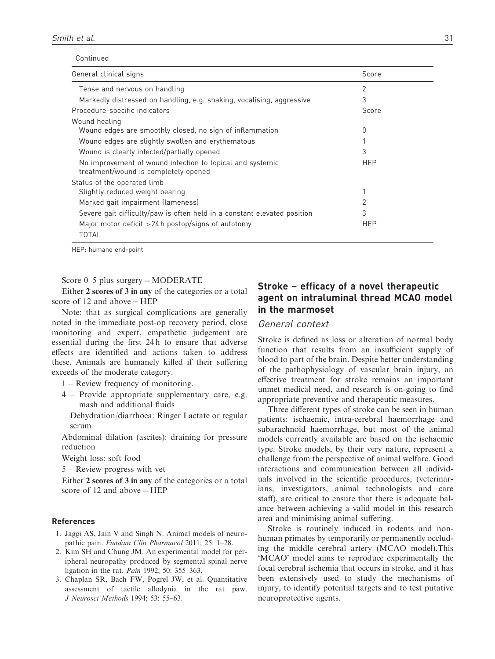|  | Continued |
|--|-----------|
|  |           |

| General clinical signs                                                                            | Score      |  |
|---------------------------------------------------------------------------------------------------|------------|--|
| Tense and nervous on handling                                                                     | 2          |  |
| Markedly distressed on handling, e.g. shaking, vocalising, aggressive                             | 3          |  |
| Procedure-specific indicators                                                                     | Score      |  |
| Wound healing                                                                                     |            |  |
| Wound edges are smoothly closed, no sign of inflammation                                          | 0          |  |
| Wound edges are slightly swollen and erythematous                                                 |            |  |
| Wound is clearly infected/partially opened                                                        | 3          |  |
| No improvement of wound infection to topical and systemic<br>treatment/wound is completely opened | <b>HEP</b> |  |
| Status of the operated limb                                                                       |            |  |
| Slightly reduced weight bearing                                                                   |            |  |
| Marked gait impairment (lameness)                                                                 | 2          |  |
| Severe gait difficulty/paw is often held in a constant elevated position                          | 3          |  |
| Major motor deficit $>24$ h postop/signs of autotomy                                              | <b>HEP</b> |  |
| TOTAL                                                                                             |            |  |

HEP: humane end-point

#### Score  $0-5$  plus surgery  $=$  MODERATE

Either 2 scores of 3 in any of the categories or a total score of 12 and above  $=$  HEP

Note: that as surgical complications are generally noted in the immediate post-op recovery period, close monitoring and expert, empathetic judgement are essential during the first 24 h to ensure that adverse effects are identified and actions taken to address these. Animals are humanely killed if their suffering exceeds of the moderate category.

- 1 Review frequency of monitoring.
- 4 Provide appropriate supplementary care, e.g. mash and additional fluids

Dehydration/diarrhoea: Ringer Lactate or regular serum

Abdominal dilation (ascites): draining for pressure reduction

Weight loss: soft food

5 – Review progress with vet

Either 2 scores of 3 in any of the categories or a total score of 12 and above  $=$  HEP

#### References

- 1. Jaggi AS, Jain V and Singh N. Animal models of neuropathic pain. Fundam Clin Pharmacol 2011; 25: 1–28.
- 2. Kim SH and Chung JM. An experimental model for peripheral neuropathy produced by segmental spinal nerve ligation in the rat. Pain 1992; 50: 355–363.
- 3. Chaplan SR, Bach FW, Pogrel JW, et al. Quantitative assessment of tactile allodynia in the rat paw. J Neurosci Methods 1994; 53: 55–63.

# Stroke – efficacy of a novel therapeutic agent on intraluminal thread MCAO model in the marmoset

#### General context

Stroke is defined as loss or alteration of normal body function that results from an insufficient supply of blood to part of the brain. Despite better understanding of the pathophysiology of vascular brain injury, an effective treatment for stroke remains an important unmet medical need, and research is on-going to find appropriate preventive and therapeutic measures.

Three different types of stroke can be seen in human patients: ischaemic, intra-cerebral haemorrhage and subarachnoid haemorrhage, but most of the animal models currently available are based on the ischaemic type. Stroke models, by their very nature, represent a challenge from the perspective of animal welfare. Good interactions and communication between all individuals involved in the scientific procedures, (veterinarians, investigators, animal technologists and care staff), are critical to ensure that there is adequate balance between achieving a valid model in this research area and minimising animal suffering.

Stroke is routinely induced in rodents and nonhuman primates by temporarily or permanently occluding the middle cerebral artery (MCAO model).This 'MCAO' model aims to reproduce experimentally the focal cerebral ischemia that occurs in stroke, and it has been extensively used to study the mechanisms of injury, to identify potential targets and to test putative neuroprotective agents.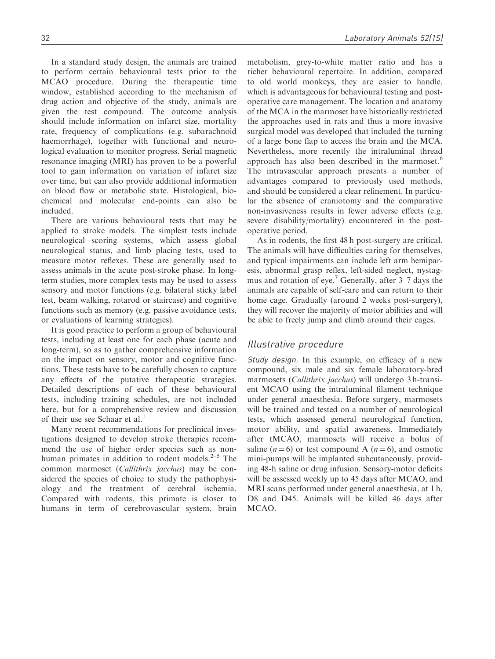In a standard study design, the animals are trained to perform certain behavioural tests prior to the MCAO procedure. During the therapeutic time window, established according to the mechanism of drug action and objective of the study, animals are given the test compound. The outcome analysis should include information on infarct size, mortality rate, frequency of complications (e.g. subarachnoid haemorrhage), together with functional and neurological evaluation to monitor progress. Serial magnetic resonance imaging (MRI) has proven to be a powerful tool to gain information on variation of infarct size over time, but can also provide additional information on blood flow or metabolic state. Histological, biochemical and molecular end-points can also be included.

There are various behavioural tests that may be applied to stroke models. The simplest tests include neurological scoring systems, which assess global neurological status, and limb placing tests, used to measure motor reflexes. These are generally used to assess animals in the acute post-stroke phase. In longterm studies, more complex tests may be used to assess sensory and motor functions (e.g. bilateral sticky label test, beam walking, rotarod or staircase) and cognitive functions such as memory (e.g. passive avoidance tests, or evaluations of learning strategies).

It is good practice to perform a group of behavioural tests, including at least one for each phase (acute and long-term), so as to gather comprehensive information on the impact on sensory, motor and cognitive functions. These tests have to be carefully chosen to capture any effects of the putative therapeutic strategies. Detailed descriptions of each of these behavioural tests, including training schedules, are not included here, but for a comprehensive review and discussion of their use see Schaar et al.<sup>1</sup>

Many recent recommendations for preclinical investigations designed to develop stroke therapies recommend the use of higher order species such as nonhuman primates in addition to rodent models. $2-5$  The common marmoset (Callithrix jacchus) may be considered the species of choice to study the pathophysiology and the treatment of cerebral ischemia. Compared with rodents, this primate is closer to humans in term of cerebrovascular system, brain metabolism, grey-to-white matter ratio and has a richer behavioural repertoire. In addition, compared to old world monkeys, they are easier to handle, which is advantageous for behavioural testing and postoperative care management. The location and anatomy of the MCA in the marmoset have historically restricted the approaches used in rats and thus a more invasive surgical model was developed that included the turning of a large bone flap to access the brain and the MCA. Nevertheless, more recently the intraluminal thread approach has also been described in the marmoset.<sup>6</sup> The intravascular approach presents a number of advantages compared to previously used methods, and should be considered a clear refinement. In particular the absence of craniotomy and the comparative non-invasiveness results in fewer adverse effects (e.g. severe disability/mortality) encountered in the postoperative period.

As in rodents, the first 48 h post-surgery are critical. The animals will have difficulties caring for themselves, and typical impairments can include left arm hemiparesis, abnormal grasp reflex, left-sided neglect, nystagmus and rotation of eye.<sup>7</sup> Generally, after  $3-7$  days the animals are capable of self-care and can return to their home cage. Gradually (around 2 weeks post-surgery), they will recover the majority of motor abilities and will be able to freely jump and climb around their cages.

### Illustrative procedure

Study design. In this example, on efficacy of a new compound, six male and six female laboratory-bred marmosets (Callithrix jacchus) will undergo 3 h-transient MCAO using the intraluminal filament technique under general anaesthesia. Before surgery, marmosets will be trained and tested on a number of neurological tests, which assessed general neurological function, motor ability, and spatial awareness. Immediately after tMCAO, marmosets will receive a bolus of saline ( $n = 6$ ) or test compound A ( $n = 6$ ), and osmotic mini-pumps will be implanted subcutaneously, providing 48-h saline or drug infusion. Sensory-motor deficits will be assessed weekly up to 45 days after MCAO, and MRI scans performed under general anaesthesia, at 1 h, D8 and D45. Animals will be killed 46 days after MCAO.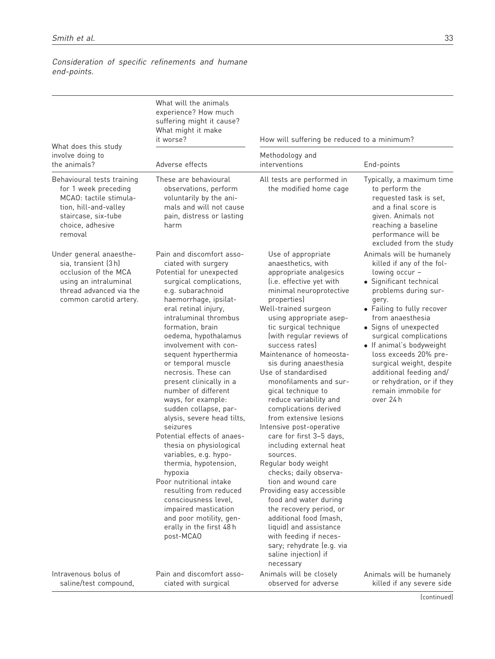Consideration of specific refinements and humane end-points.

|                                                                                                                                                             | What will the animals<br>experience? How much<br>suffering might it cause?<br>What might it make<br>it worse?                                                                                                                                                                                                                                                                                                                                                                                                                                                                                                                                                                                                                                                                              | How will suffering be reduced to a minimum?                                                                                                                                                                                                                                                                                                                                                                                                                                                                                                                                                                                                                                                                                                                                                                                                                                           |                                                                                                                                                                                                                                                                                                                                                                                                                        |
|-------------------------------------------------------------------------------------------------------------------------------------------------------------|--------------------------------------------------------------------------------------------------------------------------------------------------------------------------------------------------------------------------------------------------------------------------------------------------------------------------------------------------------------------------------------------------------------------------------------------------------------------------------------------------------------------------------------------------------------------------------------------------------------------------------------------------------------------------------------------------------------------------------------------------------------------------------------------|---------------------------------------------------------------------------------------------------------------------------------------------------------------------------------------------------------------------------------------------------------------------------------------------------------------------------------------------------------------------------------------------------------------------------------------------------------------------------------------------------------------------------------------------------------------------------------------------------------------------------------------------------------------------------------------------------------------------------------------------------------------------------------------------------------------------------------------------------------------------------------------|------------------------------------------------------------------------------------------------------------------------------------------------------------------------------------------------------------------------------------------------------------------------------------------------------------------------------------------------------------------------------------------------------------------------|
| What does this study<br>involve doing to<br>the animals?                                                                                                    | Adverse effects                                                                                                                                                                                                                                                                                                                                                                                                                                                                                                                                                                                                                                                                                                                                                                            | Methodology and<br>interventions                                                                                                                                                                                                                                                                                                                                                                                                                                                                                                                                                                                                                                                                                                                                                                                                                                                      | End-points                                                                                                                                                                                                                                                                                                                                                                                                             |
| Behavioural tests training<br>for 1 week preceding<br>MCAO: tactile stimula-<br>tion, hill-and-valley<br>staircase, six-tube<br>choice, adhesive<br>removal | These are behavioural<br>observations, perform<br>voluntarily by the ani-<br>mals and will not cause<br>pain, distress or lasting<br>harm                                                                                                                                                                                                                                                                                                                                                                                                                                                                                                                                                                                                                                                  | All tests are performed in<br>the modified home cage                                                                                                                                                                                                                                                                                                                                                                                                                                                                                                                                                                                                                                                                                                                                                                                                                                  | Typically, a maximum time<br>to perform the<br>requested task is set,<br>and a final score is<br>given. Animals not<br>reaching a baseline<br>performance will be<br>excluded from the study                                                                                                                                                                                                                           |
| Under general anaesthe-<br>sia, transient (3h)<br>occlusion of the MCA<br>using an intraluminal<br>thread advanced via the<br>common carotid artery.        | Pain and discomfort asso-<br>ciated with surgery<br>Potential for unexpected<br>surgical complications,<br>e.g. subarachnoid<br>haemorrhage, ipsilat-<br>eral retinal injury,<br>intraluminal thrombus<br>formation, brain<br>oedema, hypothalamus<br>involvement with con-<br>sequent hyperthermia<br>or temporal muscle<br>necrosis. These can<br>present clinically in a<br>number of different<br>ways, for example:<br>sudden collapse, par-<br>alysis, severe head tilts,<br>seizures<br>Potential effects of anaes-<br>thesia on physiological<br>variables, e.g. hypo-<br>thermia, hypotension,<br>hypoxia<br>Poor nutritional intake<br>resulting from reduced<br>consciousness level.<br>impaired mastication<br>and poor motility, gen-<br>erally in the first 48h<br>post-MCAO | Use of appropriate<br>anaesthetics, with<br>appropriate analgesics<br>(i.e. effective yet with<br>minimal neuroprotective<br>properties)<br>Well-trained surgeon<br>using appropriate asep-<br>tic surgical technique<br>(with regular reviews of<br>success rates)<br>Maintenance of homeosta-<br>sis during anaesthesia<br>Use of standardised<br>monofilaments and sur-<br>gical technique to<br>reduce variability and<br>complications derived<br>from extensive lesions<br>Intensive post-operative<br>care for first 3-5 days,<br>including external heat<br>sources.<br>Regular body weight<br>checks; daily observa-<br>tion and wound care<br>Providing easy accessible<br>food and water during<br>the recovery period, or<br>additional food (mash,<br>liquid) and assistance<br>with feeding if neces-<br>sary; rehydrate (e.g. via<br>saline injection) if<br>necessary | Animals will be humanely<br>killed if any of the fol-<br>lowing occur -<br>• Significant technical<br>problems during sur-<br>gery.<br>• Failing to fully recover<br>from anaesthesia<br>• Signs of unexpected<br>surgical complications<br>• If animal's bodyweight<br>loss exceeds 20% pre-<br>surgical weight, despite<br>additional feeding and/<br>or rehydration, or if they<br>remain immobile for<br>over 24 h |
| Intravenous bolus of<br>saline/test compound,                                                                                                               | Pain and discomfort asso-<br>ciated with surgical                                                                                                                                                                                                                                                                                                                                                                                                                                                                                                                                                                                                                                                                                                                                          | Animals will be closely<br>observed for adverse                                                                                                                                                                                                                                                                                                                                                                                                                                                                                                                                                                                                                                                                                                                                                                                                                                       | Animals will be humanely<br>killed if any severe side                                                                                                                                                                                                                                                                                                                                                                  |

(continued)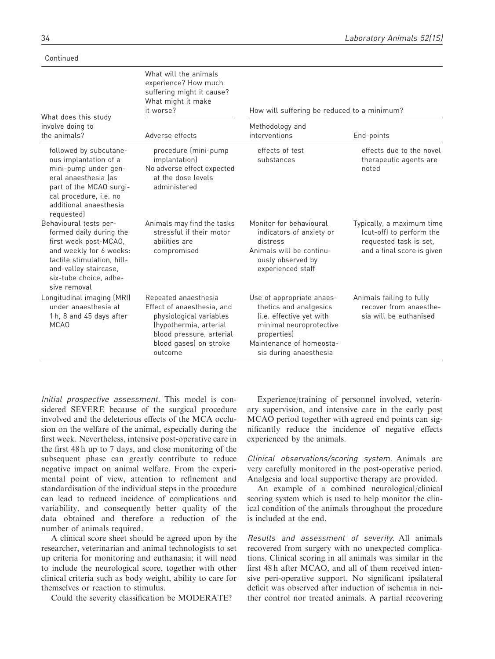Continued

|                                                                                                                                                                                                        | What will the animals<br>experience? How much<br>suffering might it cause?<br>What might it make<br>it worse?                                                            | How will suffering be reduced to a minimum?                                                                                                                                     |                                                                                                               |
|--------------------------------------------------------------------------------------------------------------------------------------------------------------------------------------------------------|--------------------------------------------------------------------------------------------------------------------------------------------------------------------------|---------------------------------------------------------------------------------------------------------------------------------------------------------------------------------|---------------------------------------------------------------------------------------------------------------|
| What does this study<br>involve doing to<br>the animals?                                                                                                                                               | Adverse effects                                                                                                                                                          | Methodology and<br>interventions                                                                                                                                                | End-points                                                                                                    |
| followed by subcutane-<br>ous implantation of a<br>mini-pump under gen-<br>eral anaesthesia las<br>part of the MCAO surgi-<br>cal procedure, i.e. no<br>additional anaesthesia<br>requested)           | procedure (mini-pump<br>implantation)<br>No adverse effect expected<br>at the dose levels<br>administered                                                                | effects of test<br>substances                                                                                                                                                   | effects due to the novel<br>therapeutic agents are<br>noted                                                   |
| Behavioural tests per-<br>formed daily during the<br>first week post-MCAO,<br>and weekly for 6 weeks:<br>tactile stimulation, hill-<br>and-valley staircase,<br>six-tube choice, adhe-<br>sive removal | Animals may find the tasks<br>stressful if their motor<br>abilities are<br>compromised                                                                                   | Monitor for behavioural<br>indicators of anxiety or<br>distress<br>Animals will be continu-<br>ously observed by<br>experienced staff                                           | Typically, a maximum time<br>(cut-off) to perform the<br>requested task is set,<br>and a final score is given |
| Longitudinal imaging (MRI)<br>under anaesthesia at<br>1h, 8 and 45 days after<br>MCA <sub>0</sub>                                                                                                      | Repeated anaesthesia<br>Effect of anaesthesia, and<br>physiological variables<br>(hypothermia, arterial<br>blood pressure, arterial<br>blood gases) on stroke<br>outcome | Use of appropriate anaes-<br>thetics and analgesics<br>(i.e. effective yet with<br>minimal neuroprotective<br>properties)<br>Maintenance of homeosta-<br>sis during anaesthesia | Animals failing to fully<br>recover from anaesthe-<br>sia will be euthanised                                  |

Initial prospective assessment. This model is considered SEVERE because of the surgical procedure involved and the deleterious effects of the MCA occlusion on the welfare of the animal, especially during the first week. Nevertheless, intensive post-operative care in the first 48 h up to 7 days, and close monitoring of the subsequent phase can greatly contribute to reduce negative impact on animal welfare. From the experimental point of view, attention to refinement and standardisation of the individual steps in the procedure can lead to reduced incidence of complications and variability, and consequently better quality of the data obtained and therefore a reduction of the number of animals required.

A clinical score sheet should be agreed upon by the researcher, veterinarian and animal technologists to set up criteria for monitoring and euthanasia; it will need to include the neurological score, together with other clinical criteria such as body weight, ability to care for themselves or reaction to stimulus.

Could the severity classification be MODERATE?

Experience/training of personnel involved, veterinary supervision, and intensive care in the early post MCAO period together with agreed end points can significantly reduce the incidence of negative effects experienced by the animals.

Clinical observations/scoring system. Animals are very carefully monitored in the post-operative period. Analgesia and local supportive therapy are provided.

An example of a combined neurological/clinical scoring system which is used to help monitor the clinical condition of the animals throughout the procedure is included at the end.

Results and assessment of severity. All animals recovered from surgery with no unexpected complications. Clinical scoring in all animals was similar in the first 48 h after MCAO, and all of them received intensive peri-operative support. No significant ipsilateral deficit was observed after induction of ischemia in neither control nor treated animals. A partial recovering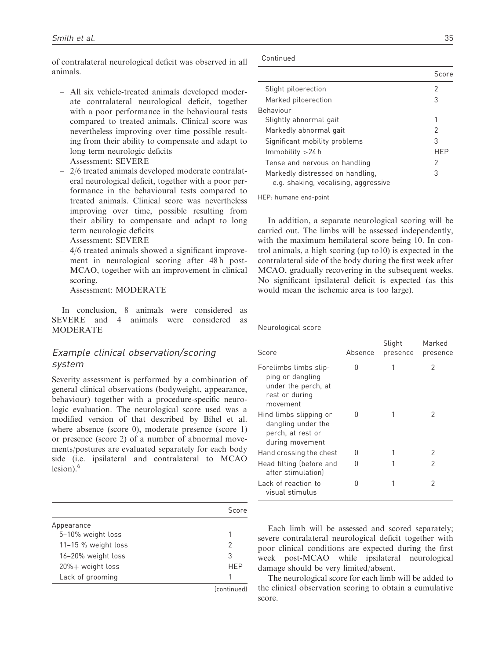of contralateral neurological deficit was observed in all animals.

- All six vehicle-treated animals developed moderate contralateral neurological deficit, together with a poor performance in the behavioural tests compared to treated animals. Clinical score was nevertheless improving over time possible resulting from their ability to compensate and adapt to long term neurologic deficits Assessment: SEVERE
- 2/6 treated animals developed moderate contralateral neurological deficit, together with a poor performance in the behavioural tests compared to treated animals. Clinical score was nevertheless improving over time, possible resulting from their ability to compensate and adapt to long term neurologic deficits Assessment: SEVERE
- 4/6 treated animals showed a significant improvement in neurological scoring after 48 h post-MCAO, together with an improvement in clinical scoring.

Assessment: MODERATE

In conclusion, 8 animals were considered as SEVERE and 4 animals were considered as MODERATE

# Example clinical observation/scoring system

Severity assessment is performed by a combination of general clinical observations (bodyweight, appearance, behaviour) together with a procedure-specific neurologic evaluation. The neurological score used was a modified version of that described by Bihel et al. where absence (score 0), moderate presence (score 1) or presence (score 2) of a number of abnormal movements/postures are evaluated separately for each body side (i.e. ipsilateral and contralateral to MCAO lesion).<sup>6</sup>

|                     | Score       |
|---------------------|-------------|
| Appearance          |             |
| 5-10% weight loss   |             |
| 11-15 % weight loss | 2           |
| 16-20% weight loss  | 3           |
| 20%+ weight loss    | <b>HFP</b>  |
| Lack of grooming    |             |
|                     | (continuad) |

(continued)

Continued

|                                                                          | Score |
|--------------------------------------------------------------------------|-------|
| Slight piloerection                                                      | 2     |
| Marked piloerection                                                      | 3     |
| Behaviour                                                                |       |
| Slightly abnormal gait                                                   | 1     |
| Markedly abnormal gait                                                   | 2     |
| Significant mobility problems                                            | 3     |
| $Imm$ obility $>$ 24 h                                                   | HFP   |
| Tense and nervous on handling                                            | 2     |
| Markedly distressed on handling.<br>e.g. shaking, vocalising, aggressive | 3     |

HEP: humane end-point

In addition, a separate neurological scoring will be carried out. The limbs will be assessed independently, with the maximum hemilateral score being 10. In control animals, a high scoring (up to10) is expected in the contralateral side of the body during the first week after MCAO, gradually recovering in the subsequent weeks. No significant ipsilateral deficit is expected (as this would mean the ischemic area is too large).

| Neurological score                                                                             |         |                    |                    |
|------------------------------------------------------------------------------------------------|---------|--------------------|--------------------|
| Score                                                                                          | Absence | Slight<br>presence | Marked<br>presence |
| Forelimbs limbs slip-<br>ping or dangling<br>under the perch, at<br>rest or during<br>movement | n       |                    | 2                  |
| Hind limbs slipping or<br>dangling under the<br>perch, at rest or<br>during movement           | 0       |                    | 2                  |
| Hand crossing the chest                                                                        | n       |                    | 2                  |
| Head tilting (before and<br>after stimulationl                                                 | n       |                    | 2                  |
| Lack of reaction to<br>visual stimulus                                                         | n       |                    | 2                  |

Each limb will be assessed and scored separately; severe contralateral neurological deficit together with poor clinical conditions are expected during the first week post-MCAO while ipsilateral neurological damage should be very limited/absent.

The neurological score for each limb will be added to the clinical observation scoring to obtain a cumulative score.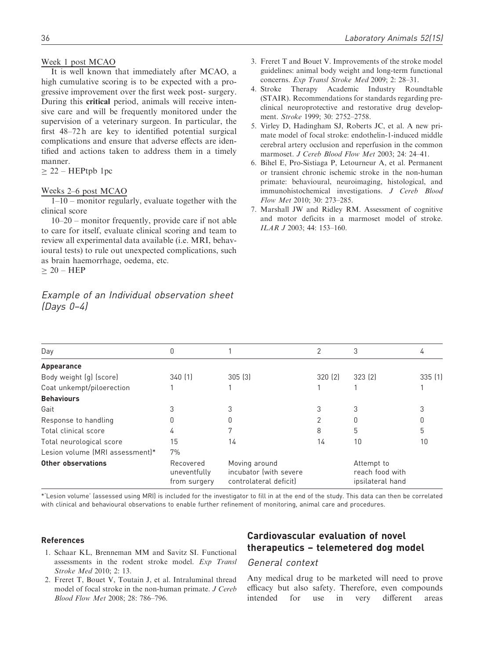#### Week 1 post MCAO

It is well known that immediately after MCAO, a high cumulative scoring is to be expected with a progressive improvement over the first week post- surgery. During this critical period, animals will receive intensive care and will be frequently monitored under the supervision of a veterinary surgeon. In particular, the first 48–72 h are key to identified potential surgical complications and ensure that adverse effects are identified and actions taken to address them in a timely manner.

 $> 22 - HEPtpb$  1pc

#### Weeks 2–6 post MCAO

 $1-10$  – monitor regularly, evaluate together with the clinical score

10–20 – monitor frequently, provide care if not able to care for itself, evaluate clinical scoring and team to review all experimental data available (i.e. MRI, behavioural tests) to rule out unexpected complications, such as brain haemorrhage, oedema, etc.  $> 20 - HEP$ 

Example of an Individual observation sheet (Days 0–4)

- 3. Freret T and Bouet V. Improvements of the stroke model guidelines: animal body weight and long-term functional concerns. Exp Transl Stroke Med 2009; 2: 28–31.
- 4. Stroke Therapy Academic Industry Roundtable (STAIR). Recommendations for standards regarding preclinical neuroprotective and restorative drug development. Stroke 1999; 30: 2752–2758.
- 5. Virley D, Hadingham SJ, Roberts JC, et al. A new primate model of focal stroke: endothelin-1-induced middle cerebral artery occlusion and reperfusion in the common marmoset. *J Cereb Blood Flow Met* 2003; 24: 24–41.
- 6. Bihel E, Pro-Sistiaga P, Letourneur A, et al. Permanent or transient chronic ischemic stroke in the non-human primate: behavioural, neuroimaging, histological, and immunohistochemical investigations. J Cereb Blood Flow Met 2010; 30: 273–285.
- 7. Marshall JW and Ridley RM. Assessment of cognitive and motor deficits in a marmoset model of stroke. ILAR J 2003; 44: 153–160.

| Day                             |                                           |                                                                   |        | 3                                                 |        |
|---------------------------------|-------------------------------------------|-------------------------------------------------------------------|--------|---------------------------------------------------|--------|
| Appearance                      |                                           |                                                                   |        |                                                   |        |
| Body weight (g) (score)         | 340(1)                                    | 305(3)                                                            | 320(2) | 323(2)                                            | 335(1) |
| Coat unkempt/piloerection       |                                           |                                                                   |        |                                                   |        |
| <b>Behaviours</b>               |                                           |                                                                   |        |                                                   |        |
| Gait                            |                                           |                                                                   | 3      | 3                                                 |        |
| Response to handling            | 0                                         |                                                                   | 2      | 0                                                 |        |
| Total clinical score            | 4                                         |                                                                   | 8      | 5                                                 | 5      |
| Total neurological score        | 15                                        | 14                                                                | 14     | 10                                                | 10     |
| Lesion volume (MRI assessment)* | 7%                                        |                                                                   |        |                                                   |        |
| Other observations              | Recovered<br>uneventfully<br>from surgery | Moving around<br>incubator (with severe<br>controlateral deficit) |        | Attempt to<br>reach food with<br>ipsilateral hand |        |

\*'Lesion volume' (assessed using MRI) is included for the investigator to fill in at the end of the study. This data can then be correlated with clinical and behavioural observations to enable further refinement of monitoring, animal care and procedures.

#### References

- 1. Schaar KL, Brenneman MM and Savitz SI. Functional assessments in the rodent stroke model. Exp Transl Stroke Med 2010; 2: 13.
- 2. Freret T, Bouet V, Toutain J, et al. Intraluminal thread model of focal stroke in the non-human primate. J Cereb Blood Flow Met 2008; 28: 786–796.

# Cardiovascular evaluation of novel therapeutics – telemetered dog model

### General context

Any medical drug to be marketed will need to prove efficacy but also safety. Therefore, even compounds intended for use in very different areas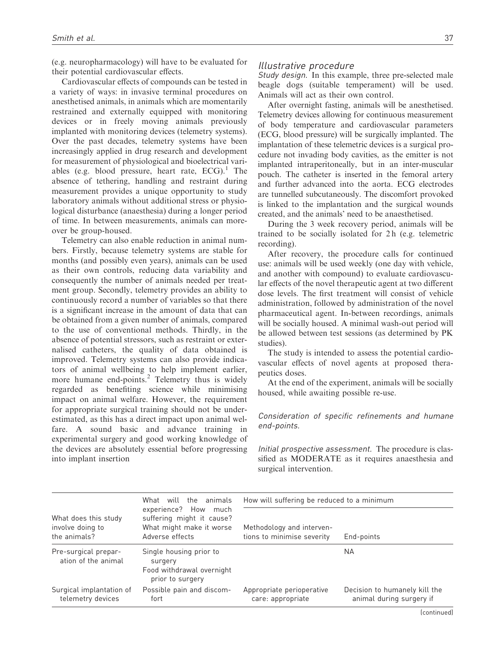(e.g. neuropharmacology) will have to be evaluated for their potential cardiovascular effects.

Cardiovascular effects of compounds can be tested in a variety of ways: in invasive terminal procedures on anesthetised animals, in animals which are momentarily restrained and externally equipped with monitoring devices or in freely moving animals previously implanted with monitoring devices (telemetry systems). Over the past decades, telemetry systems have been increasingly applied in drug research and development for measurement of physiological and bioelectrical variables (e.g. blood pressure, heart rate,  $ECG$ ).<sup>1</sup> The absence of tethering, handling and restraint during measurement provides a unique opportunity to study laboratory animals without additional stress or physiological disturbance (anaesthesia) during a longer period of time. In between measurements, animals can moreover be group-housed.

Telemetry can also enable reduction in animal numbers. Firstly, because telemetry systems are stable for months (and possibly even years), animals can be used as their own controls, reducing data variability and consequently the number of animals needed per treatment group. Secondly, telemetry provides an ability to continuously record a number of variables so that there is a significant increase in the amount of data that can be obtained from a given number of animals, compared to the use of conventional methods. Thirdly, in the absence of potential stressors, such as restraint or externalised catheters, the quality of data obtained is improved. Telemetry systems can also provide indicators of animal wellbeing to help implement earlier, more humane end-points.<sup>2</sup> Telemetry thus is widely regarded as benefiting science while minimising impact on animal welfare. However, the requirement for appropriate surgical training should not be underestimated, as this has a direct impact upon animal welfare. A sound basic and advance training in experimental surgery and good working knowledge of the devices are absolutely essential before progressing into implant insertion

#### Illustrative procedure

Study design. In this example, three pre-selected male beagle dogs (suitable temperament) will be used. Animals will act as their own control.

After overnight fasting, animals will be anesthetised. Telemetry devices allowing for continuous measurement of body temperature and cardiovascular parameters (ECG, blood pressure) will be surgically implanted. The implantation of these telemetric devices is a surgical procedure not invading body cavities, as the emitter is not implanted intraperitoneally, but in an inter-muscular pouch. The catheter is inserted in the femoral artery and further advanced into the aorta. ECG electrodes are tunnelled subcutaneously. The discomfort provoked is linked to the implantation and the surgical wounds created, and the animals' need to be anaesthetised.

During the 3 week recovery period, animals will be trained to be socially isolated for 2 h (e.g. telemetric recording).

After recovery, the procedure calls for continued use: animals will be used weekly (one day with vehicle, and another with compound) to evaluate cardiovascular effects of the novel therapeutic agent at two different dose levels. The first treatment will consist of vehicle administration, followed by administration of the novel pharmaceutical agent. In-between recordings, animals will be socially housed. A minimal wash-out period will be allowed between test sessions (as determined by PK studies).

The study is intended to assess the potential cardiovascular effects of novel agents at proposed therapeutics doses.

At the end of the experiment, animals will be socially housed, while awaiting possible re-use.

#### Consideration of specific refinements and humane end-points.

Initial prospective assessment. The procedure is classified as MODERATE as it requires anaesthesia and surgical intervention.

|                                                          | What will the animals                                                                            | How will suffering be reduced to a minimum              |                                                           |  |  |
|----------------------------------------------------------|--------------------------------------------------------------------------------------------------|---------------------------------------------------------|-----------------------------------------------------------|--|--|
| What does this study<br>involve doing to<br>the animals? | experience? How much<br>suffering might it cause?<br>What might make it worse<br>Adverse effects | Methodology and interven-<br>tions to minimise severity | End-points                                                |  |  |
| Pre-surgical prepar-<br>ation of the animal              | Single housing prior to<br>surgery<br>Food withdrawal overnight<br>prior to surgery              |                                                         | NA.                                                       |  |  |
| Surgical implantation of<br>telemetry devices            | Possible pain and discom-<br>fort                                                                | Appropriate perioperative<br>care: appropriate          | Decision to humanely kill the<br>animal during surgery if |  |  |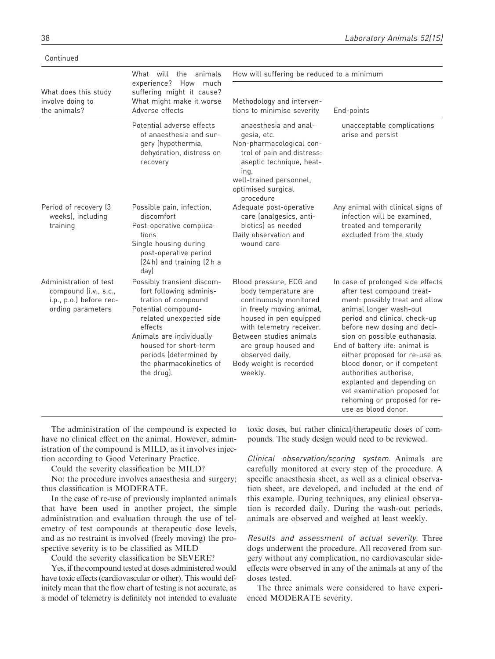|                                                                                                 | What will the animals                                                                                                                                                                                                                                             | How will suffering be reduced to a minimum                                                                                                                                                                                                                              |                                                                                                                                                                                                                                                                                                                                                                                                                                                                             |
|-------------------------------------------------------------------------------------------------|-------------------------------------------------------------------------------------------------------------------------------------------------------------------------------------------------------------------------------------------------------------------|-------------------------------------------------------------------------------------------------------------------------------------------------------------------------------------------------------------------------------------------------------------------------|-----------------------------------------------------------------------------------------------------------------------------------------------------------------------------------------------------------------------------------------------------------------------------------------------------------------------------------------------------------------------------------------------------------------------------------------------------------------------------|
| What does this study<br>involve doing to<br>the animals?                                        | experience? How<br>much<br>suffering might it cause?<br>What might make it worse<br>Adverse effects                                                                                                                                                               | Methodology and interven-<br>tions to minimise severity                                                                                                                                                                                                                 | End-points                                                                                                                                                                                                                                                                                                                                                                                                                                                                  |
|                                                                                                 | Potential adverse effects<br>of anaesthesia and sur-<br>gery (hypothermia,<br>dehydration, distress on<br>recovery                                                                                                                                                | anaesthesia and anal-<br>gesia, etc.<br>Non-pharmacological con-<br>trol of pain and distress:<br>aseptic technique, heat-<br>ing,<br>well-trained personnel,<br>optimised surgical<br>procedure                                                                        | unacceptable complications<br>arise and persist                                                                                                                                                                                                                                                                                                                                                                                                                             |
| Period of recovery (3<br>weeks), including<br>training                                          | Possible pain, infection,<br>discomfort<br>Post-operative complica-<br>tions<br>Single housing during<br>post-operative period<br>(24 h) and training (2 h a<br>day)                                                                                              | Adequate post-operative<br>care (analgesics, anti-<br>biotics) as needed<br>Daily observation and<br>wound care                                                                                                                                                         | Any animal with clinical signs of<br>infection will be examined.<br>treated and temporarily<br>excluded from the study                                                                                                                                                                                                                                                                                                                                                      |
| Administration of test<br>compound (i.v., s.c.,<br>i.p., p.o.) before rec-<br>ording parameters | Possibly transient discom-<br>fort following adminis-<br>tration of compound<br>Potential compound-<br>related unexpected side<br>effects<br>Animals are individually<br>housed for short-term<br>periods (determined by<br>the pharmacokinetics of<br>the drug). | Blood pressure, ECG and<br>body temperature are<br>continuously monitored<br>in freely moving animal,<br>housed in pen equipped<br>with telemetry receiver.<br>Between studies animals<br>are group housed and<br>observed daily,<br>Body weight is recorded<br>weekly. | In case of prolonged side effects<br>after test compound treat-<br>ment: possibly treat and allow<br>animal longer wash-out<br>period and clinical check-up<br>before new dosing and deci-<br>sion on possible euthanasia.<br>End of battery life: animal is<br>either proposed for re-use as<br>blood donor, or if competent<br>authorities authorise,<br>explanted and depending on<br>vet examination proposed for<br>rehoming or proposed for re-<br>use as blood donor |

The administration of the compound is expected to have no clinical effect on the animal. However, administration of the compound is MILD, as it involves injection according to Good Veterinary Practice.

Could the severity classification be MILD?

No: the procedure involves anaesthesia and surgery; thus classification is MODERATE.

In the case of re-use of previously implanted animals that have been used in another project, the simple administration and evaluation through the use of telemetry of test compounds at therapeutic dose levels, and as no restraint is involved (freely moving) the prospective severity is to be classified as MILD

Could the severity classification be SEVERE?

Yes, if the compound tested at doses administered would have toxic effects (cardiovascular or other). This would definitely mean that the flow chart of testing is not accurate, as a model of telemetry is definitely not intended to evaluate toxic doses, but rather clinical/therapeutic doses of compounds. The study design would need to be reviewed.

Clinical observation/scoring system. Animals are carefully monitored at every step of the procedure. A specific anaesthesia sheet, as well as a clinical observation sheet, are developed, and included at the end of this example. During techniques, any clinical observation is recorded daily. During the wash-out periods, animals are observed and weighed at least weekly.

Results and assessment of actual severity. Three dogs underwent the procedure. All recovered from surgery without any complication, no cardiovascular sideeffects were observed in any of the animals at any of the doses tested.

The three animals were considered to have experienced MODERATE severity.

Continued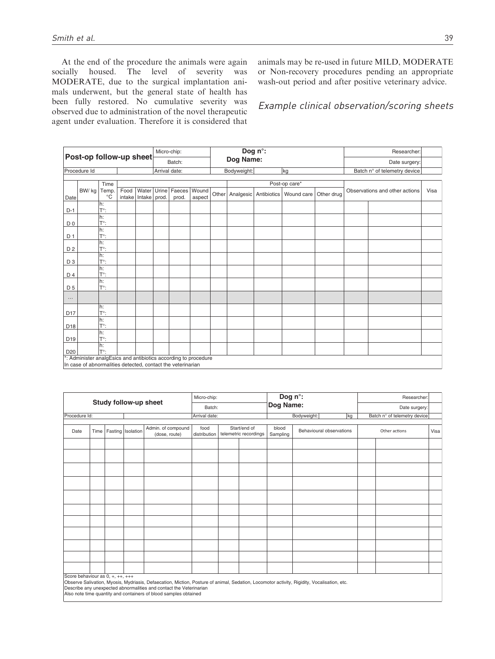At the end of the procedure the animals were again socially housed. The level of severity was MODERATE, due to the surgical implantation animals underwent, but the general state of health has been fully restored. No cumulative severity was observed due to administration of the novel therapeutic agent under evaluation. Therefore it is considered that animals may be re-used in future MILD, MODERATE or Non-recovery procedures pending an appropriate wash-out period and after positive veterinary advice.

### Example clinical observation/scoring sheets

| Post-op follow-up sheet |                                                                 |                     |      |                    | Micro-chip:   |              |        | Dog n°: |             |  |                                        | Researcher: |               |                                |      |
|-------------------------|-----------------------------------------------------------------|---------------------|------|--------------------|---------------|--------------|--------|---------|-------------|--|----------------------------------------|-------------|---------------|--------------------------------|------|
|                         |                                                                 |                     |      |                    |               | Batch:       |        |         | Dog Name:   |  |                                        |             | Date surgery: |                                |      |
|                         | Procedure Id                                                    |                     |      |                    | Arrival date: |              |        |         | Bodyweight: |  | kg                                     |             |               | Batch n° of telemetry device   |      |
|                         |                                                                 |                     |      |                    |               |              |        |         |             |  |                                        |             |               |                                |      |
|                         |                                                                 | Time                |      |                    |               |              |        |         |             |  | Post-op care*                          |             |               |                                |      |
|                         | BW/kg                                                           | Temp.               | Food | Water              |               | Urine Faeces | Wound  |         |             |  | Other Analgesic Antibiotics Wound care | Other drug  |               | Observations and other actions | Visa |
| Date                    |                                                                 | $^{\circ}C$         |      | intake Intake prod |               | prod.        | aspect |         |             |  |                                        |             |               |                                |      |
|                         |                                                                 | h:                  |      |                    |               |              |        |         |             |  |                                        |             |               |                                |      |
| $D-1$                   |                                                                 | T°:                 |      |                    |               |              |        |         |             |  |                                        |             |               |                                |      |
|                         |                                                                 | h:                  |      |                    |               |              |        |         |             |  |                                        |             |               |                                |      |
| D <sub>0</sub>          |                                                                 | T°:                 |      |                    |               |              |        |         |             |  |                                        |             |               |                                |      |
|                         |                                                                 | h:<br>$T^{\circ}$ : |      |                    |               |              |        |         |             |  |                                        |             |               |                                |      |
| D <sub>1</sub>          |                                                                 | h:                  |      |                    |               |              |        |         |             |  |                                        |             |               |                                |      |
| D <sub>2</sub>          |                                                                 | T°:                 |      |                    |               |              |        |         |             |  |                                        |             |               |                                |      |
|                         |                                                                 | h:                  |      |                    |               |              |        |         |             |  |                                        |             |               |                                |      |
| D <sub>3</sub>          |                                                                 | T°:                 |      |                    |               |              |        |         |             |  |                                        |             |               |                                |      |
|                         |                                                                 | h:                  |      |                    |               |              |        |         |             |  |                                        |             |               |                                |      |
| D 4                     |                                                                 | $T^{\circ}$ :       |      |                    |               |              |        |         |             |  |                                        |             |               |                                |      |
|                         |                                                                 | h:                  |      |                    |               |              |        |         |             |  |                                        |             |               |                                |      |
| D <sub>5</sub>          |                                                                 | T°:                 |      |                    |               |              |        |         |             |  |                                        |             |               |                                |      |
| $\cdots$                |                                                                 |                     |      |                    |               |              |        |         |             |  |                                        |             |               |                                |      |
|                         |                                                                 | h:                  |      |                    |               |              |        |         |             |  |                                        |             |               |                                |      |
| D <sub>17</sub>         |                                                                 | $T^{\circ}$ :       |      |                    |               |              |        |         |             |  |                                        |             |               |                                |      |
|                         |                                                                 | h:                  |      |                    |               |              |        |         |             |  |                                        |             |               |                                |      |
| D18                     |                                                                 | T°:                 |      |                    |               |              |        |         |             |  |                                        |             |               |                                |      |
|                         |                                                                 | h:                  |      |                    |               |              |        |         |             |  |                                        |             |               |                                |      |
| D <sub>19</sub>         |                                                                 | $T^{\circ}$ :       |      |                    |               |              |        |         |             |  |                                        |             |               |                                |      |
| D <sub>20</sub>         |                                                                 | h:<br>T°:           |      |                    |               |              |        |         |             |  |                                        |             |               |                                |      |
|                         | *: Administer analgEsics and antibiotics according to procedure |                     |      |                    |               |              |        |         |             |  |                                        |             |               |                                |      |
|                         | In case of abnormalities detected, contact the veterinarian     |                     |      |                    |               |              |        |         |             |  |                                        |             |               |                                |      |

|               | Study follow-up sheet                                                                                                                                                                                                                                                                                                    |  | Micro-chip:       |                                     |                      | Dog n°: |                                       |                   | Researcher:              |    |               |                              |      |
|---------------|--------------------------------------------------------------------------------------------------------------------------------------------------------------------------------------------------------------------------------------------------------------------------------------------------------------------------|--|-------------------|-------------------------------------|----------------------|---------|---------------------------------------|-------------------|--------------------------|----|---------------|------------------------------|------|
|               |                                                                                                                                                                                                                                                                                                                          |  |                   |                                     | Batch:               |         |                                       | Dog Name:         |                          |    | Date surgery: |                              |      |
| Procedure Id: |                                                                                                                                                                                                                                                                                                                          |  |                   |                                     | Arrival date:        |         |                                       |                   | Bodyweight:              | kg |               | Batch n° of telemetry device |      |
| Date          | Time                                                                                                                                                                                                                                                                                                                     |  | Fasting Isolation | Admin. of compound<br>(dose, route) | food<br>distribution |         | Start/end of<br>telemetric recordings | blood<br>Sampling | Behavioural observations |    | Other actions |                              | Visa |
|               |                                                                                                                                                                                                                                                                                                                          |  |                   |                                     |                      |         |                                       |                   |                          |    |               |                              |      |
|               |                                                                                                                                                                                                                                                                                                                          |  |                   |                                     |                      |         |                                       |                   |                          |    |               |                              |      |
|               |                                                                                                                                                                                                                                                                                                                          |  |                   |                                     |                      |         |                                       |                   |                          |    |               |                              |      |
|               |                                                                                                                                                                                                                                                                                                                          |  |                   |                                     |                      |         |                                       |                   |                          |    |               |                              |      |
|               |                                                                                                                                                                                                                                                                                                                          |  |                   |                                     |                      |         |                                       |                   |                          |    |               |                              |      |
|               |                                                                                                                                                                                                                                                                                                                          |  |                   |                                     |                      |         |                                       |                   |                          |    |               |                              |      |
|               |                                                                                                                                                                                                                                                                                                                          |  |                   |                                     |                      |         |                                       |                   |                          |    |               |                              |      |
|               |                                                                                                                                                                                                                                                                                                                          |  |                   |                                     |                      |         |                                       |                   |                          |    |               |                              |      |
|               |                                                                                                                                                                                                                                                                                                                          |  |                   |                                     |                      |         |                                       |                   |                          |    |               |                              |      |
|               |                                                                                                                                                                                                                                                                                                                          |  |                   |                                     |                      |         |                                       |                   |                          |    |               |                              |      |
|               |                                                                                                                                                                                                                                                                                                                          |  |                   |                                     |                      |         |                                       |                   |                          |    |               |                              |      |
|               | Score behaviour as 0, +, ++, +++<br>Observe Salivation, Myosis, Mydriasis, Defaecation, Miction, Posture of animal, Sedation, Locomotor activity, Rigidity, Vocalisation, etc.<br>Describe any unexpected abnormalities and contact the Veterinarian<br>Also note time quantity and containers of blood samples obtained |  |                   |                                     |                      |         |                                       |                   |                          |    |               |                              |      |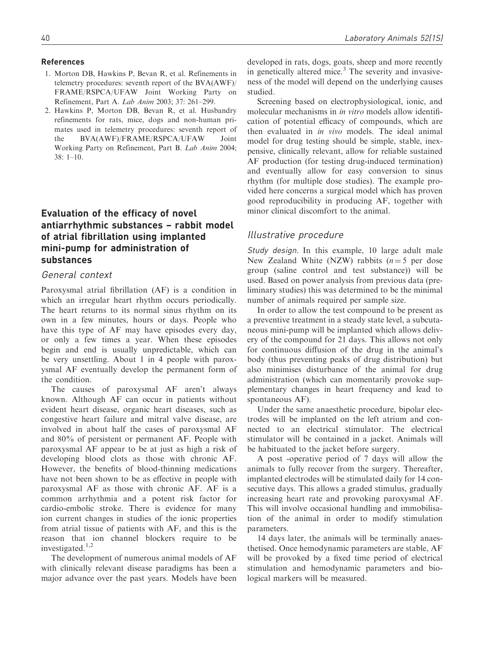#### References

- 1. Morton DB, Hawkins P, Bevan R, et al. Refinements in telemetry procedures: seventh report of the BVA(AWF)/ FRAME/RSPCA/UFAW Joint Working Party on Refinement, Part A. Lab Anim 2003; 37: 261–299.
- 2. Hawkins P, Morton DB, Bevan R, et al. Husbandry refinements for rats, mice, dogs and non-human primates used in telemetry procedures: seventh report of the BVA(AWF)/FRAME/RSPCA/UFAW Joint Working Party on Refinement, Part B. Lab Anim 2004; 38: 1–10.

# Evaluation of the efficacy of novel antiarrhythmic substances – rabbit model of atrial fibrillation using implanted mini-pump for administration of substances

### General context

Paroxysmal atrial fibrillation (AF) is a condition in which an irregular heart rhythm occurs periodically. The heart returns to its normal sinus rhythm on its own in a few minutes, hours or days. People who have this type of AF may have episodes every day, or only a few times a year. When these episodes begin and end is usually unpredictable, which can be very unsettling. About 1 in 4 people with paroxysmal AF eventually develop the permanent form of the condition.

The causes of paroxysmal AF aren't always known. Although AF can occur in patients without evident heart disease, organic heart diseases, such as congestive heart failure and mitral valve disease, are involved in about half the cases of paroxysmal AF and 80% of persistent or permanent AF. People with paroxysmal AF appear to be at just as high a risk of developing blood clots as those with chronic AF. However, the benefits of blood-thinning medications have not been shown to be as effective in people with paroxysmal AF as those with chronic AF. AF is a common arrhythmia and a potent risk factor for cardio-embolic stroke. There is evidence for many ion current changes in studies of the ionic properties from atrial tissue of patients with AF, and this is the reason that ion channel blockers require to be investigated.<sup>1,2</sup>

The development of numerous animal models of AF with clinically relevant disease paradigms has been a major advance over the past years. Models have been developed in rats, dogs, goats, sheep and more recently in genetically altered mice.<sup>3</sup> The severity and invasiveness of the model will depend on the underlying causes studied.

Screening based on electrophysiological, ionic, and molecular mechanisms in in vitro models allow identification of potential efficacy of compounds, which are then evaluated in in vivo models. The ideal animal model for drug testing should be simple, stable, inexpensive, clinically relevant, allow for reliable sustained AF production (for testing drug-induced termination) and eventually allow for easy conversion to sinus rhythm (for multiple dose studies). The example provided here concerns a surgical model which has proven good reproducibility in producing AF, together with minor clinical discomfort to the animal.

### Illustrative procedure

Study design. In this example, 10 large adult male New Zealand White (NZW) rabbits  $(n=5$  per dose group (saline control and test substance)) will be used. Based on power analysis from previous data (preliminary studies) this was determined to be the minimal number of animals required per sample size.

In order to allow the test compound to be present as a preventive treatment in a steady state level, a subcutaneous mini-pump will be implanted which allows delivery of the compound for 21 days. This allows not only for continuous diffusion of the drug in the animal's body (thus preventing peaks of drug distribution) but also minimises disturbance of the animal for drug administration (which can momentarily provoke supplementary changes in heart frequency and lead to spontaneous AF).

Under the same anaesthetic procedure, bipolar electrodes will be implanted on the left atrium and connected to an electrical stimulator. The electrical stimulator will be contained in a jacket. Animals will be habituated to the jacket before surgery.

A post -operative period of 7 days will allow the animals to fully recover from the surgery. Thereafter, implanted electrodes will be stimulated daily for 14 consecutive days. This allows a graded stimulus, gradually increasing heart rate and provoking paroxysmal AF. This will involve occasional handling and immobilisation of the animal in order to modify stimulation parameters.

14 days later, the animals will be terminally anaesthetised. Once hemodynamic parameters are stable, AF will be provoked by a fixed time period of electrical stimulation and hemodynamic parameters and biological markers will be measured.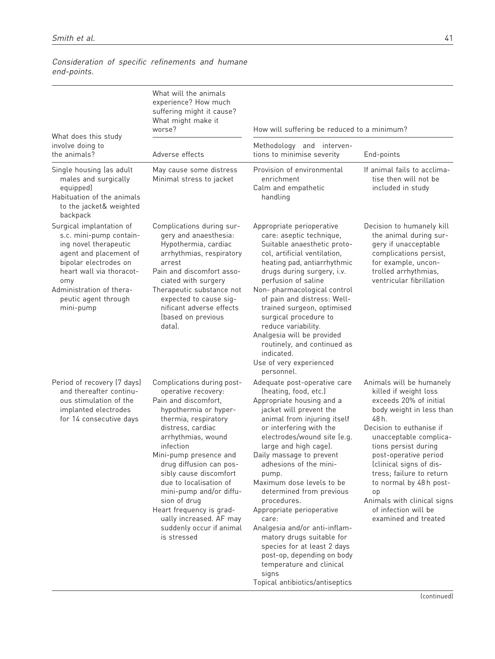|                                                                                                                                                                                                                                     | What will the animals<br>experience? How much<br>suffering might it cause?<br>What might make it<br>worse?                                                                                                                                                                                                                                                                                                                               | How will suffering be reduced to a minimum?                                                                                                                                                                                                                                                                                                                                                                                                                                                                                                                                                                                   |                                                                                                                                                                                                                                                                                                                                                                                               |  |  |  |
|-------------------------------------------------------------------------------------------------------------------------------------------------------------------------------------------------------------------------------------|------------------------------------------------------------------------------------------------------------------------------------------------------------------------------------------------------------------------------------------------------------------------------------------------------------------------------------------------------------------------------------------------------------------------------------------|-------------------------------------------------------------------------------------------------------------------------------------------------------------------------------------------------------------------------------------------------------------------------------------------------------------------------------------------------------------------------------------------------------------------------------------------------------------------------------------------------------------------------------------------------------------------------------------------------------------------------------|-----------------------------------------------------------------------------------------------------------------------------------------------------------------------------------------------------------------------------------------------------------------------------------------------------------------------------------------------------------------------------------------------|--|--|--|
| What does this study<br>involve doing to<br>the animals?                                                                                                                                                                            | Adverse effects                                                                                                                                                                                                                                                                                                                                                                                                                          | Methodology and interven-<br>tions to minimise severity                                                                                                                                                                                                                                                                                                                                                                                                                                                                                                                                                                       | End-points                                                                                                                                                                                                                                                                                                                                                                                    |  |  |  |
| Single housing (as adult<br>males and surgically<br>equipped)<br>Habituation of the animals<br>to the jacket& weighted<br>backpack                                                                                                  | May cause some distress<br>Minimal stress to jacket                                                                                                                                                                                                                                                                                                                                                                                      | Provision of environmental<br>enrichment<br>Calm and empathetic<br>handling                                                                                                                                                                                                                                                                                                                                                                                                                                                                                                                                                   | If animal fails to acclima-<br>tise then will not be<br>included in study                                                                                                                                                                                                                                                                                                                     |  |  |  |
| Surgical implantation of<br>s.c. mini-pump contain-<br>ing novel therapeutic<br>agent and placement of<br>bipolar electrodes on<br>heart wall via thoracot-<br>omy<br>Administration of thera-<br>peutic agent through<br>mini-pump | Complications during sur-<br>gery and anaesthesia:<br>Hypothermia, cardiac<br>arrhythmias, respiratory<br>arrest<br>Pain and discomfort asso-<br>ciated with surgery<br>Therapeutic substance not<br>expected to cause sig-<br>nificant adverse effects<br>(based on previous<br>datal.                                                                                                                                                  | Appropriate perioperative<br>care: aseptic technique,<br>Suitable anaesthetic proto-<br>col, artificial ventilation,<br>heating pad, antiarrhythmic<br>drugs during surgery, i.v.<br>perfusion of saline<br>Non- pharmacological control<br>of pain and distress: Well-<br>trained surgeon, optimised<br>surgical procedure to<br>reduce variability.<br>Analgesia will be provided<br>routinely, and continued as<br>indicated.<br>Use of very experienced                                                                                                                                                                   | Decision to humanely kill<br>the animal during sur-<br>gery if unacceptable<br>complications persist,<br>for example, uncon-<br>trolled arrhythmias,<br>ventricular fibrillation                                                                                                                                                                                                              |  |  |  |
| Period of recovery (7 days)<br>and thereafter continu-<br>ous stimulation of the<br>implanted electrodes<br>for 14 consecutive days                                                                                                 | Complications during post-<br>operative recovery:<br>Pain and discomfort,<br>hypothermia or hyper-<br>thermia, respiratory<br>distress, cardiac<br>arrhythmias, wound<br>infection<br>Mini-pump presence and<br>drug diffusion can pos-<br>sibly cause discomfort<br>due to localisation of<br>mini-pump and/or diffu-<br>sion of drug<br>Heart frequency is grad-<br>ually increased. AF may<br>suddenly occur if animal<br>is stressed | personnel.<br>Adequate post-operative care<br>(heating, food, etc.)<br>Appropriate housing and a<br>jacket will prevent the<br>animal from injuring itself<br>or interfering with the<br>electrodes/wound site (e.g.<br>large and high cage).<br>Daily massage to prevent<br>adhesions of the mini-<br>pump.<br>Maximum dose levels to be<br>determined from previous<br>procedures.<br>Appropriate perioperative<br>care:<br>Analgesia and/or anti-inflam-<br>matory drugs suitable for<br>species for at least 2 days<br>post-op, depending on body<br>temperature and clinical<br>signs<br>Topical antibiotics/antiseptics | Animals will be humanely<br>killed if weight loss<br>exceeds 20% of initial<br>body weight in less than<br>48 h.<br>Decision to euthanise if<br>unacceptable complica-<br>tions persist during<br>post-operative period<br>(clinical signs of dis-<br>tress; failure to return<br>to normal by 48h post-<br>op<br>Animals with clinical signs<br>of infection will be<br>examined and treated |  |  |  |

# Consideration of specific refinements and humane end-points.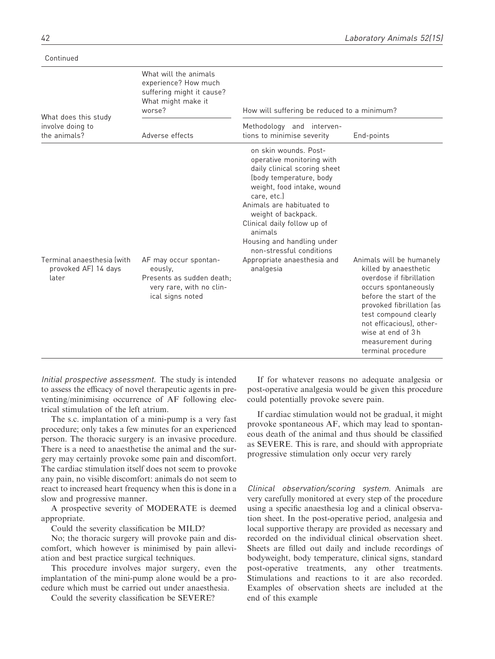|                                                             | What will the animals<br>experience? How much<br>suffering might it cause?<br>What might make it<br>worse?    | How will suffering be reduced to a minimum?                                                                                                                                                                                                                                                                                                                    |                                                                                                                                                                                                                                                               |  |  |  |
|-------------------------------------------------------------|---------------------------------------------------------------------------------------------------------------|----------------------------------------------------------------------------------------------------------------------------------------------------------------------------------------------------------------------------------------------------------------------------------------------------------------------------------------------------------------|---------------------------------------------------------------------------------------------------------------------------------------------------------------------------------------------------------------------------------------------------------------|--|--|--|
| What does this study<br>involve doing to<br>the animals?    | Adverse effects                                                                                               | Methodology and interven-<br>tions to minimise severity                                                                                                                                                                                                                                                                                                        | End-points                                                                                                                                                                                                                                                    |  |  |  |
| Terminal anaesthesia (with<br>provoked AF) 14 days<br>later | AF may occur spontan-<br>eously.<br>Presents as sudden death:<br>very rare, with no clin-<br>ical signs noted | on skin wounds. Post-<br>operative monitoring with<br>daily clinical scoring sheet<br>(body temperature, body<br>weight, food intake, wound<br>care, etc.)<br>Animals are habituated to<br>weight of backpack.<br>Clinical daily follow up of<br>animals<br>Housing and handling under<br>non-stressful conditions<br>Appropriate anaesthesia and<br>analgesia | Animals will be humanely<br>killed by anaesthetic<br>overdose if fibrillation<br>occurs spontaneously<br>before the start of the<br>provoked fibrillation (as<br>test compound clearly<br>not efficacious), other-<br>wise at end of 3h<br>measurement during |  |  |  |

Continued

Initial prospective assessment. The study is intended to assess the efficacy of novel therapeutic agents in preventing/minimising occurrence of AF following electrical stimulation of the left atrium.

The s.c. implantation of a mini-pump is a very fast procedure; only takes a few minutes for an experienced person. The thoracic surgery is an invasive procedure. There is a need to anaesthetise the animal and the surgery may certainly provoke some pain and discomfort. The cardiac stimulation itself does not seem to provoke any pain, no visible discomfort: animals do not seem to react to increased heart frequency when this is done in a slow and progressive manner.

A prospective severity of MODERATE is deemed appropriate.

Could the severity classification be MILD?

No; the thoracic surgery will provoke pain and discomfort, which however is minimised by pain alleviation and best practice surgical techniques.

This procedure involves major surgery, even the implantation of the mini-pump alone would be a procedure which must be carried out under anaesthesia.

Could the severity classification be SEVERE?

If for whatever reasons no adequate analgesia or post-operative analgesia would be given this procedure could potentially provoke severe pain.

terminal procedure

If cardiac stimulation would not be gradual, it might provoke spontaneous AF, which may lead to spontaneous death of the animal and thus should be classified as SEVERE. This is rare, and should with appropriate progressive stimulation only occur very rarely

Clinical observation/scoring system. Animals are very carefully monitored at every step of the procedure using a specific anaesthesia log and a clinical observation sheet. In the post-operative period, analgesia and local supportive therapy are provided as necessary and recorded on the individual clinical observation sheet. Sheets are filled out daily and include recordings of bodyweight, body temperature, clinical signs, standard post-operative treatments, any other treatments. Stimulations and reactions to it are also recorded. Examples of observation sheets are included at the end of this example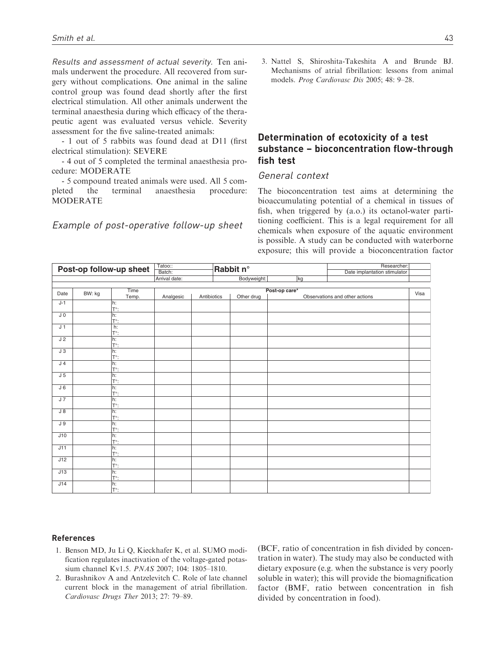Results and assessment of actual severity. Ten animals underwent the procedure. All recovered from surgery without complications. One animal in the saline control group was found dead shortly after the first electrical stimulation. All other animals underwent the terminal anaesthesia during which efficacy of the therapeutic agent was evaluated versus vehicle. Severity assessment for the five saline-treated animals:

- 1 out of 5 rabbits was found dead at D11 (first electrical stimulation): SEVERE

- 4 out of 5 completed the terminal anaesthesia procedure: MODERATE

- 5 compound treated animals were used. All 5 completed the terminal anaesthesia procedure: MODERATE

Example of post-operative follow-up sheet

3. Nattel S, Shiroshita-Takeshita A and Brunde BJ. Mechanisms of atrial fibrillation: lessons from animal models. Prog Cardiovasc Dis 2005; 48: 9–28.

# Determination of ecotoxicity of a test substance – bioconcentration flow-through fish test

### General context

The bioconcentration test aims at determining the bioaccumulating potential of a chemical in tissues of fish, when triggered by (a.o.) its octanol-water partitioning coefficient. This is a legal requirement for all chemicals when exposure of the aquatic environment is possible. A study can be conducted with waterborne exposure; this will provide a bioconcentration factor

| Post-op follow-up sheet |        | Tatoo::             |                         |             | Rabbit n° |             |               | Researcher: |                                |      |
|-------------------------|--------|---------------------|-------------------------|-------------|-----------|-------------|---------------|-------------|--------------------------------|------|
|                         |        |                     | Batch:<br>Arrival date: |             |           | Bodyweight: |               | kg          | Date implantation stimulator   |      |
|                         |        |                     |                         |             |           |             |               |             |                                |      |
|                         |        | Time                |                         |             |           |             | Post-op care* |             |                                |      |
| Date                    | BW: kg | Temp.               | Analgesic               | Antibiotics |           | Other drug  |               |             | Observations and other actions | Visa |
| $J-1$                   |        | h:<br>T°:           |                         |             |           |             |               |             |                                |      |
| JO.                     |        | h:                  |                         |             |           |             |               |             |                                |      |
|                         |        | T°:                 |                         |             |           |             |               |             |                                |      |
| J <sub>1</sub>          |        | h:<br>$T^{\circ}$ : |                         |             |           |             |               |             |                                |      |
| J2                      |        | h:<br>$T^{\circ}$ : |                         |             |           |             |               |             |                                |      |
| J3                      |        | h:<br>$T^{\circ}$ : |                         |             |           |             |               |             |                                |      |
| J <sub>4</sub>          |        | h:<br>T°:           |                         |             |           |             |               |             |                                |      |
| J <sub>5</sub>          |        | h:<br>$T^{\circ}$ : |                         |             |           |             |               |             |                                |      |
| $J_6$                   |        | h:<br>T°:           |                         |             |           |             |               |             |                                |      |
| J7                      |        | h:<br>$T^{\circ}$ : |                         |             |           |             |               |             |                                |      |
| $\overline{J8}$         |        | h:<br>T°:           |                         |             |           |             |               |             |                                |      |
| J9                      |        | h:<br>T°:           |                         |             |           |             |               |             |                                |      |
| J10                     |        | h:<br>T°:           |                         |             |           |             |               |             |                                |      |
| J11                     |        | h:<br>Τ°:           |                         |             |           |             |               |             |                                |      |
| J12                     |        | h:<br>$T^{\circ}$ : |                         |             |           |             |               |             |                                |      |
| J13                     |        | h:<br>T°:           |                         |             |           |             |               |             |                                |      |
| J14                     |        | h:<br>$T^{\circ}$ : |                         |             |           |             |               |             |                                |      |

#### References

- 1. Benson MD, Ju Li Q, Kieckhafer K, et al. SUMO modification regulates inactivation of the voltage-gated potassium channel Kv1.5. PNAS 2007; 104: 1805–1810.
- 2. Burashnikov A and Antzelevitch C. Role of late channel current block in the management of atrial fibrillation. Cardiovasc Drugs Ther 2013; 27: 79–89.

(BCF, ratio of concentration in fish divided by concentration in water). The study may also be conducted with dietary exposure (e.g. when the substance is very poorly soluble in water); this will provide the biomagnification factor (BMF, ratio between concentration in fish divided by concentration in food).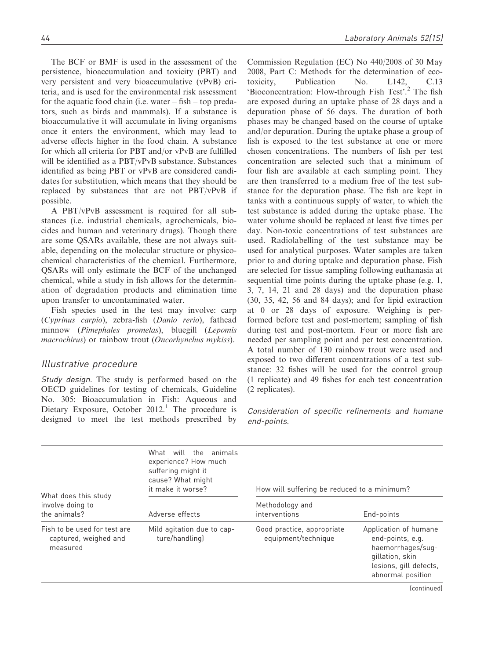The BCF or BMF is used in the assessment of the persistence, bioaccumulation and toxicity (PBT) and very persistent and very bioaccumulative (vPvB) criteria, and is used for the environmental risk assessment for the aquatic food chain (i.e. water – fish – top predators, such as birds and mammals). If a substance is bioaccumulative it will accumulate in living organisms once it enters the environment, which may lead to adverse effects higher in the food chain. A substance for which all criteria for PBT and/or vPvB are fulfilled will be identified as a PBT/vPvB substance. Substances identified as being PBT or vPvB are considered candidates for substitution, which means that they should be replaced by substances that are not PBT/vPvB if possible.

A PBT/vPvB assessment is required for all substances (i.e. industrial chemicals, agrochemicals, biocides and human and veterinary drugs). Though there are some QSARs available, these are not always suitable, depending on the molecular structure or physicochemical characteristics of the chemical. Furthermore, QSARs will only estimate the BCF of the unchanged chemical, while a study in fish allows for the determination of degradation products and elimination time upon transfer to uncontaminated water.

Fish species used in the test may involve: carp (Cyprinus carpio), zebra-fish (Danio rerio), fathead minnow (Pimephales promelas), bluegill (Lepomis macrochirus) or rainbow trout (Oncorhynchus mykiss).

### Illustrative procedure

Study design. The study is performed based on the OECD guidelines for testing of chemicals, Guideline No. 305: Bioaccumulation in Fish: Aqueous and Dietary Exposure, October  $2012<sup>1</sup>$  The procedure is designed to meet the test methods prescribed by Commission Regulation (EC) No 440/2008 of 30 May 2008, Part C: Methods for the determination of ecotoxicity, Publication No. L142, C.13 'Bioconcentration: Flow-through Fish Test'.<sup>2</sup> The fish are exposed during an uptake phase of 28 days and a depuration phase of 56 days. The duration of both phases may be changed based on the course of uptake and/or depuration. During the uptake phase a group of fish is exposed to the test substance at one or more chosen concentrations. The numbers of fish per test concentration are selected such that a minimum of four fish are available at each sampling point. They are then transferred to a medium free of the test substance for the depuration phase. The fish are kept in tanks with a continuous supply of water, to which the test substance is added during the uptake phase. The water volume should be replaced at least five times per day. Non-toxic concentrations of test substances are used. Radiolabelling of the test substance may be used for analytical purposes. Water samples are taken prior to and during uptake and depuration phase. Fish are selected for tissue sampling following euthanasia at sequential time points during the uptake phase (e.g. 1, 3, 7, 14, 21 and 28 days) and the depuration phase (30, 35, 42, 56 and 84 days); and for lipid extraction at 0 or 28 days of exposure. Weighing is performed before test and post-mortem; sampling of fish during test and post-mortem. Four or more fish are needed per sampling point and per test concentration. A total number of 130 rainbow trout were used and exposed to two different concentrations of a test substance: 32 fishes will be used for the control group (1 replicate) and 49 fishes for each test concentration (2 replicates).

Consideration of specific refinements and humane end-points.

| What does this study                                              | What will the animals<br>experience? How much<br>suffering might it<br>cause? What might<br>it make it worse? | How will suffering be reduced to a minimum?       |                                                                                                                                  |  |  |
|-------------------------------------------------------------------|---------------------------------------------------------------------------------------------------------------|---------------------------------------------------|----------------------------------------------------------------------------------------------------------------------------------|--|--|
| involve doing to<br>the animals?                                  | Adverse effects                                                                                               | Methodology and<br>interventions                  | End-points                                                                                                                       |  |  |
| Fish to be used for test are<br>captured, weighed and<br>measured | Mild agitation due to cap-<br>ture/handling]                                                                  | Good practice, appropriate<br>equipment/technique | Application of humane<br>end-points, e.g.<br>haemorrhages/sug-<br>gillation, skin<br>lesions, gill defects,<br>abnormal position |  |  |
|                                                                   |                                                                                                               |                                                   |                                                                                                                                  |  |  |

(continued)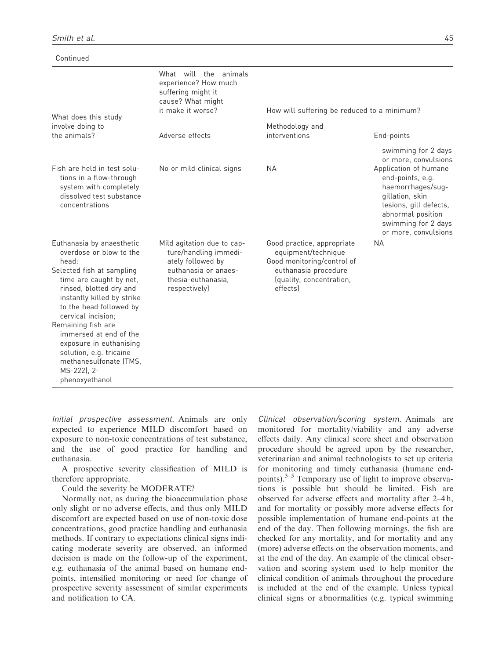Continued

| What does this study                                                                                                                                                                                                                                                                                                                                                                             | What will the animals<br>experience? How much<br>suffering might it<br>cause? What might<br>it make it worse?                           | How will suffering be reduced to a minimum?                                                                                                     |                                                                                                                                                                                                                                |  |  |  |
|--------------------------------------------------------------------------------------------------------------------------------------------------------------------------------------------------------------------------------------------------------------------------------------------------------------------------------------------------------------------------------------------------|-----------------------------------------------------------------------------------------------------------------------------------------|-------------------------------------------------------------------------------------------------------------------------------------------------|--------------------------------------------------------------------------------------------------------------------------------------------------------------------------------------------------------------------------------|--|--|--|
| involve doing to<br>the animals?                                                                                                                                                                                                                                                                                                                                                                 | Adverse effects                                                                                                                         | Methodology and<br>interventions                                                                                                                | End-points                                                                                                                                                                                                                     |  |  |  |
| Fish are held in test solu-<br>tions in a flow-through<br>system with completely<br>dissolved test substance<br>concentrations                                                                                                                                                                                                                                                                   | No or mild clinical signs                                                                                                               | <b>NA</b>                                                                                                                                       | swimming for 2 days<br>or more, convulsions<br>Application of humane<br>end-points, e.g.<br>haemorrhages/sug-<br>gillation, skin<br>lesions, gill defects,<br>abnormal position<br>swimming for 2 days<br>or more, convulsions |  |  |  |
| Euthanasia by anaesthetic<br>overdose or blow to the<br>head:<br>Selected fish at sampling<br>time are caught by net,<br>rinsed, blotted dry and<br>instantly killed by strike<br>to the head followed by<br>cervical incision:<br>Remaining fish are<br>immersed at end of the<br>exposure in euthanising<br>solution, e.g. tricaine<br>methanesulfonate (TMS,<br>MS-222), 2-<br>phenoxyethanol | Mild agitation due to cap-<br>ture/handling immedi-<br>ately followed by<br>euthanasia or anaes-<br>thesia-euthanasia,<br>respectively) | Good practice, appropriate<br>equipment/technique<br>Good monitoring/control of<br>euthanasia procedure<br>(quality, concentration,<br>effectsl | <b>NA</b>                                                                                                                                                                                                                      |  |  |  |

Initial prospective assessment. Animals are only expected to experience MILD discomfort based on exposure to non-toxic concentrations of test substance, and the use of good practice for handling and euthanasia.

A prospective severity classification of MILD is therefore appropriate.

Could the severity be MODERATE?

Normally not, as during the bioaccumulation phase only slight or no adverse effects, and thus only MILD discomfort are expected based on use of non-toxic dose concentrations, good practice handling and euthanasia methods. If contrary to expectations clinical signs indicating moderate severity are observed, an informed decision is made on the follow-up of the experiment, e.g. euthanasia of the animal based on humane endpoints, intensified monitoring or need for change of prospective severity assessment of similar experiments and notification to CA.

Clinical observation/scoring system. Animals are monitored for mortality/viability and any adverse effects daily. Any clinical score sheet and observation procedure should be agreed upon by the researcher, veterinarian and animal technologists to set up criteria for monitoring and timely euthanasia (humane endpoints). $3-5$  Temporary use of light to improve observations is possible but should be limited. Fish are observed for adverse effects and mortality after 2–4 h, and for mortality or possibly more adverse effects for possible implementation of humane end-points at the end of the day. Then following mornings, the fish are checked for any mortality, and for mortality and any (more) adverse effects on the observation moments, and at the end of the day. An example of the clinical observation and scoring system used to help monitor the clinical condition of animals throughout the procedure is included at the end of the example. Unless typical clinical signs or abnormalities (e.g. typical swimming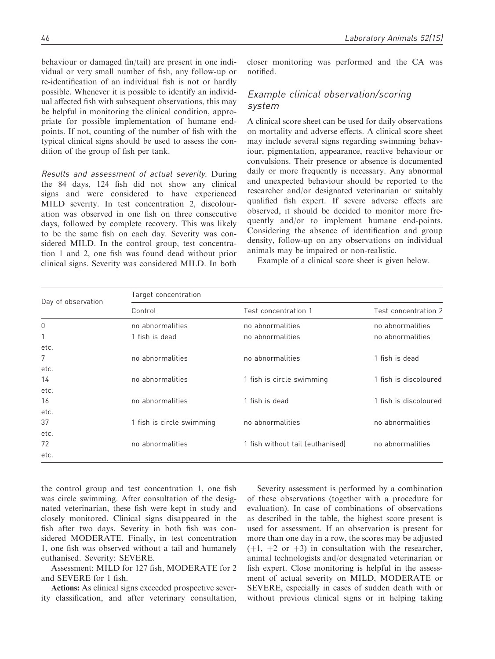behaviour or damaged fin/tail) are present in one individual or very small number of fish, any follow-up or re-identification of an individual fish is not or hardly possible. Whenever it is possible to identify an individual affected fish with subsequent observations, this may be helpful in monitoring the clinical condition, appropriate for possible implementation of humane endpoints. If not, counting of the number of fish with the typical clinical signs should be used to assess the condition of the group of fish per tank.

Results and assessment of actual severity. During the 84 days, 124 fish did not show any clinical signs and were considered to have experienced MILD severity. In test concentration 2, discolouration was observed in one fish on three consecutive days, followed by complete recovery. This was likely to be the same fish on each day. Severity was considered MILD. In the control group, test concentration 1 and 2, one fish was found dead without prior clinical signs. Severity was considered MILD. In both closer monitoring was performed and the CA was notified.

# Example clinical observation/scoring system

A clinical score sheet can be used for daily observations on mortality and adverse effects. A clinical score sheet may include several signs regarding swimming behaviour, pigmentation, appearance, reactive behaviour or convulsions. Their presence or absence is documented daily or more frequently is necessary. Any abnormal and unexpected behaviour should be reported to the researcher and/or designated veterinarian or suitably qualified fish expert. If severe adverse effects are observed, it should be decided to monitor more frequently and/or to implement humane end-points. Considering the absence of identification and group density, follow-up on any observations on individual animals may be impaired or non-realistic.

Example of a clinical score sheet is given below.

| Day of observation | Target concentration      |                                  |                       |  |  |  |  |  |
|--------------------|---------------------------|----------------------------------|-----------------------|--|--|--|--|--|
|                    | Control                   | Test concentration 1             | Test concentration 2  |  |  |  |  |  |
| 0                  | no abnormalities          | no abnormalities                 | no abnormalities      |  |  |  |  |  |
| 1                  | 1 fish is dead            | no abnormalities                 | no abnormalities      |  |  |  |  |  |
| etc.               |                           |                                  |                       |  |  |  |  |  |
| 7                  | no abnormalities          | no abnormalities                 | 1 fish is dead        |  |  |  |  |  |
| etc.               |                           |                                  |                       |  |  |  |  |  |
| 14                 | no abnormalities          | 1 fish is circle swimming        | 1 fish is discoloured |  |  |  |  |  |
| etc.               |                           |                                  |                       |  |  |  |  |  |
| 16                 | no abnormalities          | 1 fish is dead                   | 1 fish is discoloured |  |  |  |  |  |
| etc.               |                           |                                  |                       |  |  |  |  |  |
| 37                 | 1 fish is circle swimming | no abnormalities                 | no abnormalities      |  |  |  |  |  |
| etc.               |                           |                                  |                       |  |  |  |  |  |
| 72                 | no abnormalities          | 1 fish without tail (euthanised) | no abnormalities      |  |  |  |  |  |
| etc.               |                           |                                  |                       |  |  |  |  |  |

the control group and test concentration 1, one fish was circle swimming. After consultation of the designated veterinarian, these fish were kept in study and closely monitored. Clinical signs disappeared in the fish after two days. Severity in both fish was considered MODERATE. Finally, in test concentration 1, one fish was observed without a tail and humanely euthanised. Severity: SEVERE.

Assessment: MILD for 127 fish, MODERATE for 2 and SEVERE for 1 fish.

Actions: As clinical signs exceeded prospective severity classification, and after veterinary consultation,

Severity assessment is performed by a combination of these observations (together with a procedure for evaluation). In case of combinations of observations as described in the table, the highest score present is used for assessment. If an observation is present for more than one day in a row, the scores may be adjusted  $(+1, +2 \text{ or } +3)$  in consultation with the researcher, animal technologists and/or designated veterinarian or fish expert. Close monitoring is helpful in the assessment of actual severity on MILD, MODERATE or SEVERE, especially in cases of sudden death with or without previous clinical signs or in helping taking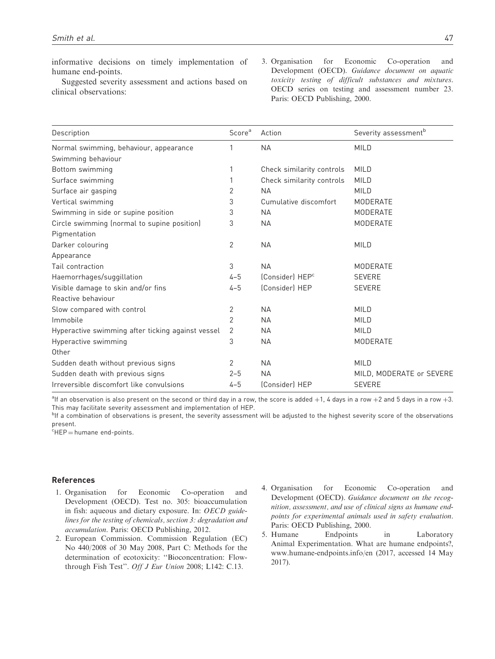informative decisions on timely implementation of humane end-points.

Suggested severity assessment and actions based on clinical observations:

3. Organisation for Economic Co-operation and Development (OECD). Guidance document on aquatic toxicity testing of difficult substances and mixtures. OECD series on testing and assessment number 23. Paris: OECD Publishing, 2000.

| Description                                       | Score <sup>a</sup> | Action                      | Severity assessment <sup>b</sup> |
|---------------------------------------------------|--------------------|-----------------------------|----------------------------------|
| Normal swimming, behaviour, appearance            | 1                  | <b>NA</b>                   | <b>MILD</b>                      |
| Swimming behaviour                                |                    |                             |                                  |
| Bottom swimming                                   | 1                  | Check similarity controls   | <b>MILD</b>                      |
| Surface swimming                                  | 1                  | Check similarity controls   | <b>MILD</b>                      |
| Surface air gasping                               | 2                  | <b>NA</b>                   | <b>MILD</b>                      |
| Vertical swimming                                 | 3                  | Cumulative discomfort       | <b>MODERATE</b>                  |
| Swimming in side or supine position               | 3                  | <b>NA</b>                   | <b>MODERATE</b>                  |
| Circle swimming (normal to supine position)       | 3                  | <b>NA</b>                   | MODERATE                         |
| Pigmentation                                      |                    |                             |                                  |
| Darker colouring                                  | 2                  | <b>NA</b>                   | <b>MILD</b>                      |
| Appearance                                        |                    |                             |                                  |
| Tail contraction                                  | 3                  | <b>NA</b>                   | <b>MODERATE</b>                  |
| Haemorrhages/suggillation                         | $4 - 5$            | (Consider) HEP <sup>c</sup> | <b>SEVERE</b>                    |
| Visible damage to skin and/or fins                | $4 - 5$            | (Consider) HEP              | <b>SEVERE</b>                    |
| Reactive behaviour                                |                    |                             |                                  |
| Slow compared with control                        | 2                  | <b>NA</b>                   | <b>MILD</b>                      |
| Immobile                                          | 2                  | <b>NA</b>                   | <b>MILD</b>                      |
| Hyperactive swimming after ticking against vessel | 2                  | <b>NA</b>                   | <b>MILD</b>                      |
| Hyperactive swimming                              | 3                  | <b>NA</b>                   | <b>MODERATE</b>                  |
| Other                                             |                    |                             |                                  |
| Sudden death without previous signs               | 2                  | <b>NA</b>                   | <b>MILD</b>                      |
| Sudden death with previous signs                  | $2 - 5$            | <b>NA</b>                   | MILD, MODERATE or SEVERE         |
| Irreversible discomfort like convulsions          | $4 - 5$            | (Consider) HEP              | <b>SEVERE</b>                    |

 $a_{\rm II}$  an observation is also present on the second or third day in a row, the score is added  $+1$ , 4 days in a row  $+2$  and 5 days in a row  $+3$ . This may facilitate severity assessment and implementation of HEP.

b<sub>If a combination of observations is present, the severity assessment will be adjusted to the highest severity score of the observations</sub> present.

 $c$ HEP = humane end-points.

#### References

- 1. Organisation for Economic Co-operation and Development (OECD). Test no. 305: bioaccumulation in fish: aqueous and dietary exposure. In: OECD guidelines for the testing of chemicals, section 3: degradation and accumulation. Paris: OECD Publishing, 2012.
- 2. European Commission. Commission Regulation (EC) No 440/2008 of 30 May 2008, Part C: Methods for the determination of ecotoxicity: ''Bioconcentration: Flowthrough Fish Test''. Off J Eur Union 2008; L142: C.13.
- 4. Organisation for Economic Co-operation and Development (OECD). Guidance document on the recognition, assessment, and use of clinical signs as humane endpoints for experimental animals used in safety evaluation. Paris: OECD Publishing, 2000.
- 5. Humane Endpoints in Laboratory Animal Experimentation. What are humane endpoints?, <www.humane-endpoints.info/en> (2017, accessed 14 May 2017).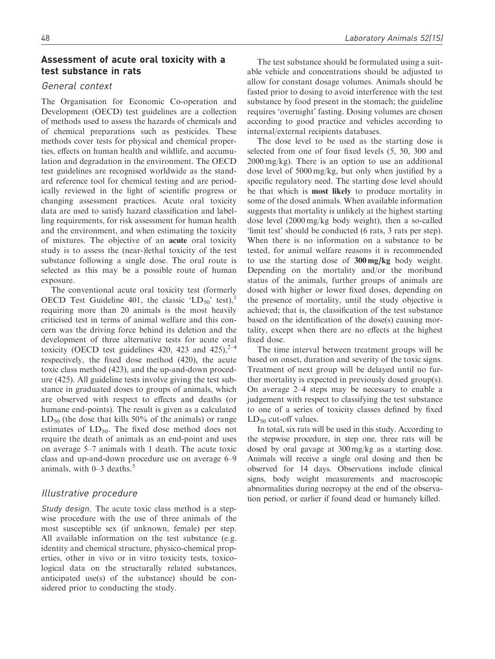# Assessment of acute oral toxicity with a test substance in rats

### General context

The Organisation for Economic Co-operation and Development (OECD) test guidelines are a collection of methods used to assess the hazards of chemicals and of chemical preparations such as pesticides. These methods cover tests for physical and chemical properties, effects on human health and wildlife, and accumulation and degradation in the environment. The OECD test guidelines are recognised worldwide as the standard reference tool for chemical testing and are periodically reviewed in the light of scientific progress or changing assessment practices. Acute oral toxicity data are used to satisfy hazard classification and labelling requirements, for risk assessment for human health and the environment, and when estimating the toxicity of mixtures. The objective of an acute oral toxicity study is to assess the (near-)lethal toxicity of the test substance following a single dose. The oral route is selected as this may be a possible route of human exposure.

The conventional acute oral toxicity test (formerly OECD Test Guideline 401, the classic 'LD<sub>50</sub>' test),<sup>1</sup> requiring more than 20 animals is the most heavily criticised test in terms of animal welfare and this concern was the driving force behind its deletion and the development of three alternative tests for acute oral toxicity (OECD test guidelines 420, 423 and 425),  $2^{-4}$ respectively, the fixed dose method (420), the acute toxic class method (423), and the up-and-down procedure (425). All guideline tests involve giving the test substance in graduated doses to groups of animals, which are observed with respect to effects and deaths (or humane end-points). The result is given as a calculated  $LD_{50}$  (the dose that kills 50% of the animals) or range estimates of LD<sub>50</sub>. The fixed dose method does not require the death of animals as an end-point and uses on average 5–7 animals with 1 death. The acute toxic class and up-and-down procedure use on average 6–9 animals, with  $0-3$  deaths.<sup>5</sup>

### Illustrative procedure

Study design. The acute toxic class method is a stepwise procedure with the use of three animals of the most susceptible sex (if unknown, female) per step. All available information on the test substance (e.g. identity and chemical structure, physico-chemical properties, other in vivo or in vitro toxicity tests, toxicological data on the structurally related substances, anticipated use(s) of the substance) should be considered prior to conducting the study.

according to good practice and vehicles according to

internal/external recipients databases. The dose level to be used as the starting dose is selected from one of four fixed levels (5, 50, 300 and 2000 mg/kg). There is an option to use an additional dose level of 5000 mg/kg, but only when justified by a specific regulatory need. The starting dose level should be that which is most likely to produce mortality in some of the dosed animals. When available information suggests that mortality is unlikely at the highest starting dose level (2000 mg/kg body weight), then a so-called 'limit test' should be conducted (6 rats, 3 rats per step). When there is no information on a substance to be tested, for animal welfare reasons it is recommended to use the starting dose of 300 mg/kg body weight. Depending on the mortality and/or the moribund status of the animals, further groups of animals are dosed with higher or lower fixed doses, depending on the presence of mortality, until the study objective is achieved; that is, the classification of the test substance based on the identification of the dose(s) causing mortality, except when there are no effects at the highest fixed dose.

The time interval between treatment groups will be based on onset, duration and severity of the toxic signs. Treatment of next group will be delayed until no further mortality is expected in previously dosed group(s). On average 2–4 steps may be necessary to enable a judgement with respect to classifying the test substance to one of a series of toxicity classes defined by fixed  $LD_{50}$  cut-off values.

In total, six rats will be used in this study. According to the stepwise procedure, in step one, three rats will be dosed by oral gavage at 300 mg/kg as a starting dose. Animals will receive a single oral dosing and then be observed for 14 days. Observations include clinical signs, body weight measurements and macroscopic abnormalities during necropsy at the end of the observation period, or earlier if found dead or humanely killed.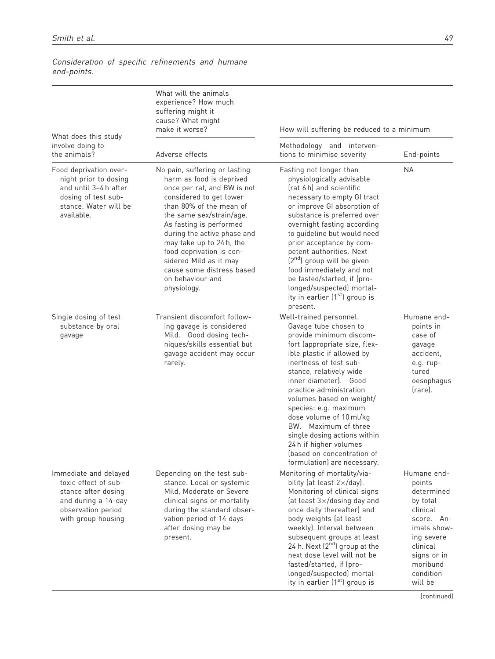|                                                                                                                                         | What will the animals<br>experience? How much<br>suffering might it<br>cause? What might<br>make it worse?                                                                                                                                                                                                                                                                            | How will suffering be reduced to a minimum                                                                                                                                                                                                                                                                                                                                                                                                                                                        |                                                                                                                                                                       |  |  |
|-----------------------------------------------------------------------------------------------------------------------------------------|---------------------------------------------------------------------------------------------------------------------------------------------------------------------------------------------------------------------------------------------------------------------------------------------------------------------------------------------------------------------------------------|---------------------------------------------------------------------------------------------------------------------------------------------------------------------------------------------------------------------------------------------------------------------------------------------------------------------------------------------------------------------------------------------------------------------------------------------------------------------------------------------------|-----------------------------------------------------------------------------------------------------------------------------------------------------------------------|--|--|
| What does this study<br>involve doing to<br>the animals?                                                                                | Adverse effects                                                                                                                                                                                                                                                                                                                                                                       | Methodology and interven-<br>tions to minimise severity                                                                                                                                                                                                                                                                                                                                                                                                                                           | End-points                                                                                                                                                            |  |  |
| Food deprivation over-<br>night prior to dosing<br>and until 3-4 h after<br>dosing of test sub-<br>stance. Water will be<br>available.  | No pain, suffering or lasting<br>harm as food is deprived<br>once per rat, and BW is not<br>considered to get lower<br>than 80% of the mean of<br>the same sex/strain/age.<br>As fasting is performed<br>during the active phase and<br>may take up to 24h, the<br>food deprivation is con-<br>sidered Mild as it may<br>cause some distress based<br>on behaviour and<br>physiology. | <b>NA</b><br>Fasting not longer than<br>physiologically advisable<br>(rat 6 h) and scientific<br>necessary to empty GI tract<br>or improve GI absorption of<br>substance is preferred over<br>overnight fasting according<br>to guideline but would need<br>prior acceptance by com-<br>petent authorities. Next<br>$[2nd]$ group will be given<br>food immediately and not<br>be fasted/started, if (pro-<br>longed/suspected) mortal-<br>ity in earlier (1 <sup>st</sup> ) group is<br>present. |                                                                                                                                                                       |  |  |
| Single dosing of test<br>substance by oral<br>gavage                                                                                    | Transient discomfort follow-<br>ing gavage is considered<br>Mild. Good dosing tech-<br>niques/skills essential but<br>gavage accident may occur<br>rarely.                                                                                                                                                                                                                            | Well-trained personnel.<br>Gavage tube chosen to<br>provide minimum discom-<br>fort (appropriate size, flex-<br>ible plastic if allowed by<br>inertness of test sub-<br>stance, relatively wide<br>inner diameter). Good<br>practice administration<br>volumes based on weight/<br>species: e.g. maximum<br>dose volume of 10 ml/kg<br>BW. Maximum of three<br>single dosing actions within<br>24 h if higher volumes<br>(based on concentration of<br>formulation) are necessary.                | Humane end-<br>points in<br>case of<br>gavage<br>accident,<br>e.g. rup-<br>tured<br>oesophagus<br>(rare).                                                             |  |  |
| Immediate and delayed<br>toxic effect of sub-<br>stance after dosing<br>and during a 14-day<br>observation period<br>with group housing | Depending on the test sub-<br>stance. Local or systemic<br>Mild, Moderate or Severe<br>clinical signs or mortality<br>during the standard obser-<br>vation period of 14 days<br>after dosing may be<br>present.                                                                                                                                                                       | Monitoring of mortality/via-<br>bility (at least $2\times$ /day).<br>Monitoring of clinical signs<br>(at least $3\times$ /dosing day and<br>once daily thereafter) and<br>body weights (at least<br>weekly). Interval between<br>subsequent groups at least<br>24 h. Next $(2^{nd})$ group at the<br>next dose level will not be<br>fasted/started, if (pro-<br>longed/suspected) mortal-<br>ity in earlier (1 <sup>st</sup> ) group is                                                           | Humane end-<br>points<br>determined<br>by total<br>clinical<br>score. An-<br>imals show-<br>ing severe<br>clinical<br>signs or in<br>moribund<br>condition<br>will be |  |  |

Consideration of specific refinements and humane end-points.

(continued)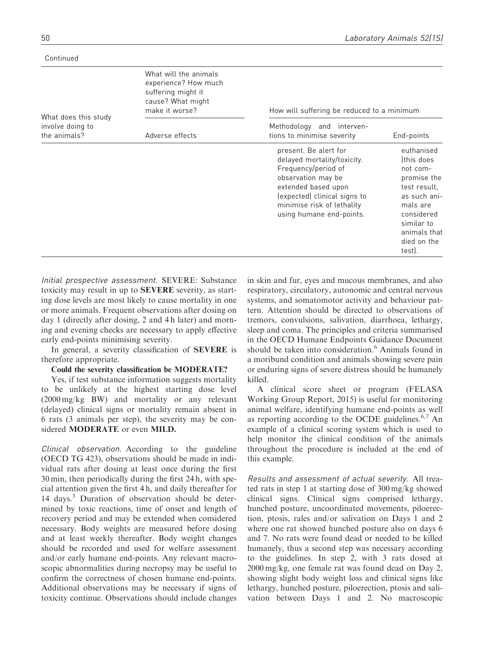#### Continued

|                                                          | What will the animals<br>experience? How much<br>suffering might it<br>cause? What might<br>make it worse? | How will suffering be reduced to a minimum                                                                                                                                                                         |                                                                                                                                                                     |  |  |  |  |  |  |  |
|----------------------------------------------------------|------------------------------------------------------------------------------------------------------------|--------------------------------------------------------------------------------------------------------------------------------------------------------------------------------------------------------------------|---------------------------------------------------------------------------------------------------------------------------------------------------------------------|--|--|--|--|--|--|--|
| What does this study<br>involve doing to<br>the animals? | Adverse effects                                                                                            | Methodology and interven-<br>tions to minimise severity                                                                                                                                                            | End-points                                                                                                                                                          |  |  |  |  |  |  |  |
|                                                          |                                                                                                            | present. Be alert for<br>delayed mortality/toxicity.<br>Frequency/period of<br>observation may be<br>extended based upon<br>(expected) clinical signs to<br>minimise risk of lethality<br>using humane end-points. | euthanised<br>this does<br>not com-<br>promise the<br>test result.<br>as such ani-<br>mals are<br>considered<br>similar to<br>animals that<br>died on the<br>test). |  |  |  |  |  |  |  |

Initial prospective assessment. SEVERE: Substance toxicity may result in up to SEVERE severity, as starting dose levels are most likely to cause mortality in one or more animals. Frequent observations after dosing on day 1 (directly after dosing, 2 and 4 h later) and morning and evening checks are necessary to apply effective early end-points minimising severity.

In general, a severity classification of SEVERE is therefore appropriate.

#### Could the severity classification be MODERATE?

Yes, if test substance information suggests mortality to be unlikely at the highest starting dose level (2000 mg/kg BW) and mortality or any relevant (delayed) clinical signs or mortality remain absent in 6 rats (3 animals per step), the severity may be considered MODERATE or even MILD.

Clinical observation. According to the guideline (OECD TG 423), observations should be made in individual rats after dosing at least once during the first 30 min, then periodically during the first 24 h, with special attention given the first 4 h, and daily thereafter for 14 days.<sup>3</sup> Duration of observation should be determined by toxic reactions, time of onset and length of recovery period and may be extended when considered necessary. Body weights are measured before dosing and at least weekly thereafter. Body weight changes should be recorded and used for welfare assessment and/or early humane end-points. Any relevant macroscopic abnormalities during necropsy may be useful to confirm the correctness of chosen humane end-points. Additional observations may be necessary if signs of toxicity continue. Observations should include changes

in skin and fur, eyes and mucous membranes, and also respiratory, circulatory, autonomic and central nervous systems, and somatomotor activity and behaviour pattern. Attention should be directed to observations of tremors, convulsions, salivation, diarrhoea, lethargy, sleep and coma. The principles and criteria summarised in the OECD Humane Endpoints Guidance Document should be taken into consideration.<sup>6</sup> Animals found in a moribund condition and animals showing severe pain or enduring signs of severe distress should be humanely killed.

A clinical score sheet or program (FELASA Working Group Report, 2015) is useful for monitoring animal welfare, identifying humane end-points as well as reporting according to the OCDE guidelines. $6,7$  An example of a clinical scoring system which is used to help monitor the clinical condition of the animals throughout the procedure is included at the end of this example.

Results and assessment of actual severity. All treated rats in step 1 at starting dose of 300 mg/kg showed clinical signs. Clinical signs comprised lethargy, hunched posture, uncoordinated movements, piloerection, ptosis, rales and/or salivation on Days 1 and 2 where one rat showed hunched posture also on days 6 and 7. No rats were found dead or needed to be killed humanely, thus a second step was necessary according to the guidelines. In step 2, with 3 rats dosed at 2000 mg/kg, one female rat was found dead on Day 2, showing slight body weight loss and clinical signs like lethargy, hunched posture, piloerection, ptosis and salivation between Days 1 and 2. No macroscopic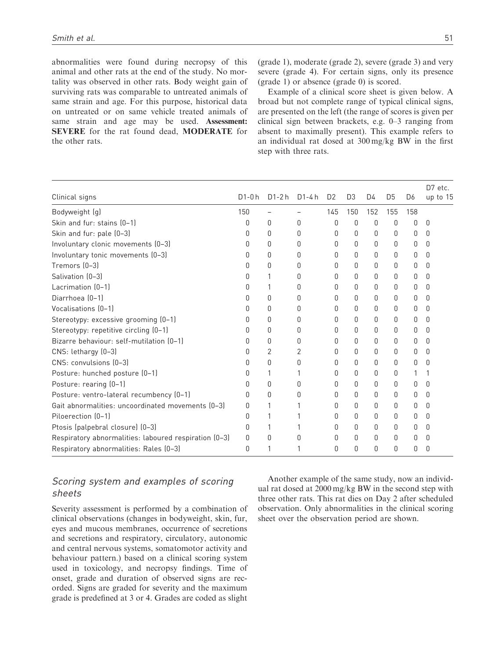abnormalities were found during necropsy of this animal and other rats at the end of the study. No mortality was observed in other rats. Body weight gain of surviving rats was comparable to untreated animals of same strain and age. For this purpose, historical data on untreated or on same vehicle treated animals of same strain and age may be used. Assessment: SEVERE for the rat found dead, MODERATE for the other rats.

(grade 1), moderate (grade 2), severe (grade 3) and very severe (grade 4). For certain signs, only its presence (grade 1) or absence (grade 0) is scored.

Example of a clinical score sheet is given below. A broad but not complete range of typical clinical signs, are presented on the left (the range of scores is given per clinical sign between brackets, e.g. 0–3 ranging from absent to maximally present). This example refers to an individual rat dosed at 300 mg/kg BW in the first step with three rats.

|                                                       |              |          |        |                |                |          |                |                | $D7$ etc.    |
|-------------------------------------------------------|--------------|----------|--------|----------------|----------------|----------|----------------|----------------|--------------|
| Clinical signs                                        | $D1 - 0 h$   | $D1-2h$  | D1-4 h | D <sub>2</sub> | D <sub>3</sub> | D4       | D <sub>5</sub> | D <sub>6</sub> | up to 15     |
| Bodyweight (g)                                        | 150          |          |        | 145            | 150            | 152      | 155            | 158            |              |
| Skin and fur: stains (0-1)                            | 0            | 0        | 0      | 0              | 0              | 0        | 0              | 0              | 0            |
| Skin and fur: pale (0-3)                              | <sup>0</sup> | $\Omega$ | U      | 0              | 0              | 0        | 0              | 0              | <sup>0</sup> |
| Involuntary clonic movements (0-3)                    | O            | $\Omega$ | O      | 0              | O              | 0        | $\Omega$       | <sup>0</sup>   | <sup>0</sup> |
| Involuntary tonic movements (0-3)                     | O            | $\Omega$ | O      | 0              | 0              | 0        | 0              | <sup>0</sup>   | <sup>0</sup> |
| Tremors (0-3)                                         | O            | 0        | 0      | 0              | 0              | 0        | 0              | 0              | 0            |
| Salivation (0-3)                                      | O            | 1        | U      | 0              | O              | 0        | 0              | <sup>0</sup>   | $\Omega$     |
| Lacrimation (0-1)                                     | 0            | 1        | U      | 0              | 0              | 0        | $\Omega$       | <sup>0</sup>   | <sup>0</sup> |
| Diarrhoea (0-1)                                       | 0            | 0        | O      | 0              | 0              | 0        | 0              | 0              | 0            |
| Vocalisations (0-1)                                   | n            | $\Omega$ | 0      | 0              | 0              | 0        | 0              | <sup>0</sup>   | <sup>0</sup> |
| Stereotypy: excessive grooming (0-1)                  | 0            | 0        | O      | 0              | 0              | 0        | 0              | O.             | <sup>0</sup> |
| Stereotypy: repetitive circling (0-1)                 | 0            | $\Omega$ | O      | 0              | O.             | $\Omega$ | $\Omega$       | 0              | <sup>0</sup> |
| Bizarre behaviour: self-mutilation (0-1)              | O            | 0        | 0      | 0              | 0              | 0        | 0              | 0              | $\Omega$     |
| CNS: lethargy (0-3)                                   | O            | 2        | 2      | 0              | 0              | 0        | 0              | 0              | <sup>0</sup> |
| CNS: convulsions (0-3)                                | 0            | 0        | 0      | 0              | 0              | 0        | 0              | 0              | 0            |
| Posture: hunched posture (0-1)                        | 0            | 1        |        | 0              | 0              | 0        | 0              |                |              |
| Posture: rearing (0-1)                                | O            | $\Omega$ | O      | 0              | 0              | 0        | 0              | O.             | $\Omega$     |
| Posture: ventro-lateral recumbency (0-1)              | <sup>0</sup> | $\Omega$ | U      | 0              | O.             | 0        | 0              | <sup>0</sup>   | U            |
| Gait abnormalities: uncoordinated movements (0-3)     | <sup>0</sup> | 1        |        | 0              | 0              | 0        | $\Omega$       | 0              | $\Box$       |
| Piloerection (0-1)                                    | 0            | 1        |        | 0              | 0              | 0        | 0              | 0              | <sup>0</sup> |
| Ptosis (palpebral closure) (0-3)                      | 0            | 1        |        | 0              | 0              | 0        | 0              | 0              | 0            |
| Respiratory abnormalities: laboured respiration (0-3) | 0            | 0        | O      | 0              | 0              | 0        | 0              | O              | <sup>0</sup> |
| Respiratory abnormalities: Rales (0-3)                | 0            |          |        | 0              | O.             | $\Omega$ | 0              | 0              | $\Box$       |

# Scoring system and examples of scoring sheets

Severity assessment is performed by a combination of clinical observations (changes in bodyweight, skin, fur, eyes and mucous membranes, occurrence of secretions and secretions and respiratory, circulatory, autonomic and central nervous systems, somatomotor activity and behaviour pattern.) based on a clinical scoring system used in toxicology, and necropsy findings. Time of onset, grade and duration of observed signs are recorded. Signs are graded for severity and the maximum grade is predefined at 3 or 4. Grades are coded as slight

Another example of the same study, now an individual rat dosed at 2000 mg/kg BW in the second step with three other rats. This rat dies on Day 2 after scheduled observation. Only abnormalities in the clinical scoring sheet over the observation period are shown.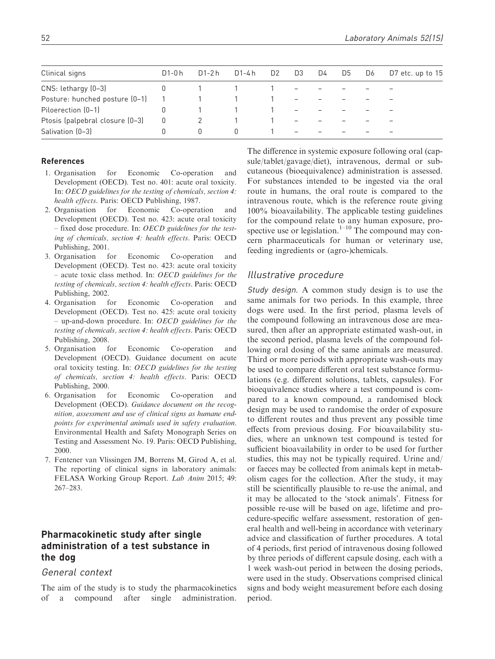| Clinical signs                  | D1-0 h | D1-2 h | D1-4 h | D <sub>2</sub> | D3                       | D4 | D5 | D6 | D7 etc. up to 15 |
|---------------------------------|--------|--------|--------|----------------|--------------------------|----|----|----|------------------|
| CNS: lethargy (0-3)             |        |        |        |                | $-$                      |    |    |    |                  |
| Posture: hunched posture (0-1)  |        |        |        |                | $\overline{\phantom{m}}$ |    |    |    |                  |
| Piloerection (0-1)              |        |        |        |                | $\overline{\phantom{a}}$ |    |    |    |                  |
| Ptosis (palpebral closure (0-3) | 0      |        |        |                | $\overline{\phantom{0}}$ |    |    |    |                  |
| Salivation (0-3)                |        | n      |        |                |                          |    |    |    |                  |

#### References

- 1. Organisation for Economic Co-operation and Development (OECD). Test no. 401: acute oral toxicity. In: OECD guidelines for the testing of chemicals, section 4: health effects. Paris: OECD Publishing, 1987.
- 2. Organisation for Economic Co-operation and Development (OECD). Test no. 423: acute oral toxicity – fixed dose procedure. In: OECD guidelines for the testing of chemicals, section 4: health effects. Paris: OECD Publishing, 2001.
- 3. Organisation for Economic Co-operation and Development (OECD). Test no. 423: acute oral toxicity – acute toxic class method. In: OECD guidelines for the testing of chemicals, section 4: health effects. Paris: OECD Publishing, 2002.
- 4. Organisation for Economic Co-operation and Development (OECD). Test no. 425: acute oral toxicity – up-and-down procedure. In: OECD guidelines for the testing of chemicals, section 4: health effects. Paris: OECD Publishing, 2008.
- 5. Organisation for Economic Co-operation and Development (OECD). Guidance document on acute oral toxicity testing. In: OECD guidelines for the testing of chemicals, section 4: health effects. Paris: OECD Publishing, 2000.
- 6. Organisation for Economic Co-operation and Development (OECD). Guidance document on the recognition, assessment and use of clinical signs as humane endpoints for experimental animals used in safety evaluation. Environmental Health and Safety Monograph Series on Testing and Assessment No. 19. Paris: OECD Publishing, 2000.
- 7. Fentener van Vlissingen JM, Borrens M, Girod A, et al. The reporting of clinical signs in laboratory animals: FELASA Working Group Report. Lab Anim 2015; 49: 267–283.

# Pharmacokinetic study after single administration of a test substance in the dog

#### General context

The aim of the study is to study the pharmacokinetics of a compound after single administration.

The difference in systemic exposure following oral (capsule/tablet/gavage/diet), intravenous, dermal or subcutaneous (bioequivalence) administration is assessed. For substances intended to be ingested via the oral route in humans, the oral route is compared to the intravenous route, which is the reference route giving 100% bioavailability. The applicable testing guidelines for the compound relate to any human exposure, prospective use or legislation.<sup>1–10</sup> The compound may concern pharmaceuticals for human or veterinary use, feeding ingredients or (agro-)chemicals.

#### Illustrative procedure

Study design. A common study design is to use the same animals for two periods. In this example, three dogs were used. In the first period, plasma levels of the compound following an intravenous dose are measured, then after an appropriate estimated wash-out, in the second period, plasma levels of the compound following oral dosing of the same animals are measured. Third or more periods with appropriate wash-outs may be used to compare different oral test substance formulations (e.g. different solutions, tablets, capsules). For bioequivalence studies where a test compound is compared to a known compound, a randomised block design may be used to randomise the order of exposure to different routes and thus prevent any possible time effects from previous dosing. For bioavailability studies, where an unknown test compound is tested for sufficient bioavailability in order to be used for further studies, this may not be typically required. Urine and/ or faeces may be collected from animals kept in metabolism cages for the collection. After the study, it may still be scientifically plausible to re-use the animal, and it may be allocated to the 'stock animals'. Fitness for possible re-use will be based on age, lifetime and procedure-specific welfare assessment, restoration of general health and well-being in accordance with veterinary advice and classification of further procedures. A total of 4 periods, first period of intravenous dosing followed by three periods of different capsule dosing, each with a 1 week wash-out period in between the dosing periods, were used in the study. Observations comprised clinical signs and body weight measurement before each dosing period.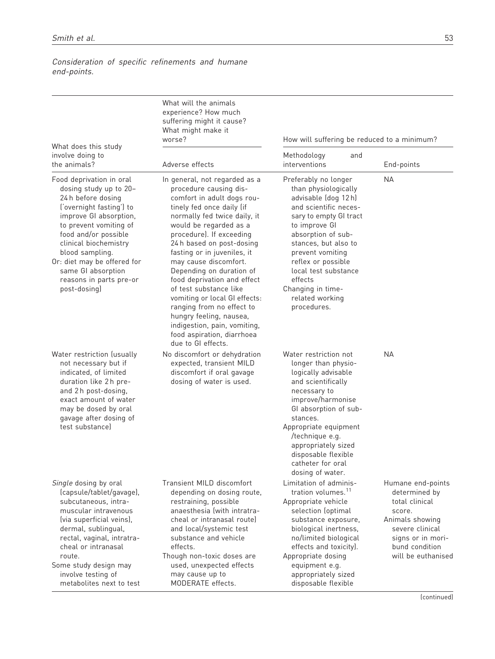Consideration of specific refinements and humane end-points.

| What does this study<br>involve doing to<br>the animals?<br>Food deprivation in oral<br>dosing study up to 20-<br>24 h before dosing<br>('overnight fasting') to<br>improve GI absorption,<br>to prevent vomiting of<br>food and/or possible<br>clinical biochemistry<br>blood sampling.<br>Or: diet may be offered for<br>same GI absorption<br>reasons in parts pre-or<br>post-dosing)<br>Water restriction (usually<br>not necessary but if<br>indicated, of limited<br>duration like 2h pre- | What will the animals<br>experience? How much<br>suffering might it cause?<br>What might make it<br>worse?                                                                                                                                                                                                                                                                                                                                                                                                                                                      | How will suffering be reduced to a minimum?                                                                                                                                                                                                                                                                               |                                                                                                                                                                   |  |  |  |  |  |  |
|--------------------------------------------------------------------------------------------------------------------------------------------------------------------------------------------------------------------------------------------------------------------------------------------------------------------------------------------------------------------------------------------------------------------------------------------------------------------------------------------------|-----------------------------------------------------------------------------------------------------------------------------------------------------------------------------------------------------------------------------------------------------------------------------------------------------------------------------------------------------------------------------------------------------------------------------------------------------------------------------------------------------------------------------------------------------------------|---------------------------------------------------------------------------------------------------------------------------------------------------------------------------------------------------------------------------------------------------------------------------------------------------------------------------|-------------------------------------------------------------------------------------------------------------------------------------------------------------------|--|--|--|--|--|--|
|                                                                                                                                                                                                                                                                                                                                                                                                                                                                                                  | Adverse effects                                                                                                                                                                                                                                                                                                                                                                                                                                                                                                                                                 | Methodology<br>and<br>interventions                                                                                                                                                                                                                                                                                       | End-points                                                                                                                                                        |  |  |  |  |  |  |
|                                                                                                                                                                                                                                                                                                                                                                                                                                                                                                  | In general, not regarded as a<br>procedure causing dis-<br>comfort in adult dogs rou-<br>tinely fed once daily (if<br>normally fed twice daily, it<br>would be regarded as a<br>procedure). If exceeding<br>24 h based on post-dosing<br>fasting or in juveniles, it<br>may cause discomfort.<br>Depending on duration of<br>food deprivation and effect<br>of test substance like<br>vomiting or local GI effects:<br>ranging from no effect to<br>hungry feeling, nausea,<br>indigestion, pain, vomiting,<br>food aspiration, diarrhoea<br>due to GI effects. | Preferably no longer<br>than physiologically<br>advisable (dog 12h)<br>and scientific neces-<br>sary to empty GI tract<br>to improve GI<br>absorption of sub-<br>stances, but also to<br>prevent vomiting<br>reflex or possible<br>local test substance<br>effects<br>Changing in time-<br>related working<br>procedures. | <b>NA</b>                                                                                                                                                         |  |  |  |  |  |  |
| and 2h post-dosing,<br>exact amount of water<br>may be dosed by oral<br>gavage after dosing of<br>test substancel                                                                                                                                                                                                                                                                                                                                                                                | No discomfort or dehydration<br>expected, transient MILD<br>discomfort if oral gavage<br>dosing of water is used.                                                                                                                                                                                                                                                                                                                                                                                                                                               | Water restriction not<br>longer than physio-<br>logically advisable<br>and scientifically<br>necessary to<br>improve/harmonise<br>GI absorption of sub-<br>stances.<br>Appropriate equipment<br>/technique e.g.<br>appropriately sized<br>disposable flexible<br>catheter for oral<br>dosing of water.                    | <b>NA</b>                                                                                                                                                         |  |  |  |  |  |  |
| Single dosing by oral<br>(capsule/tablet/gavage),<br>subcutaneous, intra-<br>muscular intravenous<br>(via superficial veins),<br>dermal, sublingual,<br>rectal, vaginal, intratra-<br>cheal or intranasal<br>route.<br>Some study design may<br>involve testing of<br>metabolites next to test                                                                                                                                                                                                   | Transient MILD discomfort<br>depending on dosing route,<br>restraining, possible<br>anaesthesia (with intratra-<br>cheal or intranasal routel<br>and local/systemic test<br>substance and vehicle<br>effects.<br>Though non-toxic doses are<br>used, unexpected effects<br>may cause up to<br>MODERATE effects.                                                                                                                                                                                                                                                 | Limitation of adminis-<br>tration volumes. <sup>11</sup><br>Appropriate vehicle<br>selection (optimal<br>substance exposure,<br>biological inertness,<br>no/limited biological<br>effects and toxicity).<br>Appropriate dosing<br>equipment e.g.<br>appropriately sized<br>disposable flexible                            | Humane end-points<br>determined by<br>total clinical<br>score.<br>Animals showing<br>severe clinical<br>signs or in mori-<br>bund condition<br>will be euthanised |  |  |  |  |  |  |

(continued)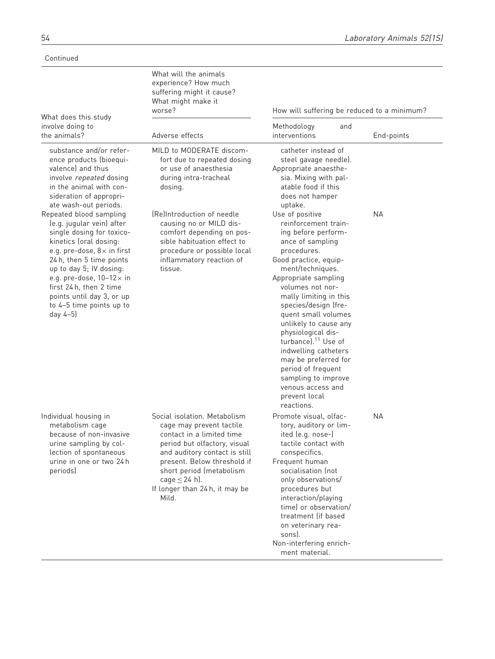Continued

| What does this study                                                                                                                                                                                                                                                                                                                        | What will the animals<br>experience? How much<br>suffering might it cause?<br>What might make it<br>worse?                                                                                                                                                                         | How will suffering be reduced to a minimum?                                                                                                                                                                                                                                                                                                                                                                                                                                                            |            |  |  |  |  |  |  |
|---------------------------------------------------------------------------------------------------------------------------------------------------------------------------------------------------------------------------------------------------------------------------------------------------------------------------------------------|------------------------------------------------------------------------------------------------------------------------------------------------------------------------------------------------------------------------------------------------------------------------------------|--------------------------------------------------------------------------------------------------------------------------------------------------------------------------------------------------------------------------------------------------------------------------------------------------------------------------------------------------------------------------------------------------------------------------------------------------------------------------------------------------------|------------|--|--|--|--|--|--|
| involve doing to<br>the animals?                                                                                                                                                                                                                                                                                                            | Adverse effects                                                                                                                                                                                                                                                                    | Methodology<br>and<br>interventions                                                                                                                                                                                                                                                                                                                                                                                                                                                                    | End-points |  |  |  |  |  |  |
| substance and/or refer-<br>ence products (bioequi-<br>valence) and thus<br>involve repeated dosing<br>in the animal with con-<br>sideration of appropri-<br>ate wash-out periods.                                                                                                                                                           | MILD to MODERATE discom-<br>fort due to repeated dosing<br>or use of anaesthesia<br>during intra-tracheal<br>dosing.                                                                                                                                                               | catheter instead of<br>steel gavage needle).<br>Appropriate anaesthe-<br>sia. Mixing with pal-<br>atable food if this<br>does not hamper<br>uptake.                                                                                                                                                                                                                                                                                                                                                    |            |  |  |  |  |  |  |
| Repeated blood sampling<br>(e.g. jugular vein) after<br>single dosing for toxico-<br>kinetics (oral dosing:<br>e.g. pre-dose, $8 \times$ in first<br>24 h, then 5 time points<br>up to day 5; IV dosing:<br>e.g. pre-dose, $10-12\times$ in<br>first 24 h, then 2 time<br>points until day 3, or up<br>to 4-5 time points up to<br>day 4-5) | (Re)Introduction of needle<br>causing no or MILD dis-<br>comfort depending on pos-<br>sible habituation effect to<br>procedure or possible local<br>inflammatory reaction of<br>tissue.                                                                                            | Use of positive<br>reinforcement train-<br>ing before perform-<br>ance of sampling<br>procedures.<br>Good practice, equip-<br>ment/techniques.<br>Appropriate sampling<br>volumes not nor-<br>mally limiting in this<br>species/design (fre-<br>quent small volumes<br>unlikely to cause any<br>physiological dis-<br>turbance). <sup>11</sup> Use of<br>indwelling catheters<br>may be preferred for<br>period of frequent<br>sampling to improve<br>venous access and<br>prevent local<br>reactions. | <b>NA</b>  |  |  |  |  |  |  |
| Individual housing in<br>metabolism cage<br>because of non-invasive<br>urine sampling by col-<br>lection of spontaneous<br>urine in one or two 24 h<br>periods)                                                                                                                                                                             | Social isolation. Metabolism<br>cage may prevent tactile<br>contact in a limited time<br>period but olfactory, visual<br>and auditory contact is still<br>present. Below threshold if<br>short period (metabolism<br>cage $\leq$ 24 h).<br>If longer than 24 h, it may be<br>Mild. | Promote visual, olfac-<br>tory, auditory or lim-<br>ited (e.g. nose-)<br>tactile contact with<br>conspecifics.<br>Frequent human<br>socialisation (not<br>only observations/<br>procedures but<br>interaction/playing<br>time) or observation/<br>treatment (if based<br>on veterinary rea-<br>sons).<br>Non-interfering enrich-<br>ment material.                                                                                                                                                     | <b>NA</b>  |  |  |  |  |  |  |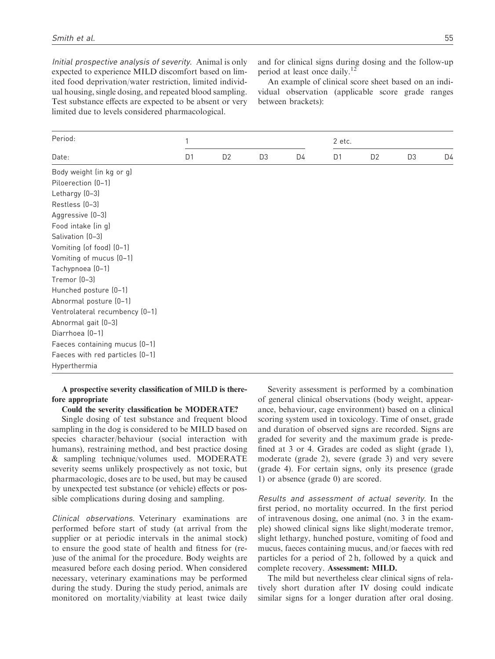Initial prospective analysis of severity. Animal is only expected to experience MILD discomfort based on limited food deprivation/water restriction, limited individual housing, single dosing, and repeated blood sampling. Test substance effects are expected to be absent or very limited due to levels considered pharmacological.

and for clinical signs during dosing and the follow-up period at least once daily.<sup>12</sup>

An example of clinical score sheet based on an individual observation (applicable score grade ranges between brackets):

| Period:                         |                |                |                | 2 etc. |                |                |                |    |  |  |  |
|---------------------------------|----------------|----------------|----------------|--------|----------------|----------------|----------------|----|--|--|--|
| Date:                           | D <sub>1</sub> | D <sub>2</sub> | D <sub>3</sub> | D4     | D <sub>1</sub> | D <sub>2</sub> | D <sub>3</sub> | D4 |  |  |  |
| Body weight (in kg or g)        |                |                |                |        |                |                |                |    |  |  |  |
| Piloerection (0-1)              |                |                |                |        |                |                |                |    |  |  |  |
| Lethargy (0-3)                  |                |                |                |        |                |                |                |    |  |  |  |
| Restless (0-3)                  |                |                |                |        |                |                |                |    |  |  |  |
| Aggressive (0-3)                |                |                |                |        |                |                |                |    |  |  |  |
| Food intake (in g)              |                |                |                |        |                |                |                |    |  |  |  |
| Salivation (0-3)                |                |                |                |        |                |                |                |    |  |  |  |
| Vomiting (of food) (0-1)        |                |                |                |        |                |                |                |    |  |  |  |
| Vomiting of mucus (0-1)         |                |                |                |        |                |                |                |    |  |  |  |
| Tachypnoea (0-1)                |                |                |                |        |                |                |                |    |  |  |  |
| Tremor (0-3)                    |                |                |                |        |                |                |                |    |  |  |  |
| Hunched posture (0-1)           |                |                |                |        |                |                |                |    |  |  |  |
| Abnormal posture (0-1)          |                |                |                |        |                |                |                |    |  |  |  |
| Ventrolateral recumbency (0-1)  |                |                |                |        |                |                |                |    |  |  |  |
| Abnormal gait (0-3)             |                |                |                |        |                |                |                |    |  |  |  |
| Diarrhoea (0-1)                 |                |                |                |        |                |                |                |    |  |  |  |
| Faeces containing mucus (0-1)   |                |                |                |        |                |                |                |    |  |  |  |
| Faeces with red particles (0-1) |                |                |                |        |                |                |                |    |  |  |  |
| Hyperthermia                    |                |                |                |        |                |                |                |    |  |  |  |

#### A prospective severity classification of MILD is therefore appropriate

Could the severity classification be MODERATE?

Single dosing of test substance and frequent blood sampling in the dog is considered to be MILD based on species character/behaviour (social interaction with humans), restraining method, and best practice dosing & sampling technique/volumes used. MODERATE severity seems unlikely prospectively as not toxic, but pharmacologic, doses are to be used, but may be caused by unexpected test substance (or vehicle) effects or possible complications during dosing and sampling.

Clinical observations. Veterinary examinations are performed before start of study (at arrival from the supplier or at periodic intervals in the animal stock) to ensure the good state of health and fitness for (re- )use of the animal for the procedure. Body weights are measured before each dosing period. When considered necessary, veterinary examinations may be performed during the study. During the study period, animals are monitored on mortality/viability at least twice daily

Severity assessment is performed by a combination of general clinical observations (body weight, appearance, behaviour, cage environment) based on a clinical scoring system used in toxicology. Time of onset, grade and duration of observed signs are recorded. Signs are graded for severity and the maximum grade is predefined at 3 or 4. Grades are coded as slight (grade 1), moderate (grade 2), severe (grade 3) and very severe (grade 4). For certain signs, only its presence (grade 1) or absence (grade 0) are scored.

Results and assessment of actual severity. In the first period, no mortality occurred. In the first period of intravenous dosing, one animal (no. 3 in the example) showed clinical signs like slight/moderate tremor, slight lethargy, hunched posture, vomiting of food and mucus, faeces containing mucus, and/or faeces with red particles for a period of 2 h, followed by a quick and complete recovery. Assessment: MILD.

The mild but nevertheless clear clinical signs of relatively short duration after IV dosing could indicate similar signs for a longer duration after oral dosing.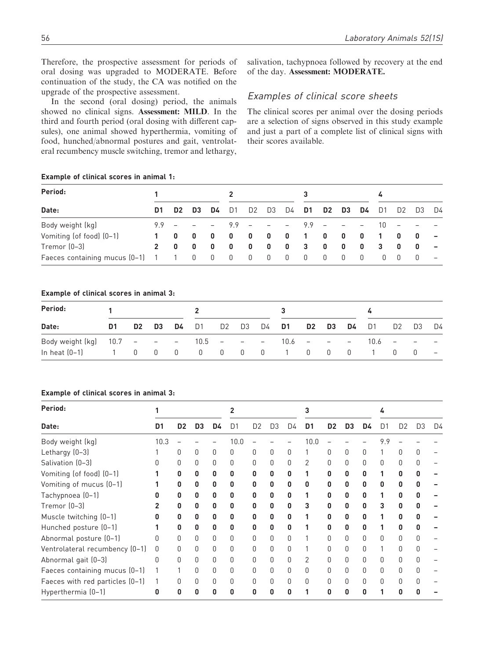Therefore, the prospective assessment for periods of oral dosing was upgraded to MODERATE. Before continuation of the study, the CA was notified on the upgrade of the prospective assessment.

In the second (oral dosing) period, the animals showed no clinical signs. Assessment: MILD. In the third and fourth period (oral dosing with different capsules), one animal showed hyperthermia, vomiting of food, hunched/abnormal postures and gait, ventrolateral recumbency muscle switching, tremor and lethargy, salivation, tachypnoea followed by recovery at the end of the day. Assessment: MODERATE.

### Examples of clinical score sheets

The clinical scores per animal over the dosing periods are a selection of signs observed in this study example and just a part of a complete list of clinical signs with their scores available.

#### Example of clinical scores in animal 1:

| Period:                             |              |                |     |                |                         |                         |                |                                   |                |                         |            | 4                        |                |                          |              |        |
|-------------------------------------|--------------|----------------|-----|----------------|-------------------------|-------------------------|----------------|-----------------------------------|----------------|-------------------------|------------|--------------------------|----------------|--------------------------|--------------|--------|
| Date:                               | D1.          | D <sub>2</sub> | D3  | D4             | D <sub>1</sub>          | D <sub>2</sub>          | D3             | D4                                | D1             |                         | D2 D3      | D4                       | D1             | D <sub>2</sub>           | D3           | D4     |
| Body weight (kg)                    | $99 -$       |                |     | $ -$           |                         | $9.9 - -$               |                | <b>Contract Contract Contract</b> | $9.9 -$        |                         | $\sim$ $-$ | $\overline{\phantom{a}}$ | 10             | $\sim$ 100 $-$ 100 $\pm$ |              |        |
| Vomiting (of food) (0-1)            | $1 \quad$    | 0              | - 0 | 0              | 0                       | $\overline{\mathbf{0}}$ | 0              | $\mathbf{0}$                      | $\overline{1}$ | 0                       | - 0        | $\mathbf{0}$             | $\overline{1}$ | 0                        | 0            | $\sim$ |
| Tremor $(0-3)$                      | $\mathbf{p}$ | 0              | - 0 | 0              | 0                       | $\overline{\mathbf{0}}$ | 0              | 0                                 | $\mathbf{3}$   | $\overline{\mathbf{0}}$ | - 0        | 0                        | -3             | $\mathbf{0}$             | $\mathbf{0}$ |        |
| Faeces containing mucus (0-1) 1 1 0 |              |                |     | $\overline{0}$ | $\overline{\mathbf{0}}$ | $\overline{0}$          | $\overline{0}$ | $\overline{\mathbf{0}}$           | - 0            | 0                       | 0          | - 0                      | $\Box$         | - 0                      | 0            |        |

#### Example of clinical scores in animal 3:

| Period:                                  |    |                         |                          |    |                |                |    |    |                   |          |     |                          |      |                          |     |                              |  |
|------------------------------------------|----|-------------------------|--------------------------|----|----------------|----------------|----|----|-------------------|----------|-----|--------------------------|------|--------------------------|-----|------------------------------|--|
| Date:                                    | D1 | D <sub>2</sub>          | D3                       | D4 | D <sub>1</sub> | D <sub>2</sub> | D3 | D4 | D1                | D2       | D3  | <b>D4</b> D1             |      | D <sub>2</sub>           | D3  | D4                           |  |
| Body weight $(kg)$ 10.7 - - - 10.5 - - - |    |                         |                          |    |                |                |    |    |                   | $10.6 -$ | $-$ | $\overline{\phantom{a}}$ | 10.6 | $\overline{\phantom{a}}$ |     | $\qquad \qquad \blacksquare$ |  |
| In heat $(0-1)$                          |    | $\overline{\mathbf{0}}$ | $\overline{\phantom{0}}$ |    |                |                |    |    | 0 0 0 0 0 1 0 0 0 |          |     |                          |      |                          | - 0 | $-$                          |  |

#### Example of clinical scores in animal 3:

| Period:                         |      |                |    |    |      |                |    |    |                |    |    |    |     |    |                |    |
|---------------------------------|------|----------------|----|----|------|----------------|----|----|----------------|----|----|----|-----|----|----------------|----|
| Date:                           | D1   | D <sub>2</sub> | D3 | D4 | D1   | D <sub>2</sub> | D3 | D4 | D1             | D2 | D3 | D4 | D1  | D2 | D <sub>3</sub> | D4 |
| Body weight (kg)                | 10.3 |                |    |    | 10.0 |                |    |    | 10.0           |    |    |    | 9.9 |    |                |    |
| Lethargy (0-3)                  |      | O              | O  | 0  | O    | O              | O  | 0  |                | O  |    | 0  |     |    | O              |    |
| Salivation (0-3)                |      |                | O  | O  | O    |                | O  | 0  | $\overline{2}$ |    |    | O  |     |    |                |    |
| Vomiting (of food) (0-1)        |      | n              | 0  | 0  | 0    | n              | n  | n  |                | n  | n  | n  |     | n  |                |    |
| Vomiting of mucus (0-1)         |      | 0              | 0  | 0  | 0    | U              | n  | n  | n              | U  | n  | n  | n   |    |                |    |
| Tachypnoea (0-1)                |      | 0              | 0  | 0  | 0    | n              | 0  | 0  |                | n  | n  | 0  |     | n  |                |    |
| Tremor (0-3)                    |      | n              | 0  | 0  | 0    | n              | 0  | 0  | 3              | n  | n  | 0  |     |    |                |    |
| Muscle twitching (0-1)          | n    | n              | 0  | 0  | 0    | n              | 0  | 0  |                |    | n  | 0  |     |    |                |    |
| Hunched posture (0-1)           |      | n              | 0  | 0  | 0    | n              | n  | n  |                |    | n  | 0  |     |    |                |    |
| Abnormal posture (0-1)          | N    | 0              | 0  | 0  | O    | O              | 0  | O  |                | U  | U  | 0  | U   |    | U              |    |
| Ventrolateral recumbency (0-1)  | 0    |                | 0  | 0  | O    | U              | U  | 0  |                | O  |    | 0  |     |    | O              |    |
| Abnormal gait (0-3)             | Ŋ    |                | U  | O  | O    |                | U  | O  | 2              |    |    | O  |     |    |                |    |
| Faeces containing mucus (0-1)   |      |                |    | O  | O    |                | U  | O  | O              |    |    | O  |     |    |                |    |
| Faeces with red particles (0-1) |      |                |    | O  | O    | Ŋ              | U  | O  | O              | U  |    | O  |     |    |                |    |
| Hyperthermia (0-1)              | n    | N              | U  | U  | n    | n              |    | U  |                | n  |    | ŋ  |     |    |                |    |